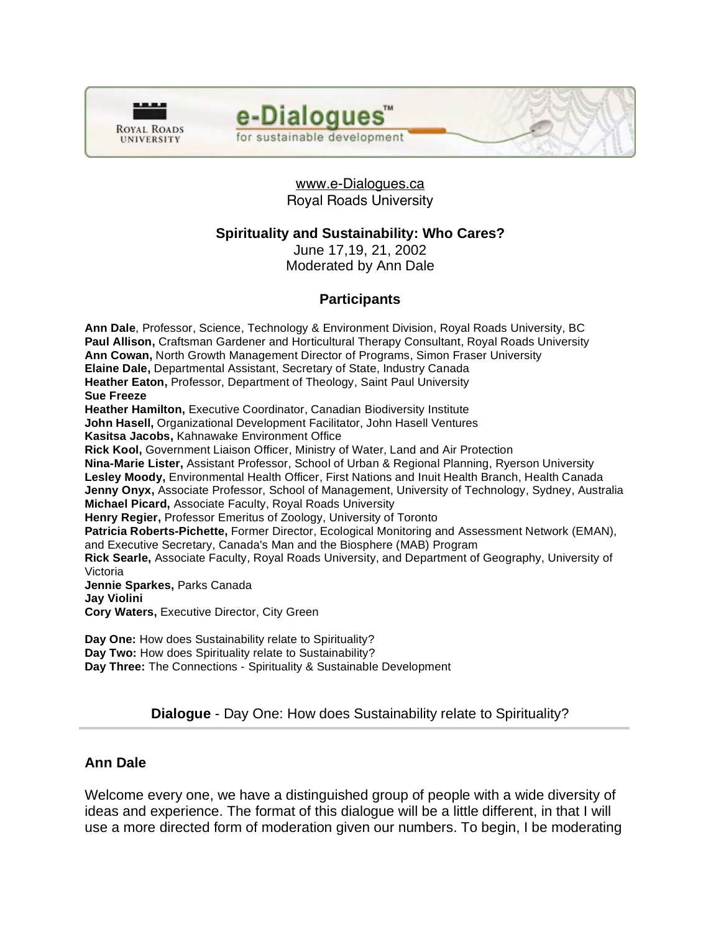

e-Dialogues for sustainable development

## www.e-Dialogues.ca Royal Roads University

## **Spirituality and Sustainability: Who Cares?**

June 17,19, 21, 2002 Moderated by Ann Dale

# **Participants**

**Ann Dale**, Professor, Science, Technology & Environment Division, Royal Roads University, BC **Paul Allison,** Craftsman Gardener and Horticultural Therapy Consultant, Royal Roads University **Ann Cowan,** North Growth Management Director of Programs, Simon Fraser University **Elaine Dale,** Departmental Assistant, Secretary of State, Industry Canada **Heather Eaton,** Professor, Department of Theology, Saint Paul University **Sue Freeze Heather Hamilton,** Executive Coordinator, Canadian Biodiversity Institute **John Hasell,** Organizational Development Facilitator, John Hasell Ventures **Kasitsa Jacobs,** Kahnawake Environment Office **Rick Kool,** Government Liaison Officer, Ministry of Water, Land and Air Protection **Nina-Marie Lister,** Assistant Professor, School of Urban & Regional Planning, Ryerson University **Lesley Moody,** Environmental Health Officer, First Nations and Inuit Health Branch, Health Canada **Jenny Onyx,** Associate Professor, School of Management, University of Technology, Sydney, Australia **Michael Picard,** Associate Faculty, Royal Roads University **Henry Regier,** Professor Emeritus of Zoology, University of Toronto **Patricia Roberts-Pichette,** Former Director, Ecological Monitoring and Assessment Network (EMAN), and Executive Secretary, Canada's Man and the Biosphere (MAB) Program **Rick Searle,** Associate Faculty, Royal Roads University, and Department of Geography, University of Victoria **Jennie Sparkes,** Parks Canada **Jay Violini Cory Waters,** Executive Director, City Green **Day One:** How does Sustainability relate to Spirituality?

**Day Two:** How does Spirituality relate to Sustainability? **Day Three:** The Connections - Spirituality & Sustainable Development

# **Dialogue** - Day One: How does Sustainability relate to Spirituality?

# **Ann Dale**

Welcome every one, we have a distinguished group of people with a wide diversity of ideas and experience. The format of this dialogue will be a little different, in that I will use a more directed form of moderation given our numbers. To begin, I be moderating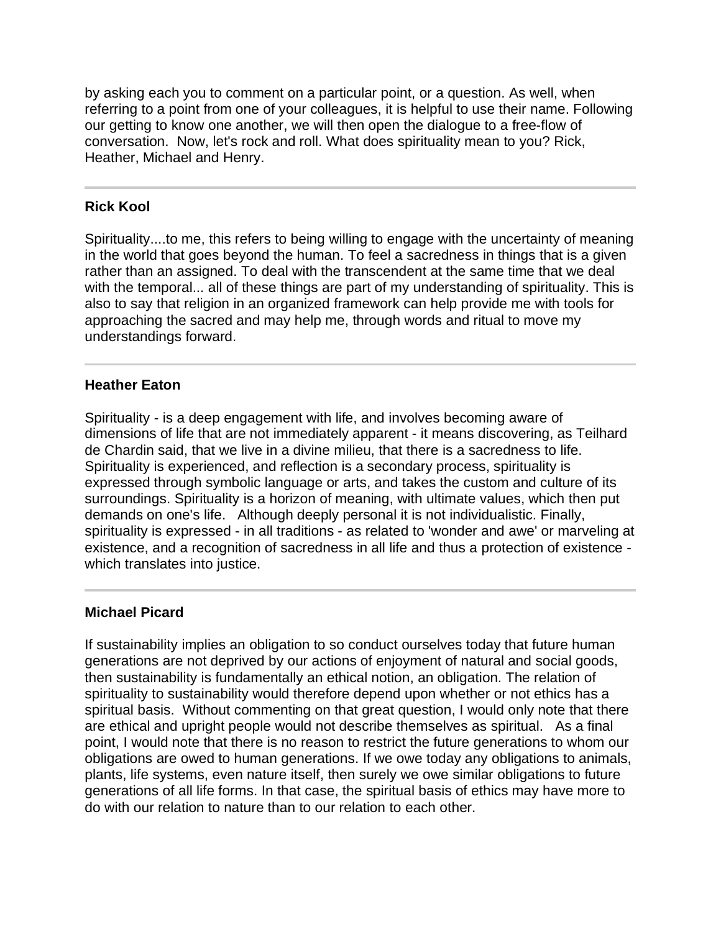by asking each you to comment on a particular point, or a question. As well, when referring to a point from one of your colleagues, it is helpful to use their name. Following our getting to know one another, we will then open the dialogue to a free-flow of conversation. Now, let's rock and roll. What does spirituality mean to you? Rick, Heather, Michael and Henry.

#### **Rick Kool**

Spirituality....to me, this refers to being willing to engage with the uncertainty of meaning in the world that goes beyond the human. To feel a sacredness in things that is a given rather than an assigned. To deal with the transcendent at the same time that we deal with the temporal... all of these things are part of my understanding of spirituality. This is also to say that religion in an organized framework can help provide me with tools for approaching the sacred and may help me, through words and ritual to move my understandings forward.

#### **Heather Eaton**

Spirituality - is a deep engagement with life, and involves becoming aware of dimensions of life that are not immediately apparent - it means discovering, as Teilhard de Chardin said, that we live in a divine milieu, that there is a sacredness to life. Spirituality is experienced, and reflection is a secondary process, spirituality is expressed through symbolic language or arts, and takes the custom and culture of its surroundings. Spirituality is a horizon of meaning, with ultimate values, which then put demands on one's life. Although deeply personal it is not individualistic. Finally, spirituality is expressed - in all traditions - as related to 'wonder and awe' or marveling at existence, and a recognition of sacredness in all life and thus a protection of existence which translates into justice.

#### **Michael Picard**

If sustainability implies an obligation to so conduct ourselves today that future human generations are not deprived by our actions of enjoyment of natural and social goods, then sustainability is fundamentally an ethical notion, an obligation. The relation of spirituality to sustainability would therefore depend upon whether or not ethics has a spiritual basis. Without commenting on that great question, I would only note that there are ethical and upright people would not describe themselves as spiritual. As a final point, I would note that there is no reason to restrict the future generations to whom our obligations are owed to human generations. If we owe today any obligations to animals, plants, life systems, even nature itself, then surely we owe similar obligations to future generations of all life forms. In that case, the spiritual basis of ethics may have more to do with our relation to nature than to our relation to each other.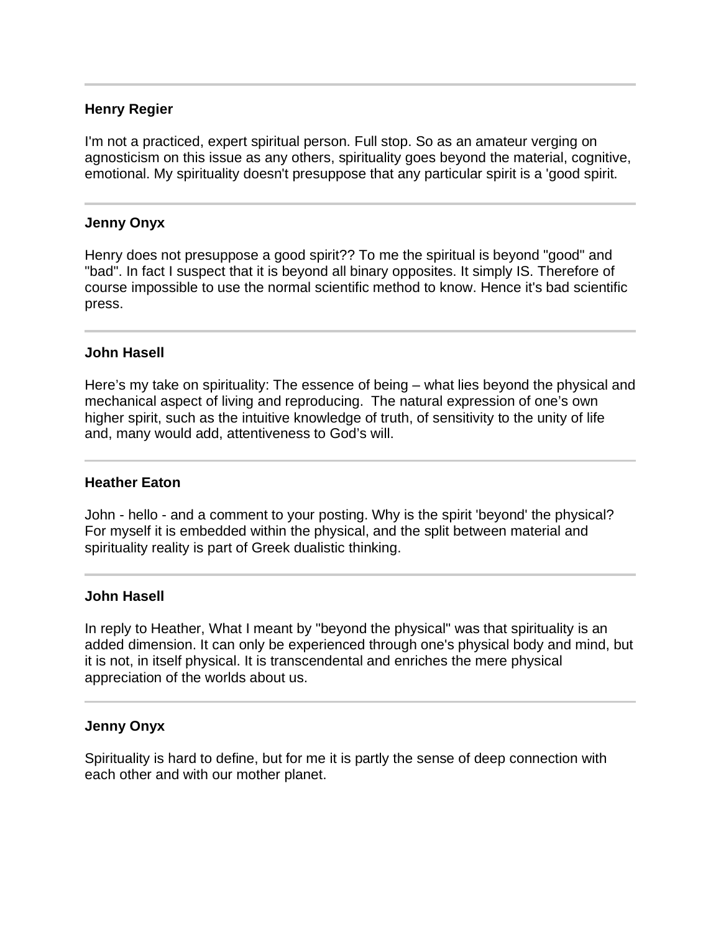## **Henry Regier**

I'm not a practiced, expert spiritual person. Full stop. So as an amateur verging on agnosticism on this issue as any others, spirituality goes beyond the material, cognitive, emotional. My spirituality doesn't presuppose that any particular spirit is a 'good spirit.

#### **Jenny Onyx**

j

Ī

Ī

Ī

Henry does not presuppose a good spirit?? To me the spiritual is beyond "good" and "bad". In fact I suspect that it is beyond all binary opposites. It simply IS. Therefore of course impossible to use the normal scientific method to know. Hence it's bad scientific press.

#### **John Hasell**

Here's my take on spirituality: The essence of being – what lies beyond the physical and mechanical aspect of living and reproducing. The natural expression of one's own higher spirit, such as the intuitive knowledge of truth, of sensitivity to the unity of life and, many would add, attentiveness to God's will.

#### **Heather Eaton**

John - hello - and a comment to your posting. Why is the spirit 'beyond' the physical? For myself it is embedded within the physical, and the split between material and spirituality reality is part of Greek dualistic thinking.

#### **John Hasell**

In reply to Heather, What I meant by "beyond the physical" was that spirituality is an added dimension. It can only be experienced through one's physical body and mind, but it is not, in itself physical. It is transcendental and enriches the mere physical appreciation of the worlds about us.

#### **Jenny Onyx**

Spirituality is hard to define, but for me it is partly the sense of deep connection with each other and with our mother planet.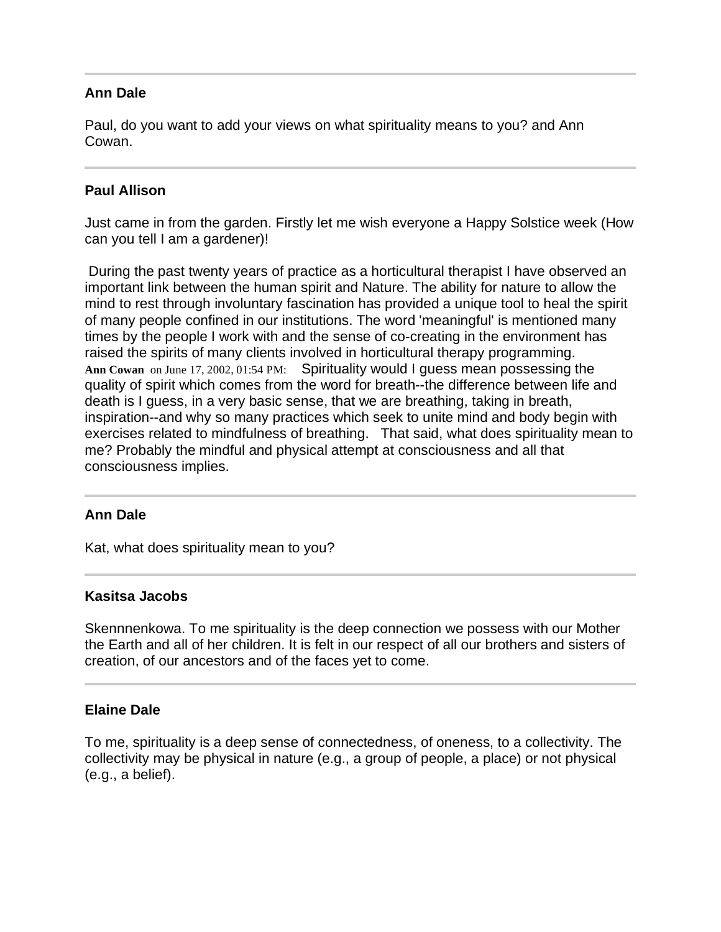## **Ann Dale**

Paul, do you want to add your views on what spirituality means to you? and Ann Cowan.

#### **Paul Allison**

Just came in from the garden. Firstly let me wish everyone a Happy Solstice week (How can you tell I am a gardener)!

 During the past twenty years of practice as a horticultural therapist I have observed an important link between the human spirit and Nature. The ability for nature to allow the mind to rest through involuntary fascination has provided a unique tool to heal the spirit of many people confined in our institutions. The word 'meaningful' is mentioned many times by the people I work with and the sense of co-creating in the environment has raised the spirits of many clients involved in horticultural therapy programming. **Ann Cowan** on June 17, 2002, 01:54 PM: Spirituality would I guess mean possessing the quality of spirit which comes from the word for breath--the difference between life and death is I guess, in a very basic sense, that we are breathing, taking in breath, inspiration--and why so many practices which seek to unite mind and body begin with exercises related to mindfulness of breathing. That said, what does spirituality mean to me? Probably the mindful and physical attempt at consciousness and all that consciousness implies.

## **Ann Dale**

Kat, what does spirituality mean to you?

#### **Kasitsa Jacobs**

Skennnenkowa. To me spirituality is the deep connection we possess with our Mother the Earth and all of her children. It is felt in our respect of all our brothers and sisters of creation, of our ancestors and of the faces yet to come.

#### **Elaine Dale**

To me, spirituality is a deep sense of connectedness, of oneness, to a collectivity. The collectivity may be physical in nature (e.g., a group of people, a place) or not physical (e.g., a belief).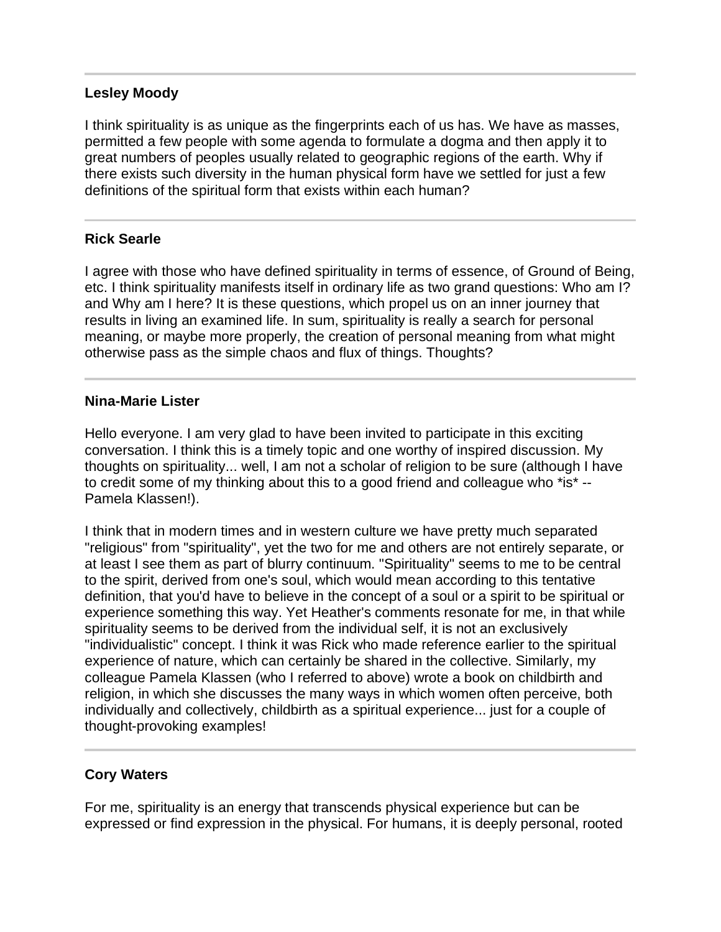#### **Lesley Moody**

I think spirituality is as unique as the fingerprints each of us has. We have as masses, permitted a few people with some agenda to formulate a dogma and then apply it to great numbers of peoples usually related to geographic regions of the earth. Why if there exists such diversity in the human physical form have we settled for just a few definitions of the spiritual form that exists within each human?

#### **Rick Searle**

I agree with those who have defined spirituality in terms of essence, of Ground of Being, etc. I think spirituality manifests itself in ordinary life as two grand questions: Who am I? and Why am I here? It is these questions, which propel us on an inner journey that results in living an examined life. In sum, spirituality is really a search for personal meaning, or maybe more properly, the creation of personal meaning from what might otherwise pass as the simple chaos and flux of things. Thoughts?

#### **Nina-Marie Lister**

Hello everyone. I am very glad to have been invited to participate in this exciting conversation. I think this is a timely topic and one worthy of inspired discussion. My thoughts on spirituality... well, I am not a scholar of religion to be sure (although I have to credit some of my thinking about this to a good friend and colleague who \*is\* -- Pamela Klassen!).

I think that in modern times and in western culture we have pretty much separated "religious" from "spirituality", yet the two for me and others are not entirely separate, or at least I see them as part of blurry continuum. "Spirituality" seems to me to be central to the spirit, derived from one's soul, which would mean according to this tentative definition, that you'd have to believe in the concept of a soul or a spirit to be spiritual or experience something this way. Yet Heather's comments resonate for me, in that while spirituality seems to be derived from the individual self, it is not an exclusively "individualistic" concept. I think it was Rick who made reference earlier to the spiritual experience of nature, which can certainly be shared in the collective. Similarly, my colleague Pamela Klassen (who I referred to above) wrote a book on childbirth and religion, in which she discusses the many ways in which women often perceive, both individually and collectively, childbirth as a spiritual experience... just for a couple of thought-provoking examples!

## **Cory Waters**

 $\overline{a}$ 

For me, spirituality is an energy that transcends physical experience but can be expressed or find expression in the physical. For humans, it is deeply personal, rooted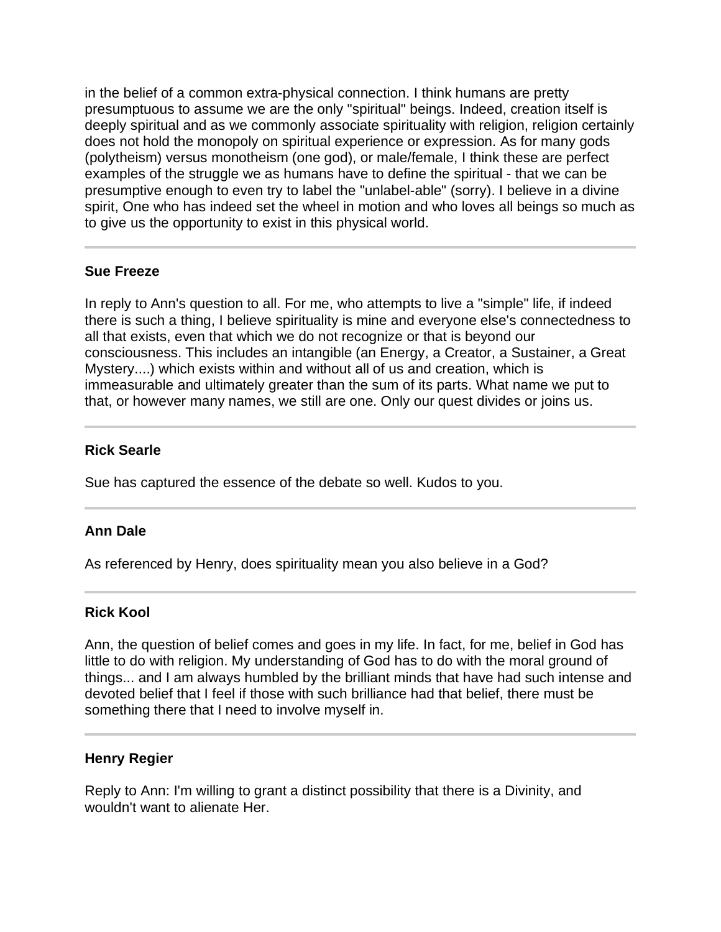in the belief of a common extra-physical connection. I think humans are pretty presumptuous to assume we are the only "spiritual" beings. Indeed, creation itself is deeply spiritual and as we commonly associate spirituality with religion, religion certainly does not hold the monopoly on spiritual experience or expression. As for many gods (polytheism) versus monotheism (one god), or male/female, I think these are perfect examples of the struggle we as humans have to define the spiritual - that we can be presumptive enough to even try to label the "unlabel-able" (sorry). I believe in a divine spirit, One who has indeed set the wheel in motion and who loves all beings so much as to give us the opportunity to exist in this physical world.

## **Sue Freeze**

In reply to Ann's question to all. For me, who attempts to live a "simple" life, if indeed there is such a thing, I believe spirituality is mine and everyone else's connectedness to all that exists, even that which we do not recognize or that is beyond our consciousness. This includes an intangible (an Energy, a Creator, a Sustainer, a Great Mystery....) which exists within and without all of us and creation, which is immeasurable and ultimately greater than the sum of its parts. What name we put to that, or however many names, we still are one. Only our quest divides or joins us.

## **Rick Searle**

Sue has captured the essence of the debate so well. Kudos to you.

## **Ann Dale**

As referenced by Henry, does spirituality mean you also believe in a God?

## **Rick Kool**

Ann, the question of belief comes and goes in my life. In fact, for me, belief in God has little to do with religion. My understanding of God has to do with the moral ground of things... and I am always humbled by the brilliant minds that have had such intense and devoted belief that I feel if those with such brilliance had that belief, there must be something there that I need to involve myself in.

## **Henry Regier**

Reply to Ann: I'm willing to grant a distinct possibility that there is a Divinity, and wouldn't want to alienate Her.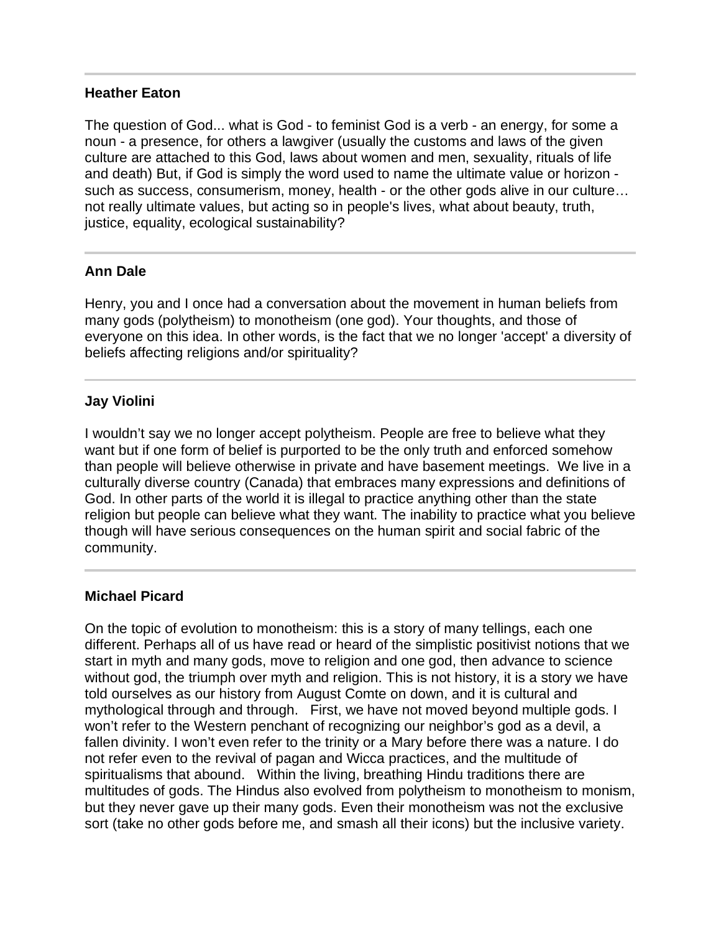#### **Heather Eaton**

The question of God... what is God - to feminist God is a verb - an energy, for some a noun - a presence, for others a lawgiver (usually the customs and laws of the given culture are attached to this God, laws about women and men, sexuality, rituals of life and death) But, if God is simply the word used to name the ultimate value or horizon such as success, consumerism, money, health - or the other gods alive in our culture… not really ultimate values, but acting so in people's lives, what about beauty, truth, justice, equality, ecological sustainability?

## **Ann Dale**

Henry, you and I once had a conversation about the movement in human beliefs from many gods (polytheism) to monotheism (one god). Your thoughts, and those of everyone on this idea. In other words, is the fact that we no longer 'accept' a diversity of beliefs affecting religions and/or spirituality?

## **Jay Violini**

I wouldn't say we no longer accept polytheism. People are free to believe what they want but if one form of belief is purported to be the only truth and enforced somehow than people will believe otherwise in private and have basement meetings. We live in a culturally diverse country (Canada) that embraces many expressions and definitions of God. In other parts of the world it is illegal to practice anything other than the state religion but people can believe what they want. The inability to practice what you believe though will have serious consequences on the human spirit and social fabric of the community.

## **Michael Picard**

l

On the topic of evolution to monotheism: this is a story of many tellings, each one different. Perhaps all of us have read or heard of the simplistic positivist notions that we start in myth and many gods, move to religion and one god, then advance to science without god, the triumph over myth and religion. This is not history, it is a story we have told ourselves as our history from August Comte on down, and it is cultural and mythological through and through. First, we have not moved beyond multiple gods. I won't refer to the Western penchant of recognizing our neighbor's god as a devil, a fallen divinity. I won't even refer to the trinity or a Mary before there was a nature. I do not refer even to the revival of pagan and Wicca practices, and the multitude of spiritualisms that abound. Within the living, breathing Hindu traditions there are multitudes of gods. The Hindus also evolved from polytheism to monotheism to monism, but they never gave up their many gods. Even their monotheism was not the exclusive sort (take no other gods before me, and smash all their icons) but the inclusive variety.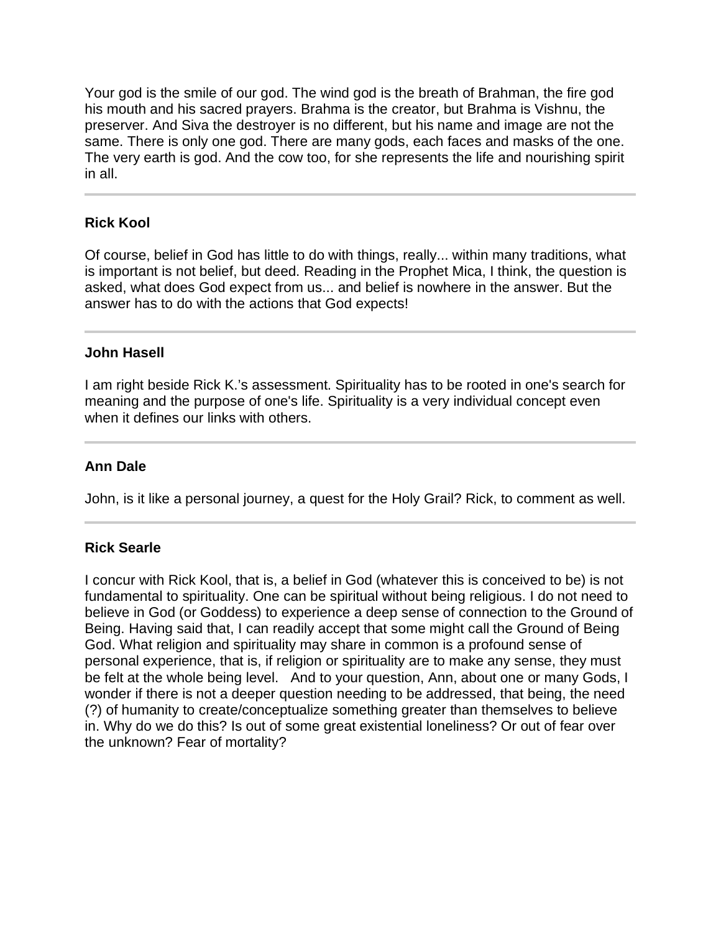Your god is the smile of our god. The wind god is the breath of Brahman, the fire god his mouth and his sacred prayers. Brahma is the creator, but Brahma is Vishnu, the preserver. And Siva the destroyer is no different, but his name and image are not the same. There is only one god. There are many gods, each faces and masks of the one. The very earth is god. And the cow too, for she represents the life and nourishing spirit in all.

## **Rick Kool**

Of course, belief in God has little to do with things, really... within many traditions, what is important is not belief, but deed. Reading in the Prophet Mica, I think, the question is asked, what does God expect from us... and belief is nowhere in the answer. But the answer has to do with the actions that God expects!

#### **John Hasell**

I am right beside Rick K.'s assessment. Spirituality has to be rooted in one's search for meaning and the purpose of one's life. Spirituality is a very individual concept even when it defines our links with others.

## **Ann Dale**

John, is it like a personal journey, a quest for the Holy Grail? Rick, to comment as well.

## **Rick Searle**

I concur with Rick Kool, that is, a belief in God (whatever this is conceived to be) is not fundamental to spirituality. One can be spiritual without being religious. I do not need to believe in God (or Goddess) to experience a deep sense of connection to the Ground of Being. Having said that, I can readily accept that some might call the Ground of Being God. What religion and spirituality may share in common is a profound sense of personal experience, that is, if religion or spirituality are to make any sense, they must be felt at the whole being level. And to your question, Ann, about one or many Gods, I wonder if there is not a deeper question needing to be addressed, that being, the need (?) of humanity to create/conceptualize something greater than themselves to believe in. Why do we do this? Is out of some great existential loneliness? Or out of fear over the unknown? Fear of mortality?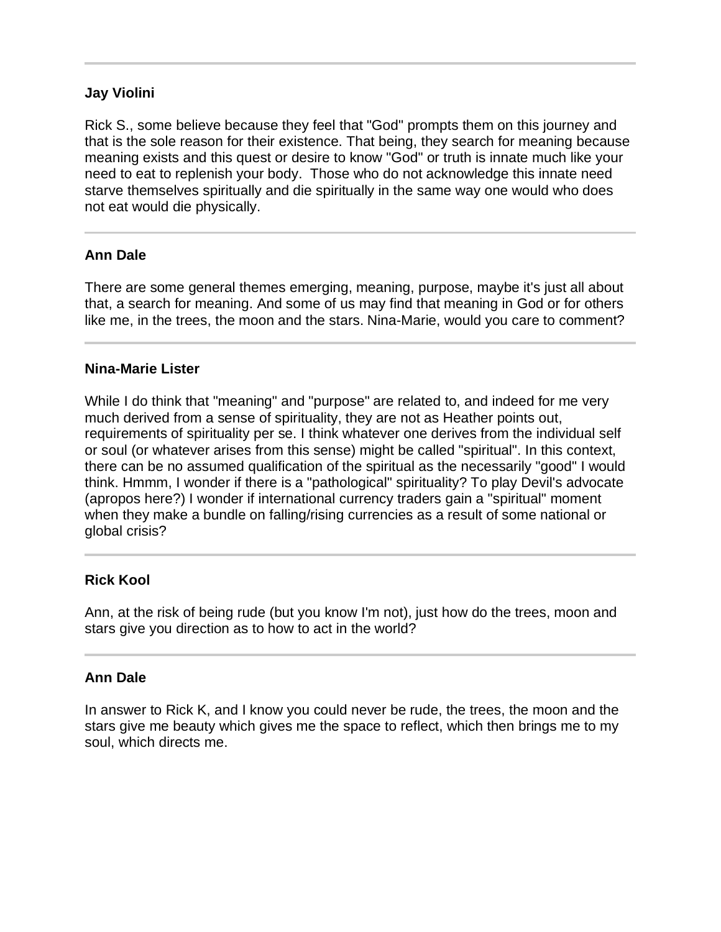## **Jay Violini**

Rick S., some believe because they feel that "God" prompts them on this journey and that is the sole reason for their existence. That being, they search for meaning because meaning exists and this quest or desire to know "God" or truth is innate much like your need to eat to replenish your body. Those who do not acknowledge this innate need starve themselves spiritually and die spiritually in the same way one would who does not eat would die physically.

## **Ann Dale**

Ī

l

There are some general themes emerging, meaning, purpose, maybe it's just all about that, a search for meaning. And some of us may find that meaning in God or for others like me, in the trees, the moon and the stars. Nina-Marie, would you care to comment?

## **Nina-Marie Lister**

While I do think that "meaning" and "purpose" are related to, and indeed for me very much derived from a sense of spirituality, they are not as Heather points out, requirements of spirituality per se. I think whatever one derives from the individual self or soul (or whatever arises from this sense) might be called "spiritual". In this context, there can be no assumed qualification of the spiritual as the necessarily "good" I would think. Hmmm, I wonder if there is a "pathological" spirituality? To play Devil's advocate (apropos here?) I wonder if international currency traders gain a "spiritual" moment when they make a bundle on falling/rising currencies as a result of some national or global crisis?

## **Rick Kool**

Ann, at the risk of being rude (but you know I'm not), just how do the trees, moon and stars give you direction as to how to act in the world?

## **Ann Dale**

In answer to Rick K, and I know you could never be rude, the trees, the moon and the stars give me beauty which gives me the space to reflect, which then brings me to my soul, which directs me.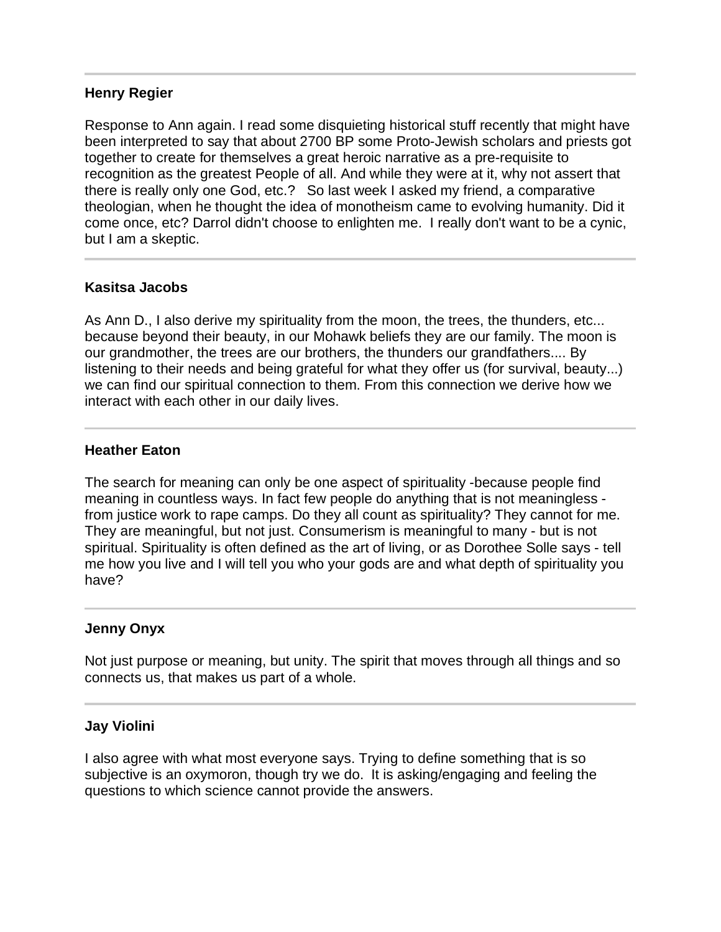#### **Henry Regier**

Response to Ann again. I read some disquieting historical stuff recently that might have been interpreted to say that about 2700 BP some Proto-Jewish scholars and priests got together to create for themselves a great heroic narrative as a pre-requisite to recognition as the greatest People of all. And while they were at it, why not assert that there is really only one God, etc.? So last week I asked my friend, a comparative theologian, when he thought the idea of monotheism came to evolving humanity. Did it come once, etc? Darrol didn't choose to enlighten me. I really don't want to be a cynic, but I am a skeptic.

#### **Kasitsa Jacobs**

As Ann D., I also derive my spirituality from the moon, the trees, the thunders, etc... because beyond their beauty, in our Mohawk beliefs they are our family. The moon is our grandmother, the trees are our brothers, the thunders our grandfathers.... By listening to their needs and being grateful for what they offer us (for survival, beauty...) we can find our spiritual connection to them. From this connection we derive how we interact with each other in our daily lives.

#### **Heather Eaton**

The search for meaning can only be one aspect of spirituality -because people find meaning in countless ways. In fact few people do anything that is not meaningless from justice work to rape camps. Do they all count as spirituality? They cannot for me. They are meaningful, but not just. Consumerism is meaningful to many - but is not spiritual. Spirituality is often defined as the art of living, or as Dorothee Solle says - tell me how you live and I will tell you who your gods are and what depth of spirituality you have?

#### **Jenny Onyx**

Not just purpose or meaning, but unity. The spirit that moves through all things and so connects us, that makes us part of a whole.

#### **Jay Violini**

I also agree with what most everyone says. Trying to define something that is so subjective is an oxymoron, though try we do. It is asking/engaging and feeling the questions to which science cannot provide the answers.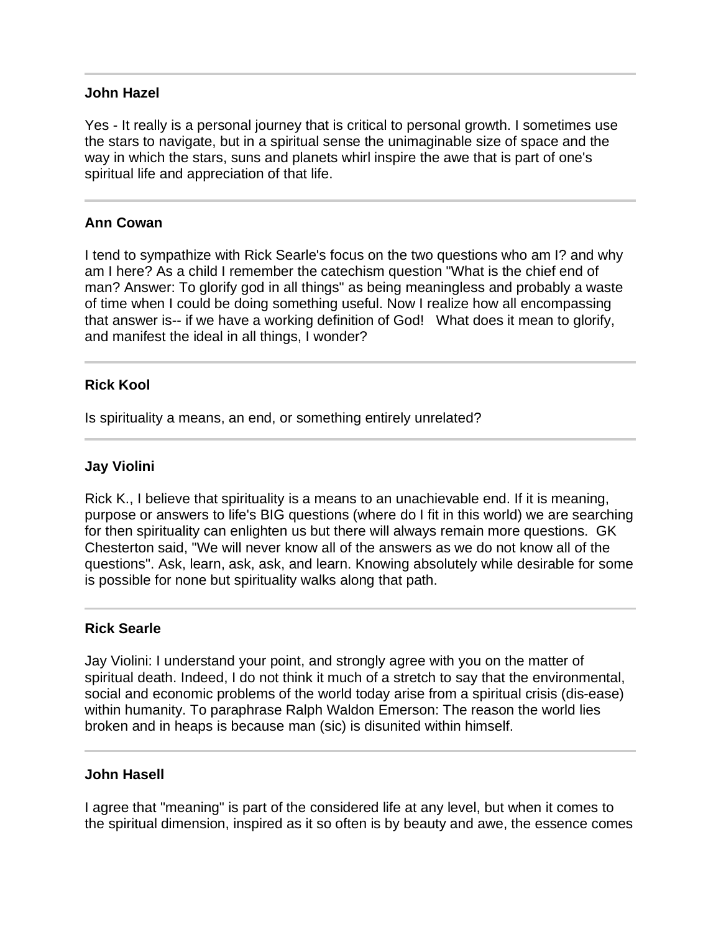#### **John Hazel**

Yes - It really is a personal journey that is critical to personal growth. I sometimes use the stars to navigate, but in a spiritual sense the unimaginable size of space and the way in which the stars, suns and planets whirl inspire the awe that is part of one's spiritual life and appreciation of that life.

## **Ann Cowan**

Ī

Ī

I tend to sympathize with Rick Searle's focus on the two questions who am I? and why am I here? As a child I remember the catechism question "What is the chief end of man? Answer: To glorify god in all things" as being meaningless and probably a waste of time when I could be doing something useful. Now I realize how all encompassing that answer is-- if we have a working definition of God! What does it mean to glorify, and manifest the ideal in all things, I wonder?

#### **Rick Kool**

Is spirituality a means, an end, or something entirely unrelated?

#### **Jay Violini**

Rick K., I believe that spirituality is a means to an unachievable end. If it is meaning, purpose or answers to life's BIG questions (where do I fit in this world) we are searching for then spirituality can enlighten us but there will always remain more questions. GK Chesterton said, "We will never know all of the answers as we do not know all of the questions". Ask, learn, ask, ask, and learn. Knowing absolutely while desirable for some is possible for none but spirituality walks along that path.

#### **Rick Searle**

I

Jay Violini: I understand your point, and strongly agree with you on the matter of spiritual death. Indeed, I do not think it much of a stretch to say that the environmental, social and economic problems of the world today arise from a spiritual crisis (dis-ease) within humanity. To paraphrase Ralph Waldon Emerson: The reason the world lies broken and in heaps is because man (sic) is disunited within himself.

#### **John Hasell**

I agree that "meaning" is part of the considered life at any level, but when it comes to the spiritual dimension, inspired as it so often is by beauty and awe, the essence comes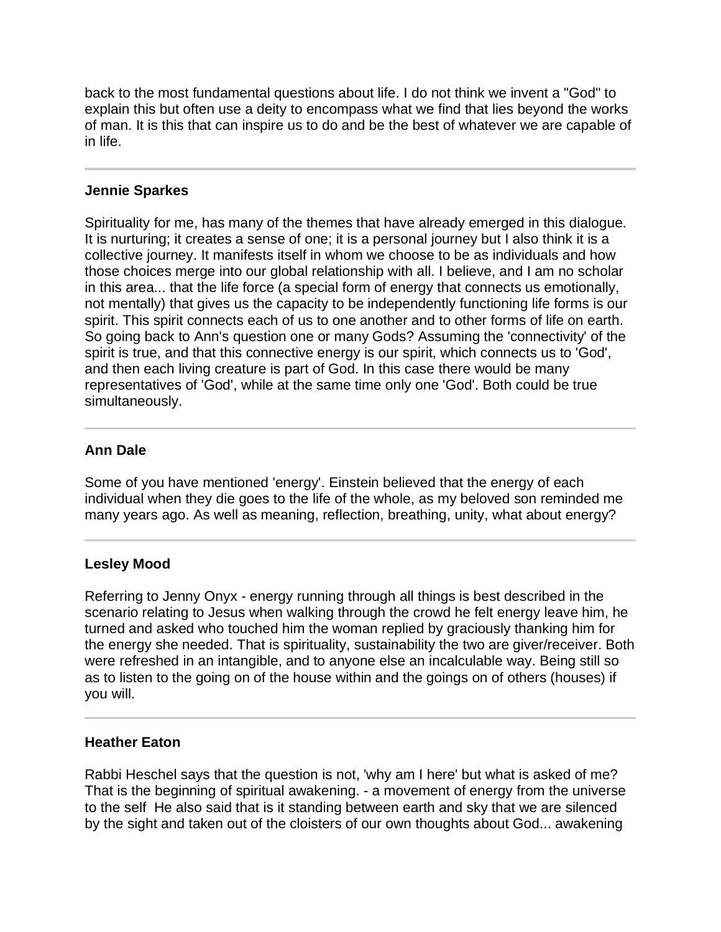back to the most fundamental questions about life. I do not think we invent a "God" to explain this but often use a deity to encompass what we find that lies beyond the works of man. It is this that can inspire us to do and be the best of whatever we are capable of in life.

#### **Jennie Sparkes**

Spirituality for me, has many of the themes that have already emerged in this dialogue. It is nurturing; it creates a sense of one; it is a personal journey but I also think it is a collective journey. It manifests itself in whom we choose to be as individuals and how those choices merge into our global relationship with all. I believe, and I am no scholar in this area... that the life force (a special form of energy that connects us emotionally, not mentally) that gives us the capacity to be independently functioning life forms is our spirit. This spirit connects each of us to one another and to other forms of life on earth. So going back to Ann's question one or many Gods? Assuming the 'connectivity' of the spirit is true, and that this connective energy is our spirit, which connects us to 'God', and then each living creature is part of God. In this case there would be many representatives of 'God', while at the same time only one 'God'. Both could be true simultaneously.

## **Ann Dale**

Some of you have mentioned 'energy'. Einstein believed that the energy of each individual when they die goes to the life of the whole, as my beloved son reminded me many years ago. As well as meaning, reflection, breathing, unity, what about energy?

#### **Lesley Mood**

Referring to Jenny Onyx - energy running through all things is best described in the scenario relating to Jesus when walking through the crowd he felt energy leave him, he turned and asked who touched him the woman replied by graciously thanking him for the energy she needed. That is spirituality, sustainability the two are giver/receiver. Both were refreshed in an intangible, and to anyone else an incalculable way. Being still so as to listen to the going on of the house within and the goings on of others (houses) if you will.

#### **Heather Eaton**

Rabbi Heschel says that the question is not, 'why am I here' but what is asked of me? That is the beginning of spiritual awakening. - a movement of energy from the universe to the self He also said that is it standing between earth and sky that we are silenced by the sight and taken out of the cloisters of our own thoughts about God... awakening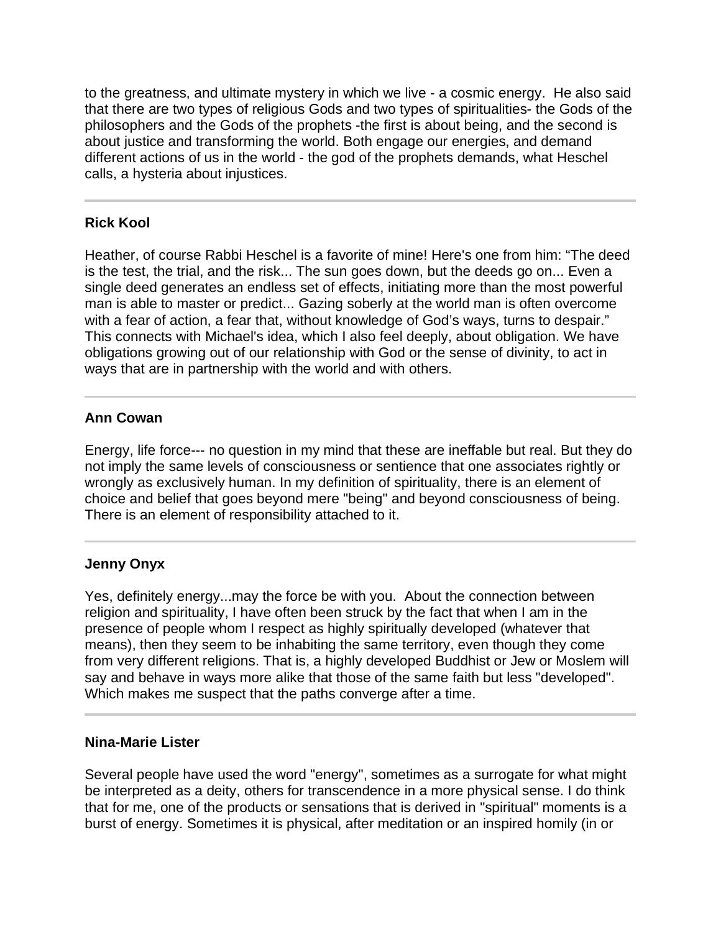to the greatness, and ultimate mystery in which we live - a cosmic energy. He also said that there are two types of religious Gods and two types of spiritualities- the Gods of the philosophers and the Gods of the prophets -the first is about being, and the second is about justice and transforming the world. Both engage our energies, and demand different actions of us in the world - the god of the prophets demands, what Heschel calls, a hysteria about injustices.

# **Rick Kool**

Heather, of course Rabbi Heschel is a favorite of mine! Here's one from him: "The deed is the test, the trial, and the risk... The sun goes down, but the deeds go on... Even a single deed generates an endless set of effects, initiating more than the most powerful man is able to master or predict... Gazing soberly at the world man is often overcome with a fear of action, a fear that, without knowledge of God's ways, turns to despair." This connects with Michael's idea, which I also feel deeply, about obligation. We have obligations growing out of our relationship with God or the sense of divinity, to act in ways that are in partnership with the world and with others.

## **Ann Cowan**

Energy, life force--- no question in my mind that these are ineffable but real. But they do not imply the same levels of consciousness or sentience that one associates rightly or wrongly as exclusively human. In my definition of spirituality, there is an element of choice and belief that goes beyond mere "being" and beyond consciousness of being. There is an element of responsibility attached to it.

## **Jenny Onyx**

Yes, definitely energy...may the force be with you. About the connection between religion and spirituality, I have often been struck by the fact that when I am in the presence of people whom I respect as highly spiritually developed (whatever that means), then they seem to be inhabiting the same territory, even though they come from very different religions. That is, a highly developed Buddhist or Jew or Moslem will say and behave in ways more alike that those of the same faith but less "developed". Which makes me suspect that the paths converge after a time.

#### **Nina-Marie Lister**

Several people have used the word "energy", sometimes as a surrogate for what might be interpreted as a deity, others for transcendence in a more physical sense. I do think that for me, one of the products or sensations that is derived in "spiritual" moments is a burst of energy. Sometimes it is physical, after meditation or an inspired homily (in or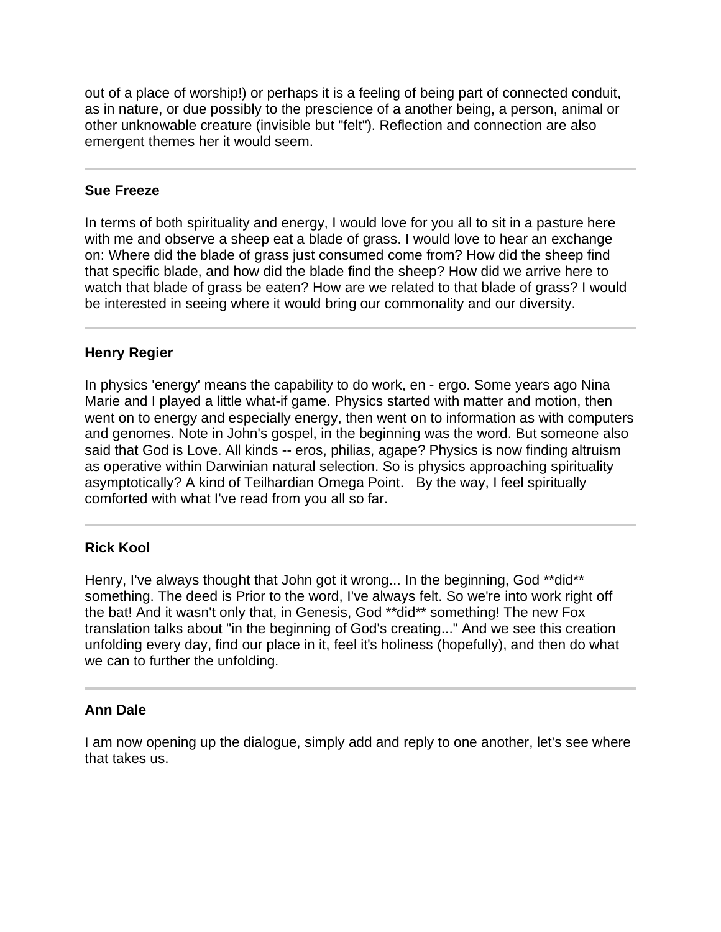out of a place of worship!) or perhaps it is a feeling of being part of connected conduit, as in nature, or due possibly to the prescience of a another being, a person, animal or other unknowable creature (invisible but "felt"). Reflection and connection are also emergent themes her it would seem.

#### **Sue Freeze**

In terms of both spirituality and energy, I would love for you all to sit in a pasture here with me and observe a sheep eat a blade of grass. I would love to hear an exchange on: Where did the blade of grass just consumed come from? How did the sheep find that specific blade, and how did the blade find the sheep? How did we arrive here to watch that blade of grass be eaten? How are we related to that blade of grass? I would be interested in seeing where it would bring our commonality and our diversity.

## **Henry Regier**

In physics 'energy' means the capability to do work, en - ergo. Some years ago Nina Marie and I played a little what-if game. Physics started with matter and motion, then went on to energy and especially energy, then went on to information as with computers and genomes. Note in John's gospel, in the beginning was the word. But someone also said that God is Love. All kinds -- eros, philias, agape? Physics is now finding altruism as operative within Darwinian natural selection. So is physics approaching spirituality asymptotically? A kind of Teilhardian Omega Point. By the way, I feel spiritually comforted with what I've read from you all so far.

## **Rick Kool**

Henry, I've always thought that John got it wrong... In the beginning, God \*\*did\*\* something. The deed is Prior to the word, I've always felt. So we're into work right off the bat! And it wasn't only that, in Genesis, God \*\*did\*\* something! The new Fox translation talks about "in the beginning of God's creating..." And we see this creation unfolding every day, find our place in it, feel it's holiness (hopefully), and then do what we can to further the unfolding.

## **Ann Dale**

I am now opening up the dialogue, simply add and reply to one another, let's see where that takes us.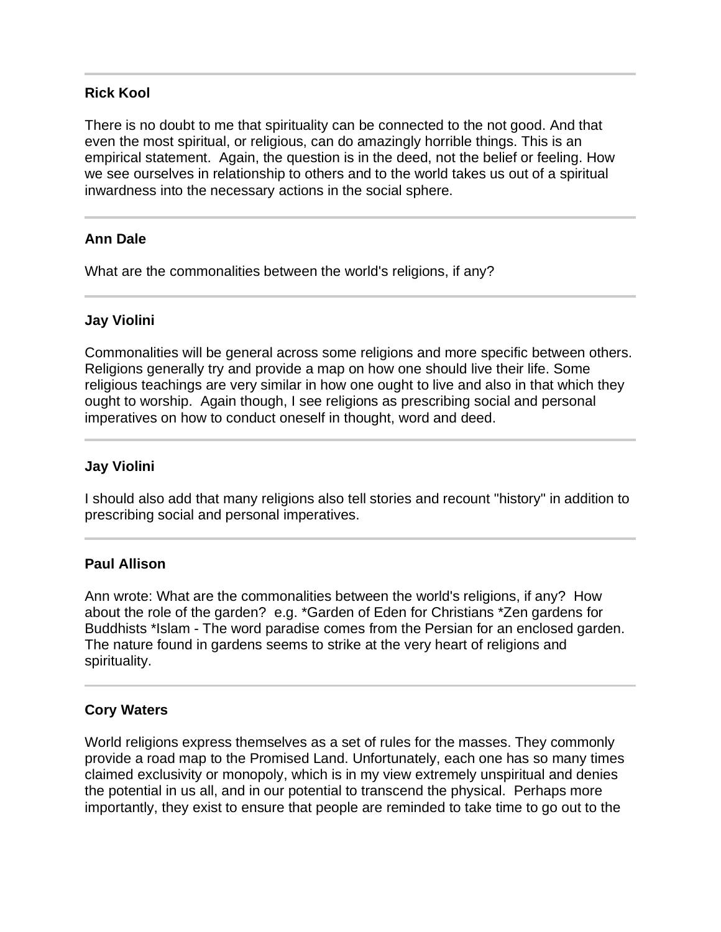#### **Rick Kool**

There is no doubt to me that spirituality can be connected to the not good. And that even the most spiritual, or religious, can do amazingly horrible things. This is an empirical statement. Again, the question is in the deed, not the belief or feeling. How we see ourselves in relationship to others and to the world takes us out of a spiritual inwardness into the necessary actions in the social sphere.

## **Ann Dale**

What are the commonalities between the world's religions, if any?

#### **Jay Violini**

Commonalities will be general across some religions and more specific between others. Religions generally try and provide a map on how one should live their life. Some religious teachings are very similar in how one ought to live and also in that which they ought to worship. Again though, I see religions as prescribing social and personal imperatives on how to conduct oneself in thought, word and deed.

#### **Jay Violini**

I should also add that many religions also tell stories and recount "history" in addition to prescribing social and personal imperatives.

#### **Paul Allison**

Ann wrote: What are the commonalities between the world's religions, if any? How about the role of the garden? e.g. \*Garden of Eden for Christians \*Zen gardens for Buddhists \*Islam - The word paradise comes from the Persian for an enclosed garden. The nature found in gardens seems to strike at the very heart of religions and spirituality.

#### **Cory Waters**

World religions express themselves as a set of rules for the masses. They commonly provide a road map to the Promised Land. Unfortunately, each one has so many times claimed exclusivity or monopoly, which is in my view extremely unspiritual and denies the potential in us all, and in our potential to transcend the physical. Perhaps more importantly, they exist to ensure that people are reminded to take time to go out to the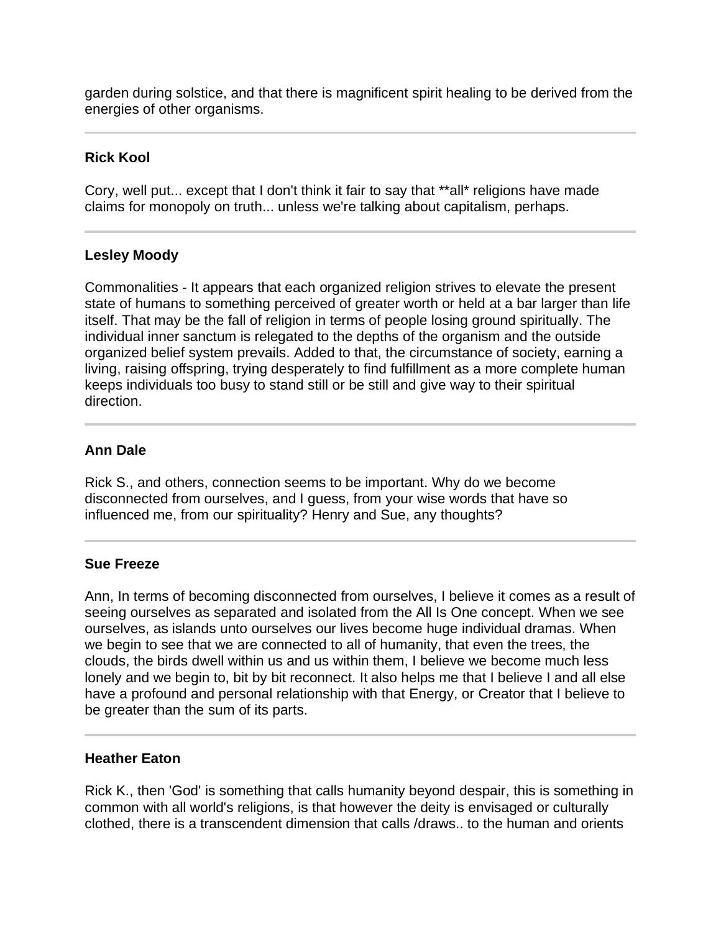garden during solstice, and that there is magnificent spirit healing to be derived from the energies of other organisms.

## **Rick Kool**

Cory, well put... except that I don't think it fair to say that \*\*all\* religions have made claims for monopoly on truth... unless we're talking about capitalism, perhaps.

## **Lesley Moody**

Commonalities - It appears that each organized religion strives to elevate the present state of humans to something perceived of greater worth or held at a bar larger than life itself. That may be the fall of religion in terms of people losing ground spiritually. The individual inner sanctum is relegated to the depths of the organism and the outside organized belief system prevails. Added to that, the circumstance of society, earning a living, raising offspring, trying desperately to find fulfillment as a more complete human keeps individuals too busy to stand still or be still and give way to their spiritual direction.

## **Ann Dale**

Rick S., and others, connection seems to be important. Why do we become disconnected from ourselves, and I guess, from your wise words that have so influenced me, from our spirituality? Henry and Sue, any thoughts?

## **Sue Freeze**

Ann, In terms of becoming disconnected from ourselves, I believe it comes as a result of seeing ourselves as separated and isolated from the All Is One concept. When we see ourselves, as islands unto ourselves our lives become huge individual dramas. When we begin to see that we are connected to all of humanity, that even the trees, the clouds, the birds dwell within us and us within them, I believe we become much less lonely and we begin to, bit by bit reconnect. It also helps me that I believe I and all else have a profound and personal relationship with that Energy, or Creator that I believe to be greater than the sum of its parts.

#### **Heather Eaton**

Rick K., then 'God' is something that calls humanity beyond despair, this is something in common with all world's religions, is that however the deity is envisaged or culturally clothed, there is a transcendent dimension that calls /draws.. to the human and orients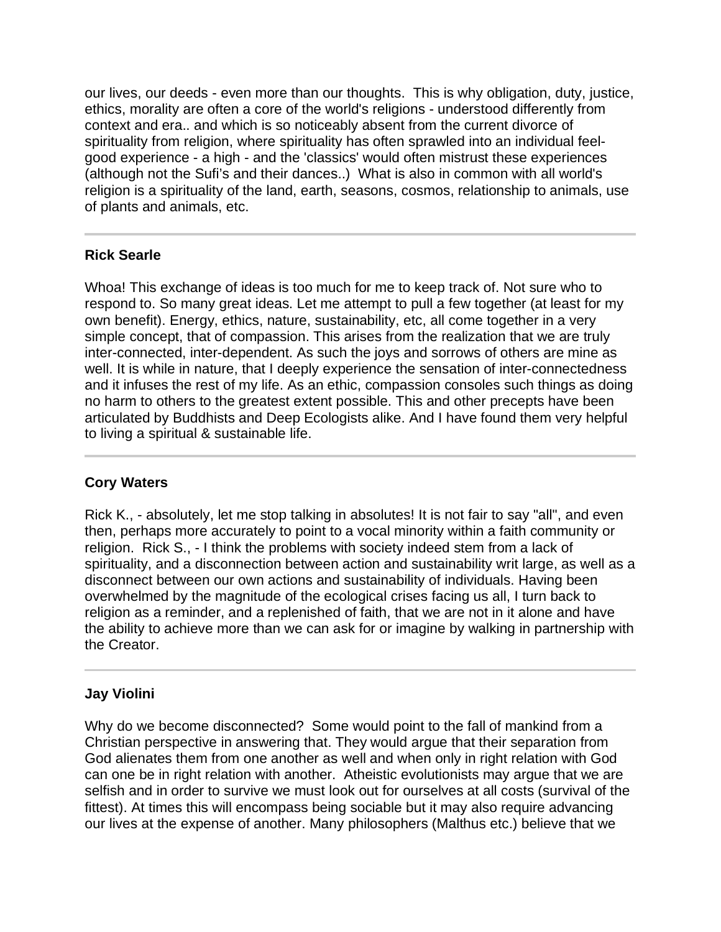our lives, our deeds - even more than our thoughts. This is why obligation, duty, justice, ethics, morality are often a core of the world's religions - understood differently from context and era.. and which is so noticeably absent from the current divorce of spirituality from religion, where spirituality has often sprawled into an individual feelgood experience - a high - and the 'classics' would often mistrust these experiences (although not the Sufi's and their dances..) What is also in common with all world's religion is a spirituality of the land, earth, seasons, cosmos, relationship to animals, use of plants and animals, etc.

## **Rick Searle**

Whoa! This exchange of ideas is too much for me to keep track of. Not sure who to respond to. So many great ideas. Let me attempt to pull a few together (at least for my own benefit). Energy, ethics, nature, sustainability, etc, all come together in a very simple concept, that of compassion. This arises from the realization that we are truly inter-connected, inter-dependent. As such the joys and sorrows of others are mine as well. It is while in nature, that I deeply experience the sensation of inter-connectedness and it infuses the rest of my life. As an ethic, compassion consoles such things as doing no harm to others to the greatest extent possible. This and other precepts have been articulated by Buddhists and Deep Ecologists alike. And I have found them very helpful to living a spiritual & sustainable life.

## **Cory Waters**

l

Rick K., - absolutely, let me stop talking in absolutes! It is not fair to say "all", and even then, perhaps more accurately to point to a vocal minority within a faith community or religion. Rick S., - I think the problems with society indeed stem from a lack of spirituality, and a disconnection between action and sustainability writ large, as well as a disconnect between our own actions and sustainability of individuals. Having been overwhelmed by the magnitude of the ecological crises facing us all, I turn back to religion as a reminder, and a replenished of faith, that we are not in it alone and have the ability to achieve more than we can ask for or imagine by walking in partnership with the Creator.

# **Jay Violini**

Why do we become disconnected? Some would point to the fall of mankind from a Christian perspective in answering that. They would argue that their separation from God alienates them from one another as well and when only in right relation with God can one be in right relation with another. Atheistic evolutionists may argue that we are selfish and in order to survive we must look out for ourselves at all costs (survival of the fittest). At times this will encompass being sociable but it may also require advancing our lives at the expense of another. Many philosophers (Malthus etc.) believe that we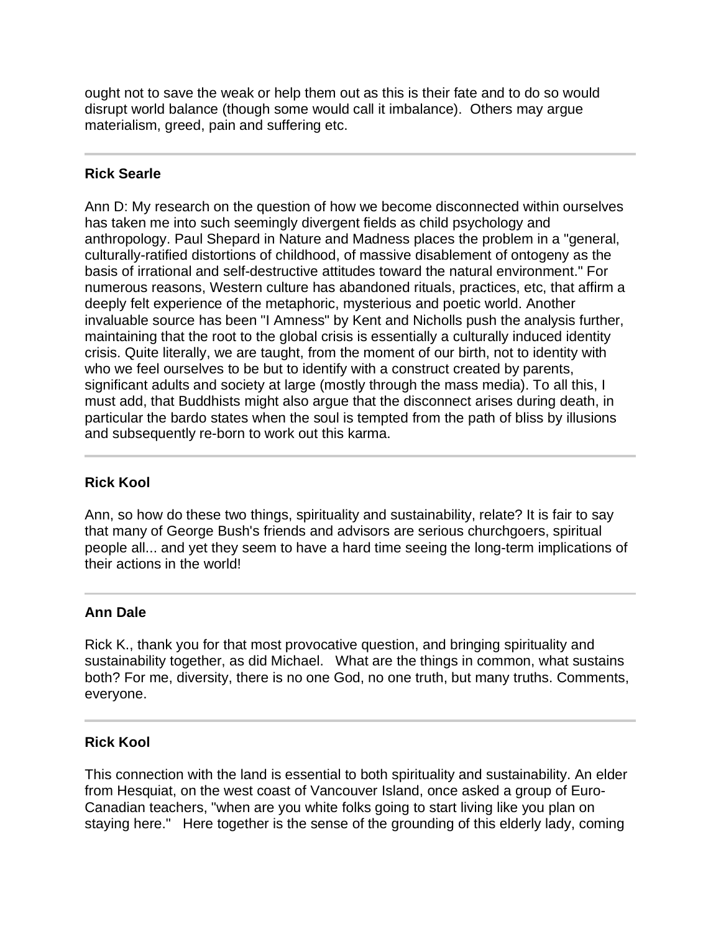ought not to save the weak or help them out as this is their fate and to do so would disrupt world balance (though some would call it imbalance). Others may argue materialism, greed, pain and suffering etc.

# **Rick Searle**

Ann D: My research on the question of how we become disconnected within ourselves has taken me into such seemingly divergent fields as child psychology and anthropology. Paul Shepard in Nature and Madness places the problem in a "general, culturally-ratified distortions of childhood, of massive disablement of ontogeny as the basis of irrational and self-destructive attitudes toward the natural environment." For numerous reasons, Western culture has abandoned rituals, practices, etc, that affirm a deeply felt experience of the metaphoric, mysterious and poetic world. Another invaluable source has been "I Amness" by Kent and Nicholls push the analysis further, maintaining that the root to the global crisis is essentially a culturally induced identity crisis. Quite literally, we are taught, from the moment of our birth, not to identity with who we feel ourselves to be but to identify with a construct created by parents, significant adults and society at large (mostly through the mass media). To all this, I must add, that Buddhists might also argue that the disconnect arises during death, in particular the bardo states when the soul is tempted from the path of bliss by illusions and subsequently re-born to work out this karma.

## **Rick Kool**

Ann, so how do these two things, spirituality and sustainability, relate? It is fair to say that many of George Bush's friends and advisors are serious churchgoers, spiritual people all... and yet they seem to have a hard time seeing the long-term implications of their actions in the world!

## **Ann Dale**

Rick K., thank you for that most provocative question, and bringing spirituality and sustainability together, as did Michael. What are the things in common, what sustains both? For me, diversity, there is no one God, no one truth, but many truths. Comments, everyone.

## **Rick Kool**

This connection with the land is essential to both spirituality and sustainability. An elder from Hesquiat, on the west coast of Vancouver Island, once asked a group of Euro-Canadian teachers, "when are you white folks going to start living like you plan on staying here." Here together is the sense of the grounding of this elderly lady, coming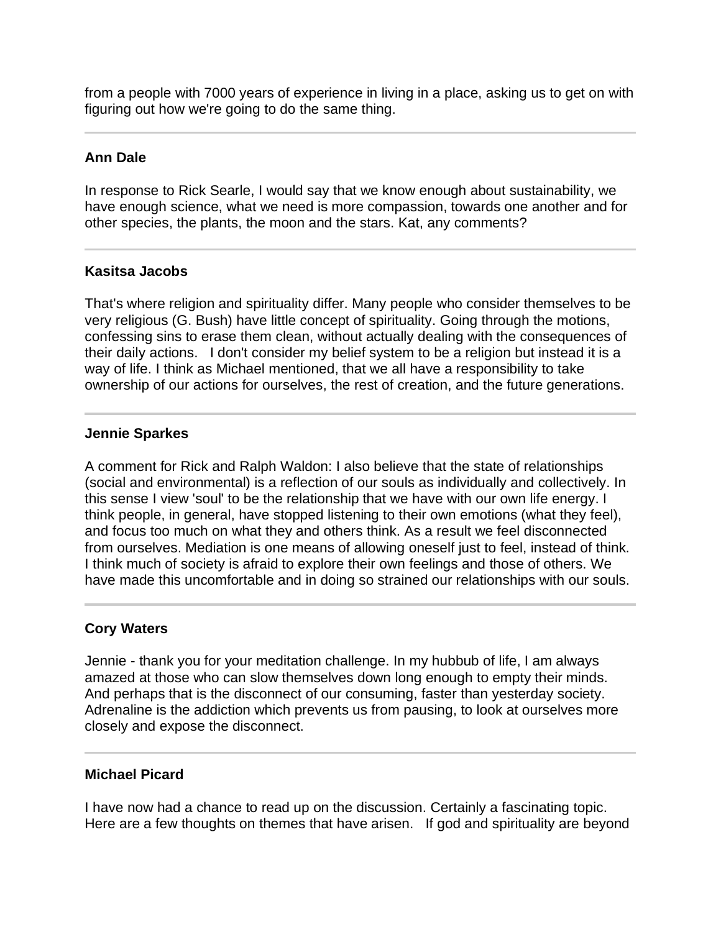from a people with 7000 years of experience in living in a place, asking us to get on with figuring out how we're going to do the same thing.

## **Ann Dale**

l

In response to Rick Searle, I would say that we know enough about sustainability, we have enough science, what we need is more compassion, towards one another and for other species, the plants, the moon and the stars. Kat, any comments?

## **Kasitsa Jacobs**

That's where religion and spirituality differ. Many people who consider themselves to be very religious (G. Bush) have little concept of spirituality. Going through the motions, confessing sins to erase them clean, without actually dealing with the consequences of their daily actions. I don't consider my belief system to be a religion but instead it is a way of life. I think as Michael mentioned, that we all have a responsibility to take ownership of our actions for ourselves, the rest of creation, and the future generations.

#### **Jennie Sparkes**

A comment for Rick and Ralph Waldon: I also believe that the state of relationships (social and environmental) is a reflection of our souls as individually and collectively. In this sense I view 'soul' to be the relationship that we have with our own life energy. I think people, in general, have stopped listening to their own emotions (what they feel), and focus too much on what they and others think. As a result we feel disconnected from ourselves. Mediation is one means of allowing oneself just to feel, instead of think. I think much of society is afraid to explore their own feelings and those of others. We have made this uncomfortable and in doing so strained our relationships with our souls.

## **Cory Waters**

Jennie - thank you for your meditation challenge. In my hubbub of life, I am always amazed at those who can slow themselves down long enough to empty their minds. And perhaps that is the disconnect of our consuming, faster than yesterday society. Adrenaline is the addiction which prevents us from pausing, to look at ourselves more closely and expose the disconnect.

#### **Michael Picard**

I have now had a chance to read up on the discussion. Certainly a fascinating topic. Here are a few thoughts on themes that have arisen. If god and spirituality are beyond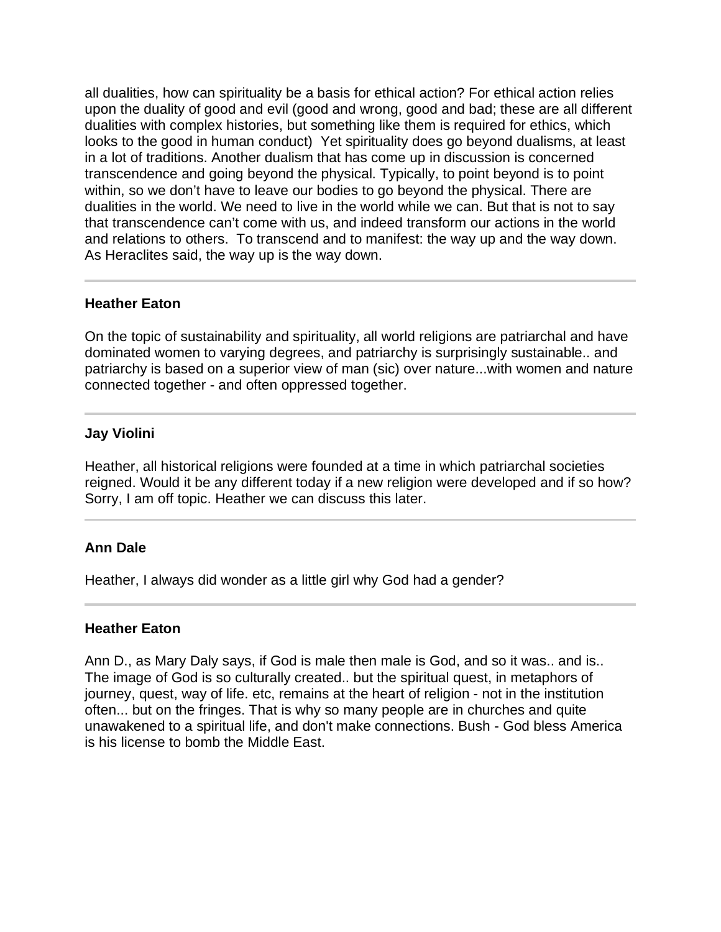all dualities, how can spirituality be a basis for ethical action? For ethical action relies upon the duality of good and evil (good and wrong, good and bad; these are all different dualities with complex histories, but something like them is required for ethics, which looks to the good in human conduct) Yet spirituality does go beyond dualisms, at least in a lot of traditions. Another dualism that has come up in discussion is concerned transcendence and going beyond the physical. Typically, to point beyond is to point within, so we don't have to leave our bodies to go beyond the physical. There are dualities in the world. We need to live in the world while we can. But that is not to say that transcendence can't come with us, and indeed transform our actions in the world and relations to others. To transcend and to manifest: the way up and the way down. As Heraclites said, the way up is the way down.

## **Heather Eaton**

On the topic of sustainability and spirituality, all world religions are patriarchal and have dominated women to varying degrees, and patriarchy is surprisingly sustainable.. and patriarchy is based on a superior view of man (sic) over nature...with women and nature connected together - and often oppressed together.

#### **Jay Violini**

Heather, all historical religions were founded at a time in which patriarchal societies reigned. Would it be any different today if a new religion were developed and if so how? Sorry, I am off topic. Heather we can discuss this later.

## **Ann Dale**

l

Heather, I always did wonder as a little girl why God had a gender?

#### **Heather Eaton**

Ann D., as Mary Daly says, if God is male then male is God, and so it was.. and is.. The image of God is so culturally created.. but the spiritual quest, in metaphors of journey, quest, way of life. etc, remains at the heart of religion - not in the institution often... but on the fringes. That is why so many people are in churches and quite unawakened to a spiritual life, and don't make connections. Bush - God bless America is his license to bomb the Middle East.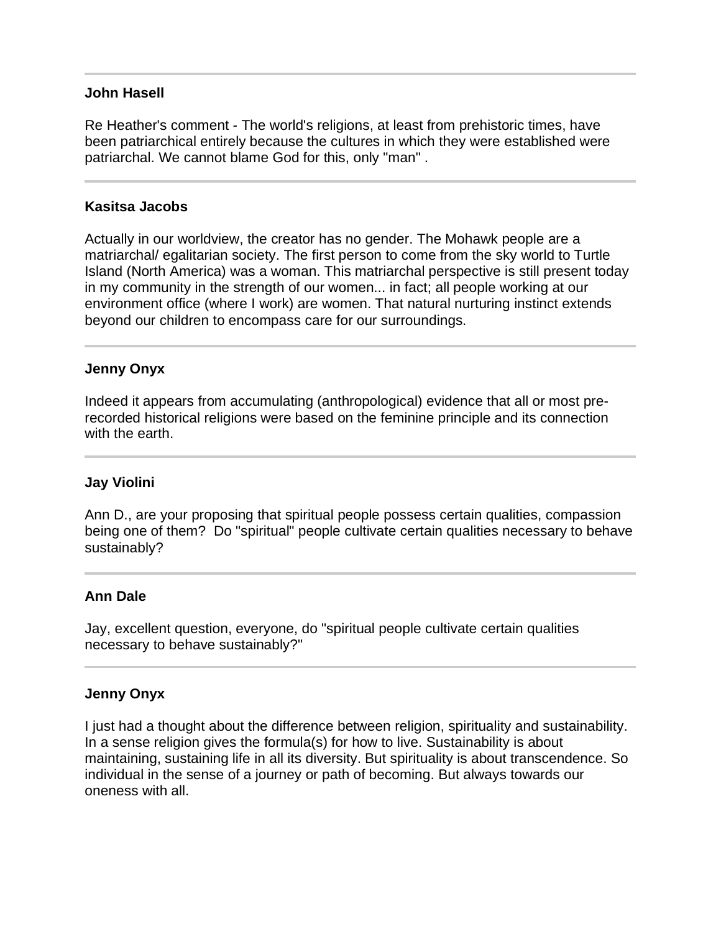#### **John Hasell**

 $\overline{a}$ 

Ī

Re Heather's comment - The world's religions, at least from prehistoric times, have been patriarchical entirely because the cultures in which they were established were patriarchal. We cannot blame God for this, only "man" .

#### **Kasitsa Jacobs**

Actually in our worldview, the creator has no gender. The Mohawk people are a matriarchal/ egalitarian society. The first person to come from the sky world to Turtle Island (North America) was a woman. This matriarchal perspective is still present today in my community in the strength of our women... in fact; all people working at our environment office (where I work) are women. That natural nurturing instinct extends beyond our children to encompass care for our surroundings.

## **Jenny Onyx**

Indeed it appears from accumulating (anthropological) evidence that all or most prerecorded historical religions were based on the feminine principle and its connection with the earth.

#### **Jay Violini**

Ann D., are your proposing that spiritual people possess certain qualities, compassion being one of them? Do "spiritual" people cultivate certain qualities necessary to behave sustainably?

## **Ann Dale**

l

Jay, excellent question, everyone, do "spiritual people cultivate certain qualities necessary to behave sustainably?"

#### **Jenny Onyx**

I just had a thought about the difference between religion, spirituality and sustainability. In a sense religion gives the formula(s) for how to live. Sustainability is about maintaining, sustaining life in all its diversity. But spirituality is about transcendence. So individual in the sense of a journey or path of becoming. But always towards our oneness with all.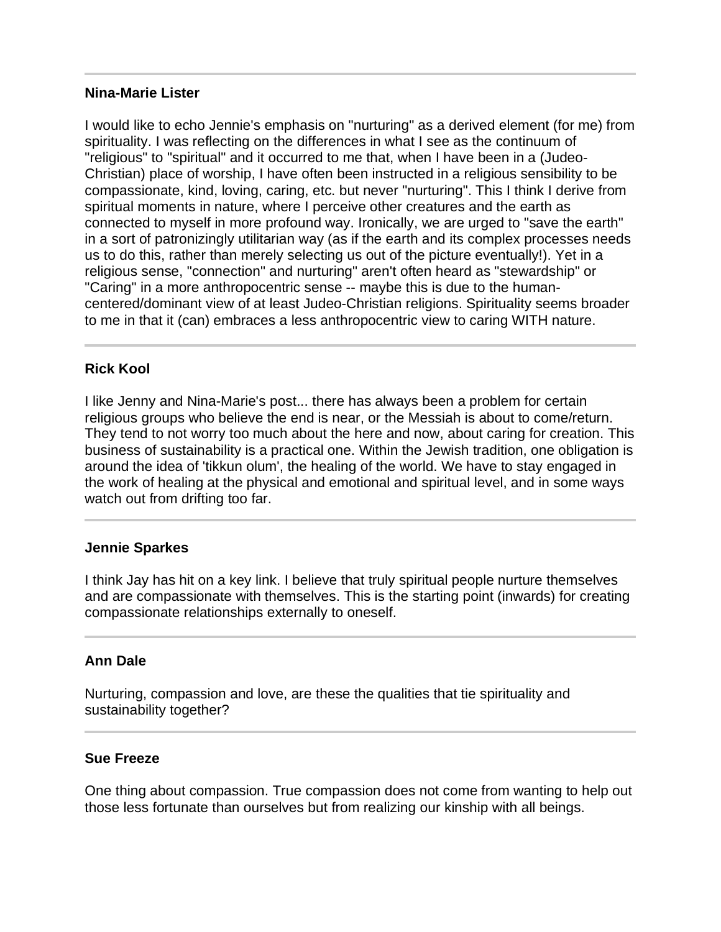#### **Nina-Marie Lister**

I would like to echo Jennie's emphasis on "nurturing" as a derived element (for me) from spirituality. I was reflecting on the differences in what I see as the continuum of "religious" to "spiritual" and it occurred to me that, when I have been in a (Judeo-Christian) place of worship, I have often been instructed in a religious sensibility to be compassionate, kind, loving, caring, etc. but never "nurturing". This I think I derive from spiritual moments in nature, where I perceive other creatures and the earth as connected to myself in more profound way. Ironically, we are urged to "save the earth" in a sort of patronizingly utilitarian way (as if the earth and its complex processes needs us to do this, rather than merely selecting us out of the picture eventually!). Yet in a religious sense, "connection" and nurturing" aren't often heard as "stewardship" or "Caring" in a more anthropocentric sense -- maybe this is due to the humancentered/dominant view of at least Judeo-Christian religions. Spirituality seems broader to me in that it (can) embraces a less anthropocentric view to caring WITH nature.

#### **Rick Kool**

I like Jenny and Nina-Marie's post... there has always been a problem for certain religious groups who believe the end is near, or the Messiah is about to come/return. They tend to not worry too much about the here and now, about caring for creation. This business of sustainability is a practical one. Within the Jewish tradition, one obligation is around the idea of 'tikkun olum', the healing of the world. We have to stay engaged in the work of healing at the physical and emotional and spiritual level, and in some ways watch out from drifting too far.

#### **Jennie Sparkes**

l

I think Jay has hit on a key link. I believe that truly spiritual people nurture themselves and are compassionate with themselves. This is the starting point (inwards) for creating compassionate relationships externally to oneself.

#### **Ann Dale**

l

Nurturing, compassion and love, are these the qualities that tie spirituality and sustainability together?

#### **Sue Freeze**

One thing about compassion. True compassion does not come from wanting to help out those less fortunate than ourselves but from realizing our kinship with all beings.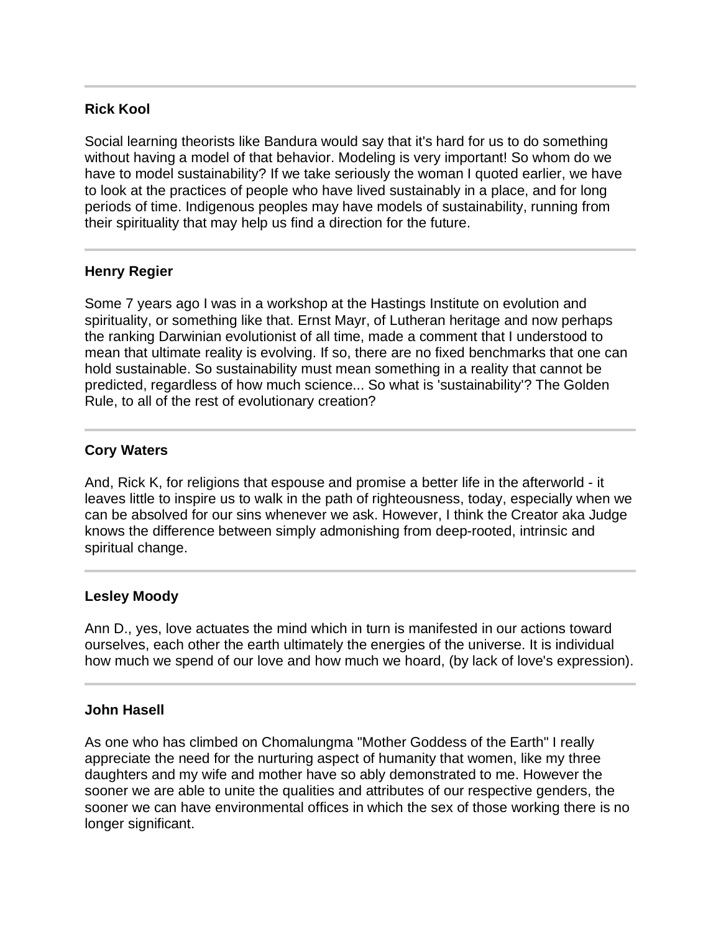## **Rick Kool**

Social learning theorists like Bandura would say that it's hard for us to do something without having a model of that behavior. Modeling is very important! So whom do we have to model sustainability? If we take seriously the woman I quoted earlier, we have to look at the practices of people who have lived sustainably in a place, and for long periods of time. Indigenous peoples may have models of sustainability, running from their spirituality that may help us find a direction for the future.

## **Henry Regier**

Some 7 years ago I was in a workshop at the Hastings Institute on evolution and spirituality, or something like that. Ernst Mayr, of Lutheran heritage and now perhaps the ranking Darwinian evolutionist of all time, made a comment that I understood to mean that ultimate reality is evolving. If so, there are no fixed benchmarks that one can hold sustainable. So sustainability must mean something in a reality that cannot be predicted, regardless of how much science... So what is 'sustainability'? The Golden Rule, to all of the rest of evolutionary creation?

## **Cory Waters**

And, Rick K, for religions that espouse and promise a better life in the afterworld - it leaves little to inspire us to walk in the path of righteousness, today, especially when we can be absolved for our sins whenever we ask. However, I think the Creator aka Judge knows the difference between simply admonishing from deep-rooted, intrinsic and spiritual change.

## **Lesley Moody**

Ann D., yes, love actuates the mind which in turn is manifested in our actions toward ourselves, each other the earth ultimately the energies of the universe. It is individual how much we spend of our love and how much we hoard, (by lack of love's expression).

## **John Hasell**

l

As one who has climbed on Chomalungma "Mother Goddess of the Earth" I really appreciate the need for the nurturing aspect of humanity that women, like my three daughters and my wife and mother have so ably demonstrated to me. However the sooner we are able to unite the qualities and attributes of our respective genders, the sooner we can have environmental offices in which the sex of those working there is no longer significant.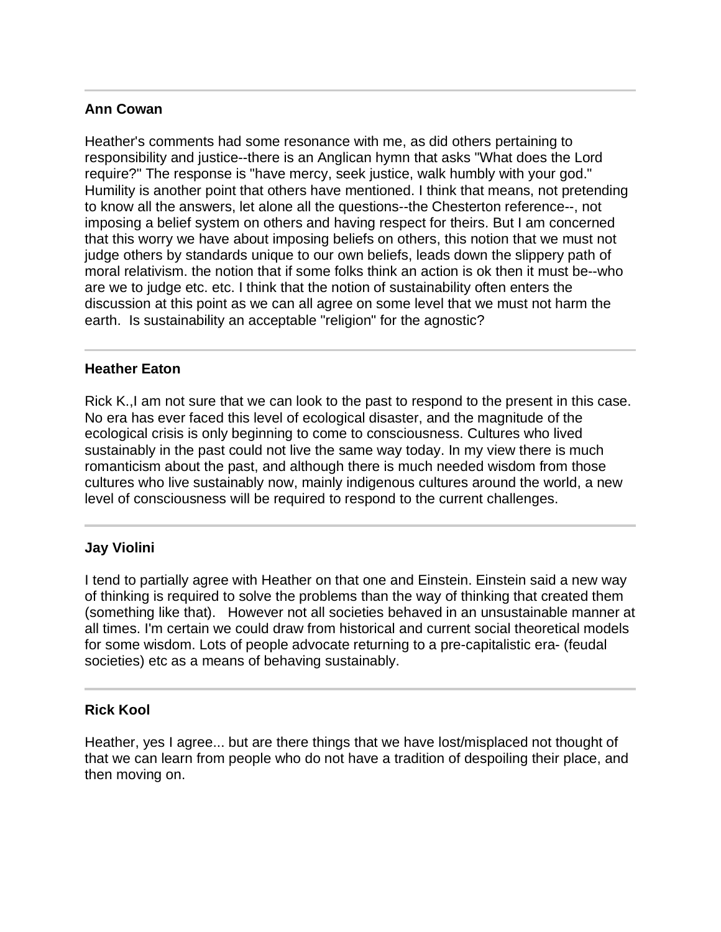## **Ann Cowan**

Heather's comments had some resonance with me, as did others pertaining to responsibility and justice--there is an Anglican hymn that asks "What does the Lord require?" The response is "have mercy, seek justice, walk humbly with your god." Humility is another point that others have mentioned. I think that means, not pretending to know all the answers, let alone all the questions--the Chesterton reference--, not imposing a belief system on others and having respect for theirs. But I am concerned that this worry we have about imposing beliefs on others, this notion that we must not judge others by standards unique to our own beliefs, leads down the slippery path of moral relativism. the notion that if some folks think an action is ok then it must be--who are we to judge etc. etc. I think that the notion of sustainability often enters the discussion at this point as we can all agree on some level that we must not harm the earth. Is sustainability an acceptable "religion" for the agnostic?

#### j **Heather Eaton**

Rick K.,I am not sure that we can look to the past to respond to the present in this case. No era has ever faced this level of ecological disaster, and the magnitude of the ecological crisis is only beginning to come to consciousness. Cultures who lived sustainably in the past could not live the same way today. In my view there is much romanticism about the past, and although there is much needed wisdom from those cultures who live sustainably now, mainly indigenous cultures around the world, a new level of consciousness will be required to respond to the current challenges.

# **Jay Violini**

I tend to partially agree with Heather on that one and Einstein. Einstein said a new way of thinking is required to solve the problems than the way of thinking that created them (something like that). However not all societies behaved in an unsustainable manner at all times. I'm certain we could draw from historical and current social theoretical models for some wisdom. Lots of people advocate returning to a pre-capitalistic era- (feudal societies) etc as a means of behaving sustainably.

## **Rick Kool**

Heather, yes I agree... but are there things that we have lost/misplaced not thought of that we can learn from people who do not have a tradition of despoiling their place, and then moving on.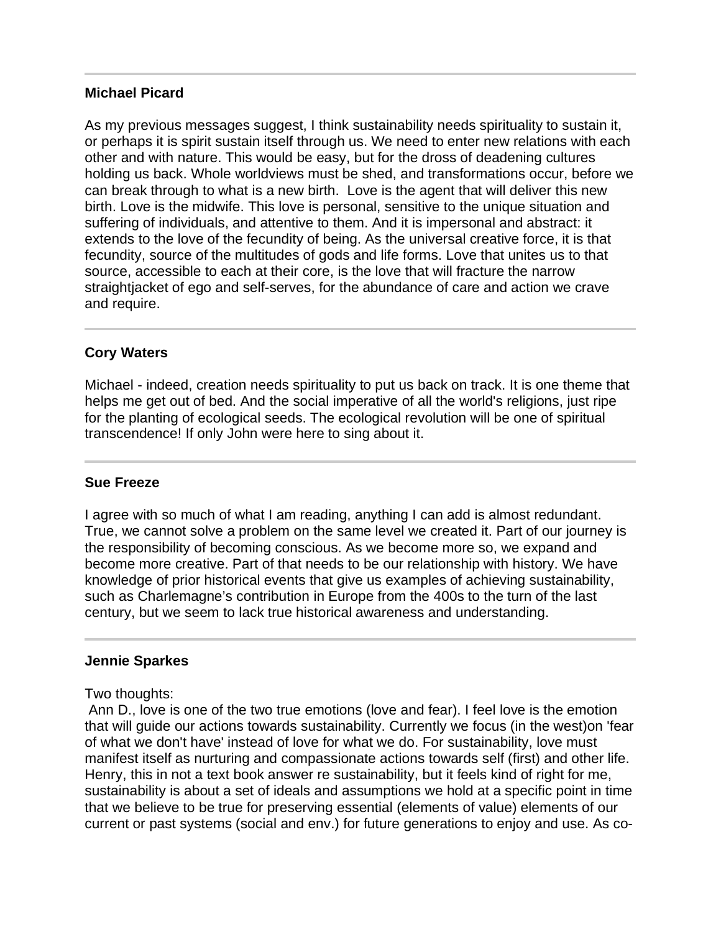#### **Michael Picard**

As my previous messages suggest, I think sustainability needs spirituality to sustain it, or perhaps it is spirit sustain itself through us. We need to enter new relations with each other and with nature. This would be easy, but for the dross of deadening cultures holding us back. Whole worldviews must be shed, and transformations occur, before we can break through to what is a new birth. Love is the agent that will deliver this new birth. Love is the midwife. This love is personal, sensitive to the unique situation and suffering of individuals, and attentive to them. And it is impersonal and abstract: it extends to the love of the fecundity of being. As the universal creative force, it is that fecundity, source of the multitudes of gods and life forms. Love that unites us to that source, accessible to each at their core, is the love that will fracture the narrow straightjacket of ego and self-serves, for the abundance of care and action we crave and require.

## **Cory Waters**

Michael - indeed, creation needs spirituality to put us back on track. It is one theme that helps me get out of bed. And the social imperative of all the world's religions, just ripe for the planting of ecological seeds. The ecological revolution will be one of spiritual transcendence! If only John were here to sing about it.

#### **Sue Freeze**

I agree with so much of what I am reading, anything I can add is almost redundant. True, we cannot solve a problem on the same level we created it. Part of our journey is the responsibility of becoming conscious. As we become more so, we expand and become more creative. Part of that needs to be our relationship with history. We have knowledge of prior historical events that give us examples of achieving sustainability, such as Charlemagne's contribution in Europe from the 400s to the turn of the last century, but we seem to lack true historical awareness and understanding.

#### **Jennie Sparkes**

Two thoughts:

Ī

 Ann D., love is one of the two true emotions (love and fear). I feel love is the emotion that will guide our actions towards sustainability. Currently we focus (in the west)on 'fear of what we don't have' instead of love for what we do. For sustainability, love must manifest itself as nurturing and compassionate actions towards self (first) and other life. Henry, this in not a text book answer re sustainability, but it feels kind of right for me, sustainability is about a set of ideals and assumptions we hold at a specific point in time that we believe to be true for preserving essential (elements of value) elements of our current or past systems (social and env.) for future generations to enjoy and use. As co-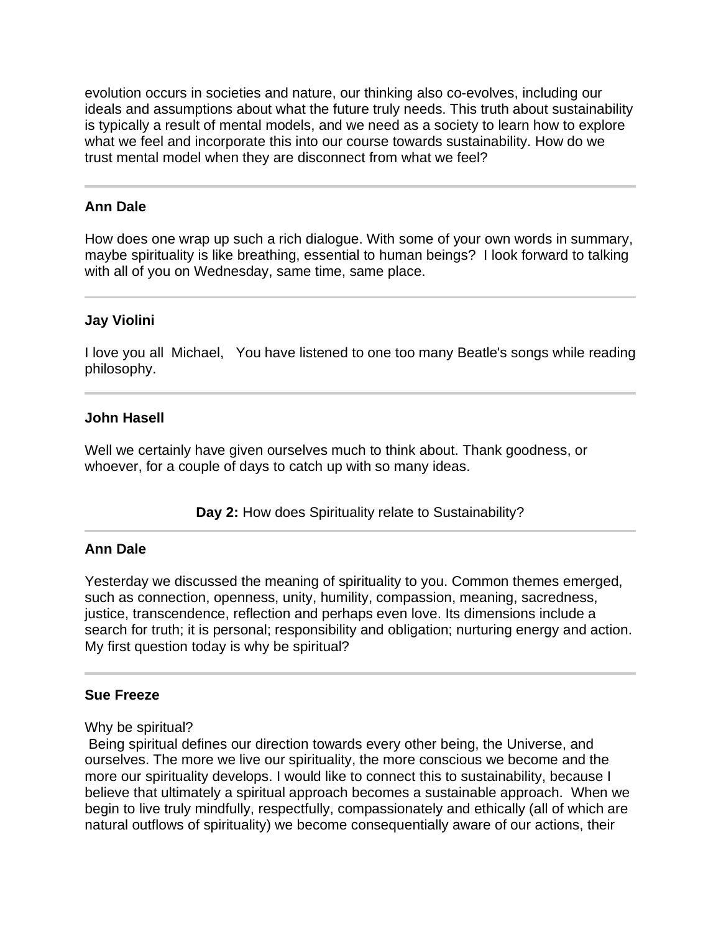evolution occurs in societies and nature, our thinking also co-evolves, including our ideals and assumptions about what the future truly needs. This truth about sustainability is typically a result of mental models, and we need as a society to learn how to explore what we feel and incorporate this into our course towards sustainability. How do we trust mental model when they are disconnect from what we feel?

#### **Ann Dale**

I

How does one wrap up such a rich dialogue. With some of your own words in summary, maybe spirituality is like breathing, essential to human beings? I look forward to talking with all of you on Wednesday, same time, same place.

#### **Jay Violini**

I love you all Michael, You have listened to one too many Beatle's songs while reading philosophy.

#### **John Hasell**

Well we certainly have given ourselves much to think about. Thank goodness, or whoever, for a couple of days to catch up with so many ideas.

**Day 2:** How does Spirituality relate to Sustainability?

#### **Ann Dale**

j

Yesterday we discussed the meaning of spirituality to you. Common themes emerged, such as connection, openness, unity, humility, compassion, meaning, sacredness, justice, transcendence, reflection and perhaps even love. Its dimensions include a search for truth; it is personal; responsibility and obligation; nurturing energy and action. My first question today is why be spiritual?

#### **Sue Freeze**

#### Why be spiritual?

 Being spiritual defines our direction towards every other being, the Universe, and ourselves. The more we live our spirituality, the more conscious we become and the more our spirituality develops. I would like to connect this to sustainability, because I believe that ultimately a spiritual approach becomes a sustainable approach. When we begin to live truly mindfully, respectfully, compassionately and ethically (all of which are natural outflows of spirituality) we become consequentially aware of our actions, their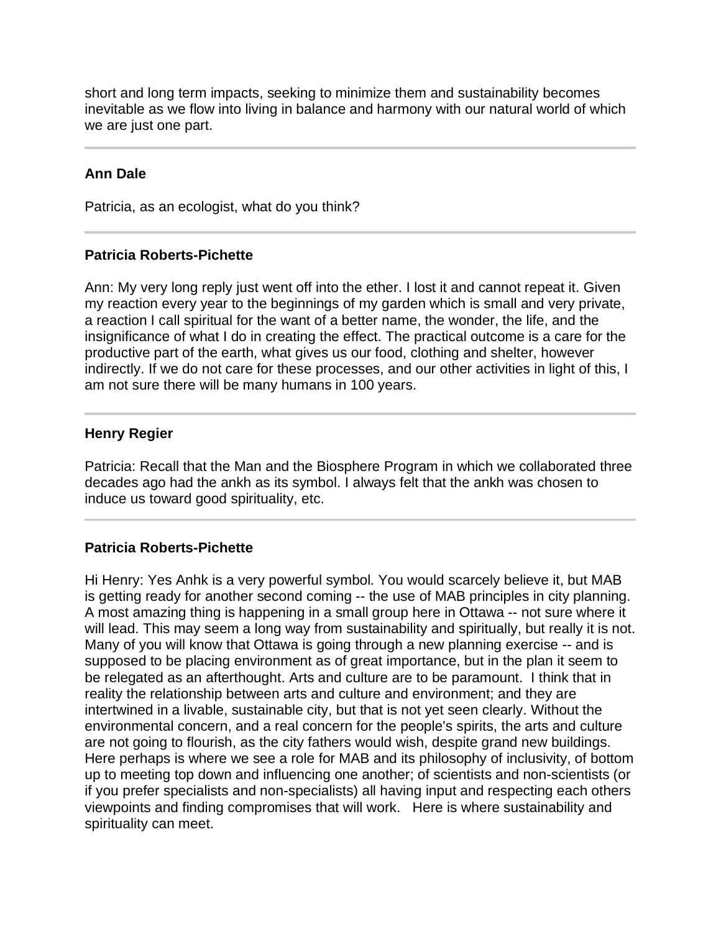short and long term impacts, seeking to minimize them and sustainability becomes inevitable as we flow into living in balance and harmony with our natural world of which we are just one part.

# **Ann Dale**

l

Patricia, as an ecologist, what do you think?

## **Patricia Roberts-Pichette**

Ann: My very long reply just went off into the ether. I lost it and cannot repeat it. Given my reaction every year to the beginnings of my garden which is small and very private, a reaction I call spiritual for the want of a better name, the wonder, the life, and the insignificance of what I do in creating the effect. The practical outcome is a care for the productive part of the earth, what gives us our food, clothing and shelter, however indirectly. If we do not care for these processes, and our other activities in light of this, I am not sure there will be many humans in 100 years.

#### **Henry Regier**

I

l

Patricia: Recall that the Man and the Biosphere Program in which we collaborated three decades ago had the ankh as its symbol. I always felt that the ankh was chosen to induce us toward good spirituality, etc.

## **Patricia Roberts-Pichette**

Hi Henry: Yes Anhk is a very powerful symbol. You would scarcely believe it, but MAB is getting ready for another second coming -- the use of MAB principles in city planning. A most amazing thing is happening in a small group here in Ottawa -- not sure where it will lead. This may seem a long way from sustainability and spiritually, but really it is not. Many of you will know that Ottawa is going through a new planning exercise -- and is supposed to be placing environment as of great importance, but in the plan it seem to be relegated as an afterthought. Arts and culture are to be paramount. I think that in reality the relationship between arts and culture and environment; and they are intertwined in a livable, sustainable city, but that is not yet seen clearly. Without the environmental concern, and a real concern for the people's spirits, the arts and culture are not going to flourish, as the city fathers would wish, despite grand new buildings. Here perhaps is where we see a role for MAB and its philosophy of inclusivity, of bottom up to meeting top down and influencing one another; of scientists and non-scientists (or if you prefer specialists and non-specialists) all having input and respecting each others viewpoints and finding compromises that will work. Here is where sustainability and spirituality can meet.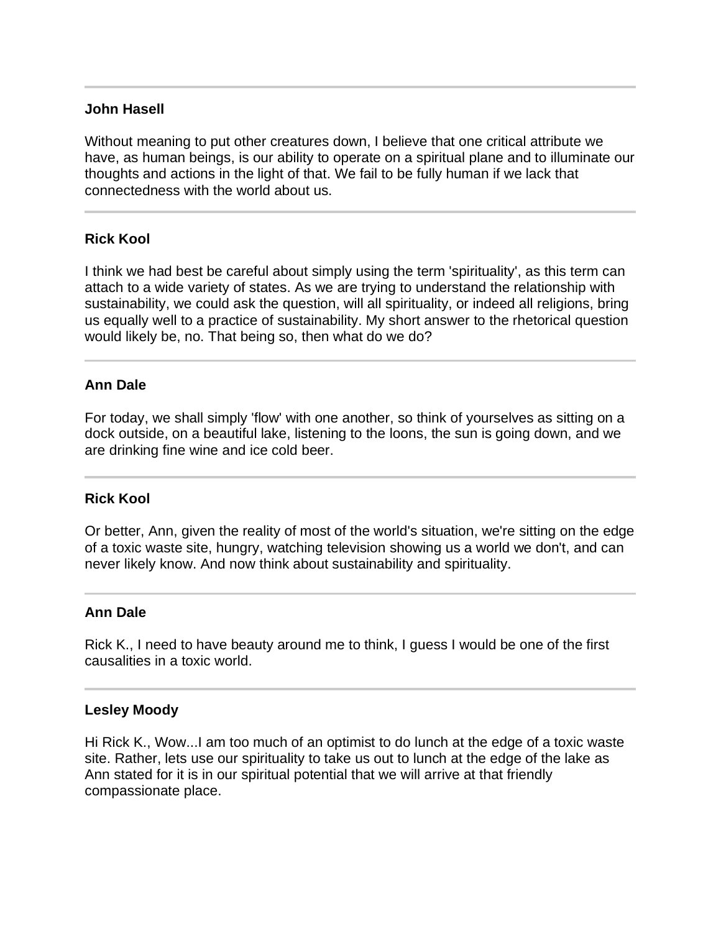#### **John Hasell**

Without meaning to put other creatures down, I believe that one critical attribute we have, as human beings, is our ability to operate on a spiritual plane and to illuminate our thoughts and actions in the light of that. We fail to be fully human if we lack that connectedness with the world about us.

#### **Rick Kool**

l

I think we had best be careful about simply using the term 'spirituality', as this term can attach to a wide variety of states. As we are trying to understand the relationship with sustainability, we could ask the question, will all spirituality, or indeed all religions, bring us equally well to a practice of sustainability. My short answer to the rhetorical question would likely be, no. That being so, then what do we do?

#### **Ann Dale**

For today, we shall simply 'flow' with one another, so think of yourselves as sitting on a dock outside, on a beautiful lake, listening to the loons, the sun is going down, and we are drinking fine wine and ice cold beer.

#### **Rick Kool**

Or better, Ann, given the reality of most of the world's situation, we're sitting on the edge of a toxic waste site, hungry, watching television showing us a world we don't, and can never likely know. And now think about sustainability and spirituality.

#### **Ann Dale**

Rick K., I need to have beauty around me to think, I guess I would be one of the first causalities in a toxic world.

#### **Lesley Moody**

Hi Rick K., Wow...I am too much of an optimist to do lunch at the edge of a toxic waste site. Rather, lets use our spirituality to take us out to lunch at the edge of the lake as Ann stated for it is in our spiritual potential that we will arrive at that friendly compassionate place.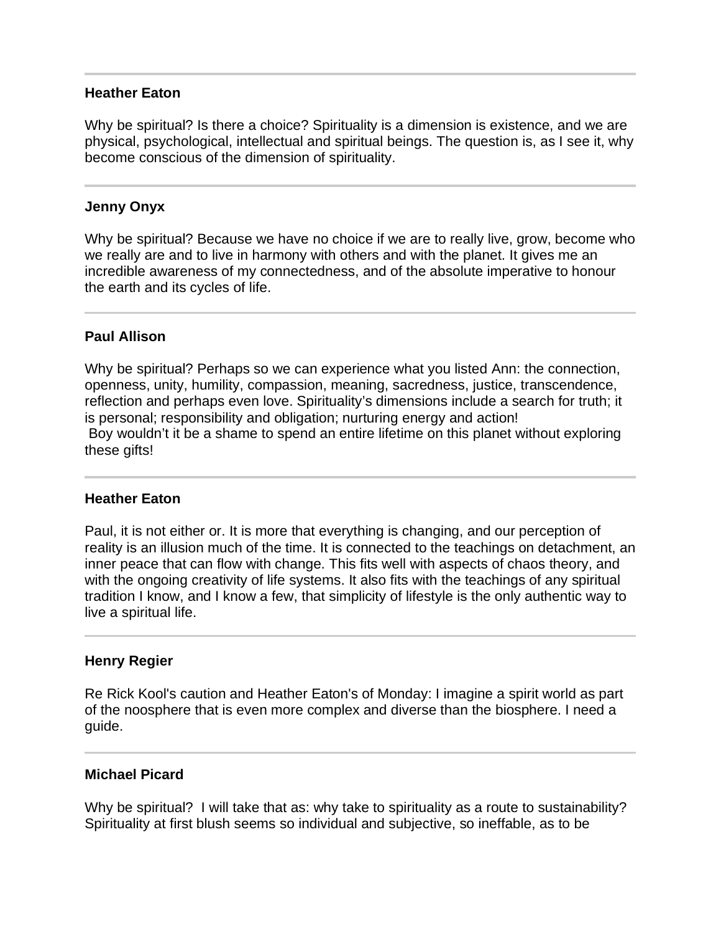#### **Heather Eaton**

Why be spiritual? Is there a choice? Spirituality is a dimension is existence, and we are physical, psychological, intellectual and spiritual beings. The question is, as I see it, why become conscious of the dimension of spirituality.

#### **Jenny Onyx**

Why be spiritual? Because we have no choice if we are to really live, grow, become who we really are and to live in harmony with others and with the planet. It gives me an incredible awareness of my connectedness, and of the absolute imperative to honour the earth and its cycles of life.

#### **Paul Allison**

Why be spiritual? Perhaps so we can experience what you listed Ann: the connection, openness, unity, humility, compassion, meaning, sacredness, justice, transcendence, reflection and perhaps even love. Spirituality's dimensions include a search for truth; it is personal; responsibility and obligation; nurturing energy and action! Boy wouldn't it be a shame to spend an entire lifetime on this planet without exploring these gifts!

#### **Heather Eaton**

Paul, it is not either or. It is more that everything is changing, and our perception of reality is an illusion much of the time. It is connected to the teachings on detachment, an inner peace that can flow with change. This fits well with aspects of chaos theory, and with the ongoing creativity of life systems. It also fits with the teachings of any spiritual tradition I know, and I know a few, that simplicity of lifestyle is the only authentic way to live a spiritual life.

#### **Henry Regier**

 $\overline{a}$ 

Re Rick Kool's caution and Heather Eaton's of Monday: I imagine a spirit world as part of the noosphere that is even more complex and diverse than the biosphere. I need a guide.

#### **Michael Picard**

Why be spiritual? I will take that as: why take to spirituality as a route to sustainability? Spirituality at first blush seems so individual and subjective, so ineffable, as to be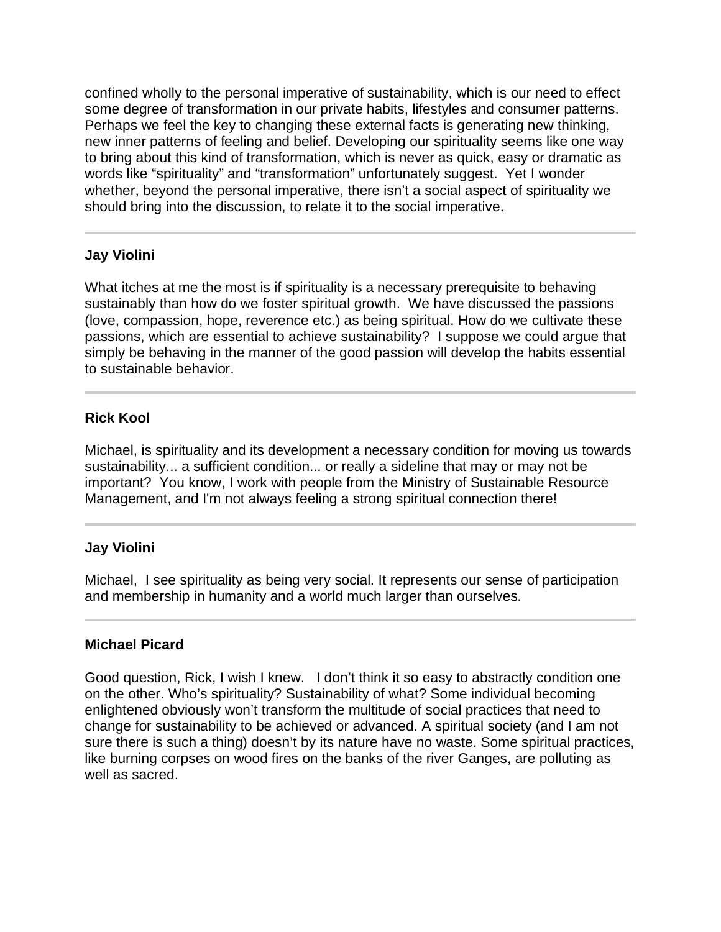confined wholly to the personal imperative of sustainability, which is our need to effect some degree of transformation in our private habits, lifestyles and consumer patterns. Perhaps we feel the key to changing these external facts is generating new thinking, new inner patterns of feeling and belief. Developing our spirituality seems like one way to bring about this kind of transformation, which is never as quick, easy or dramatic as words like "spirituality" and "transformation" unfortunately suggest. Yet I wonder whether, beyond the personal imperative, there isn't a social aspect of spirituality we should bring into the discussion, to relate it to the social imperative.

## **Jay Violini**

What itches at me the most is if spirituality is a necessary prerequisite to behaving sustainably than how do we foster spiritual growth. We have discussed the passions (love, compassion, hope, reverence etc.) as being spiritual. How do we cultivate these passions, which are essential to achieve sustainability? I suppose we could argue that simply be behaving in the manner of the good passion will develop the habits essential to sustainable behavior.

## **Rick Kool**

Michael, is spirituality and its development a necessary condition for moving us towards sustainability... a sufficient condition... or really a sideline that may or may not be important? You know, I work with people from the Ministry of Sustainable Resource Management, and I'm not always feeling a strong spiritual connection there!

## **Jay Violini**

 $\overline{a}$ 

Michael, I see spirituality as being very social. It represents our sense of participation and membership in humanity and a world much larger than ourselves.

## **Michael Picard**

Good question, Rick, I wish I knew. I don't think it so easy to abstractly condition one on the other. Who's spirituality? Sustainability of what? Some individual becoming enlightened obviously won't transform the multitude of social practices that need to change for sustainability to be achieved or advanced. A spiritual society (and I am not sure there is such a thing) doesn't by its nature have no waste. Some spiritual practices, like burning corpses on wood fires on the banks of the river Ganges, are polluting as well as sacred.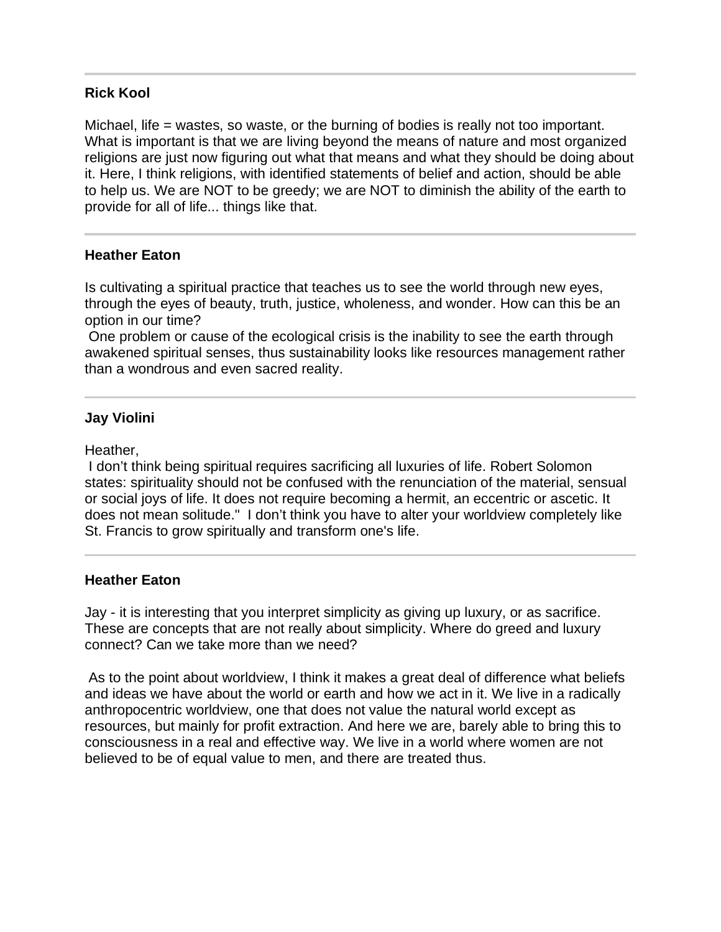#### **Rick Kool**

Michael, life = wastes, so waste, or the burning of bodies is really not too important. What is important is that we are living beyond the means of nature and most organized religions are just now figuring out what that means and what they should be doing about it. Here, I think religions, with identified statements of belief and action, should be able to help us. We are NOT to be greedy; we are NOT to diminish the ability of the earth to provide for all of life... things like that.

#### **Heather Eaton**

Is cultivating a spiritual practice that teaches us to see the world through new eyes, through the eyes of beauty, truth, justice, wholeness, and wonder. How can this be an option in our time?

 One problem or cause of the ecological crisis is the inability to see the earth through awakened spiritual senses, thus sustainability looks like resources management rather than a wondrous and even sacred reality.

#### **Jay Violini**

Heather,

I

 I don't think being spiritual requires sacrificing all luxuries of life. Robert Solomon states: spirituality should not be confused with the renunciation of the material, sensual or social joys of life. It does not require becoming a hermit, an eccentric or ascetic. It does not mean solitude." I don't think you have to alter your worldview completely like St. Francis to grow spiritually and transform one's life.

#### **Heather Eaton**

Jay - it is interesting that you interpret simplicity as giving up luxury, or as sacrifice. These are concepts that are not really about simplicity. Where do greed and luxury connect? Can we take more than we need?

 As to the point about worldview, I think it makes a great deal of difference what beliefs and ideas we have about the world or earth and how we act in it. We live in a radically anthropocentric worldview, one that does not value the natural world except as resources, but mainly for profit extraction. And here we are, barely able to bring this to consciousness in a real and effective way. We live in a world where women are not believed to be of equal value to men, and there are treated thus.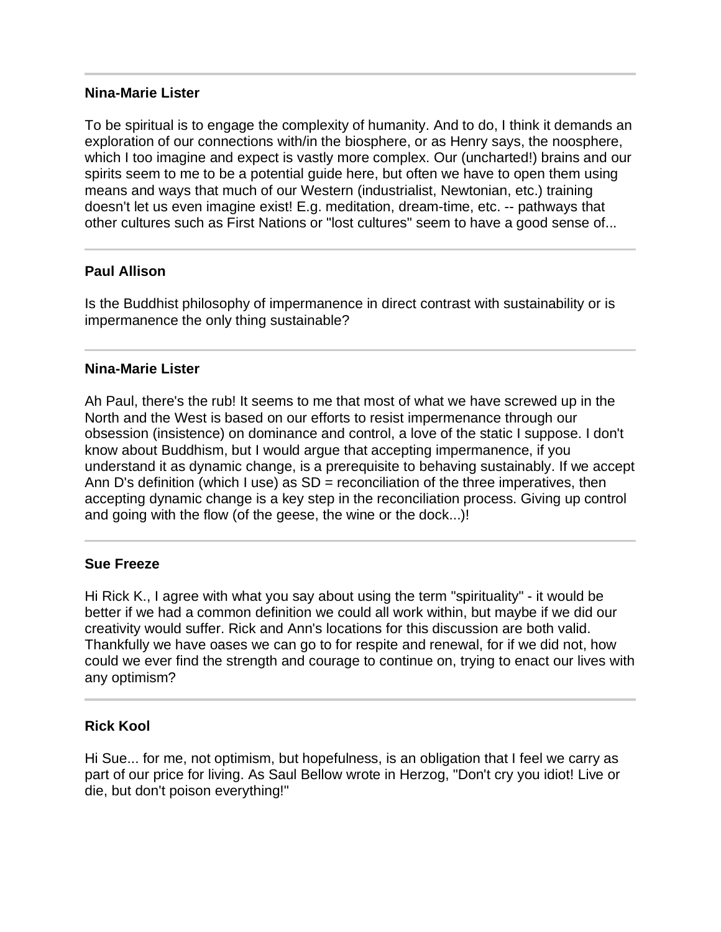#### **Nina-Marie Lister**

To be spiritual is to engage the complexity of humanity. And to do, I think it demands an exploration of our connections with/in the biosphere, or as Henry says, the noosphere, which I too imagine and expect is vastly more complex. Our (uncharted!) brains and our spirits seem to me to be a potential guide here, but often we have to open them using means and ways that much of our Western (industrialist, Newtonian, etc.) training doesn't let us even imagine exist! E.g. meditation, dream-time, etc. -- pathways that other cultures such as First Nations or "lost cultures" seem to have a good sense of...

## **Paul Allison**

Is the Buddhist philosophy of impermanence in direct contrast with sustainability or is impermanence the only thing sustainable?

## **Nina-Marie Lister**

Ah Paul, there's the rub! It seems to me that most of what we have screwed up in the North and the West is based on our efforts to resist impermenance through our obsession (insistence) on dominance and control, a love of the static I suppose. I don't know about Buddhism, but I would argue that accepting impermanence, if you understand it as dynamic change, is a prerequisite to behaving sustainably. If we accept Ann D's definition (which I use) as  $SD =$  reconciliation of the three imperatives, then accepting dynamic change is a key step in the reconciliation process. Giving up control and going with the flow (of the geese, the wine or the dock...)!

## **Sue Freeze**

Hi Rick K., I agree with what you say about using the term "spirituality" - it would be better if we had a common definition we could all work within, but maybe if we did our creativity would suffer. Rick and Ann's locations for this discussion are both valid. Thankfully we have oases we can go to for respite and renewal, for if we did not, how could we ever find the strength and courage to continue on, trying to enact our lives with any optimism?

## **Rick Kool**

l

Hi Sue... for me, not optimism, but hopefulness, is an obligation that I feel we carry as part of our price for living. As Saul Bellow wrote in Herzog, "Don't cry you idiot! Live or die, but don't poison everything!"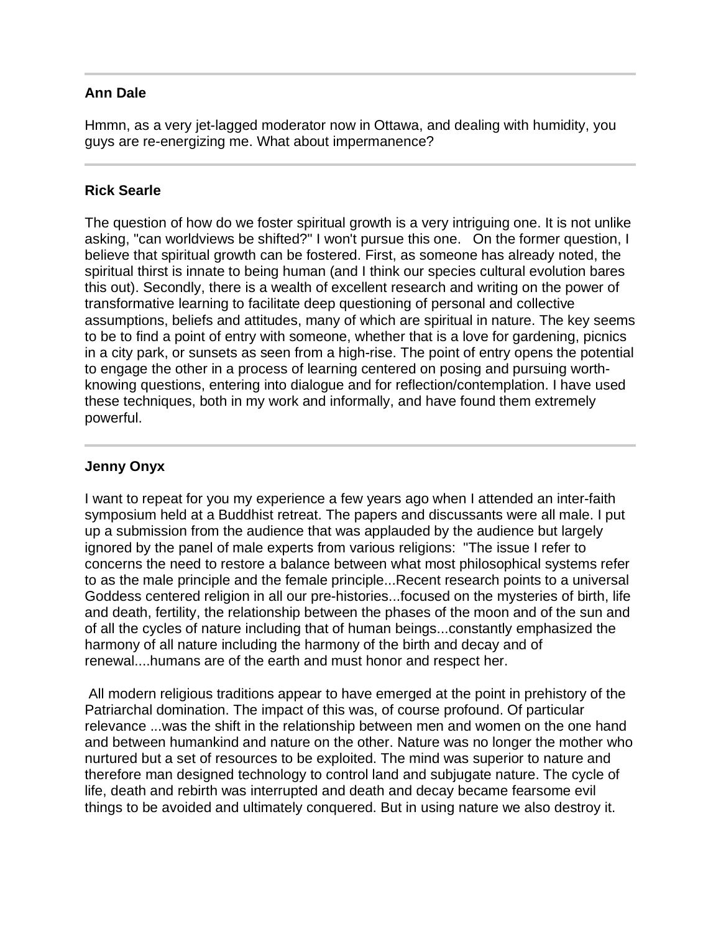## **Ann Dale**

l

Hmmn, as a very jet-lagged moderator now in Ottawa, and dealing with humidity, you guys are re-energizing me. What about impermanence?

#### **Rick Searle**

The question of how do we foster spiritual growth is a very intriguing one. It is not unlike asking, "can worldviews be shifted?" I won't pursue this one. On the former question, I believe that spiritual growth can be fostered. First, as someone has already noted, the spiritual thirst is innate to being human (and I think our species cultural evolution bares this out). Secondly, there is a wealth of excellent research and writing on the power of transformative learning to facilitate deep questioning of personal and collective assumptions, beliefs and attitudes, many of which are spiritual in nature. The key seems to be to find a point of entry with someone, whether that is a love for gardening, picnics in a city park, or sunsets as seen from a high-rise. The point of entry opens the potential to engage the other in a process of learning centered on posing and pursuing worthknowing questions, entering into dialogue and for reflection/contemplation. I have used these techniques, both in my work and informally, and have found them extremely powerful.

## **Jenny Onyx**

I want to repeat for you my experience a few years ago when I attended an inter-faith symposium held at a Buddhist retreat. The papers and discussants were all male. I put up a submission from the audience that was applauded by the audience but largely ignored by the panel of male experts from various religions: "The issue I refer to concerns the need to restore a balance between what most philosophical systems refer to as the male principle and the female principle...Recent research points to a universal Goddess centered religion in all our pre-histories...focused on the mysteries of birth, life and death, fertility, the relationship between the phases of the moon and of the sun and of all the cycles of nature including that of human beings...constantly emphasized the harmony of all nature including the harmony of the birth and decay and of renewal....humans are of the earth and must honor and respect her.

 All modern religious traditions appear to have emerged at the point in prehistory of the Patriarchal domination. The impact of this was, of course profound. Of particular relevance ...was the shift in the relationship between men and women on the one hand and between humankind and nature on the other. Nature was no longer the mother who nurtured but a set of resources to be exploited. The mind was superior to nature and therefore man designed technology to control land and subjugate nature. The cycle of life, death and rebirth was interrupted and death and decay became fearsome evil things to be avoided and ultimately conquered. But in using nature we also destroy it.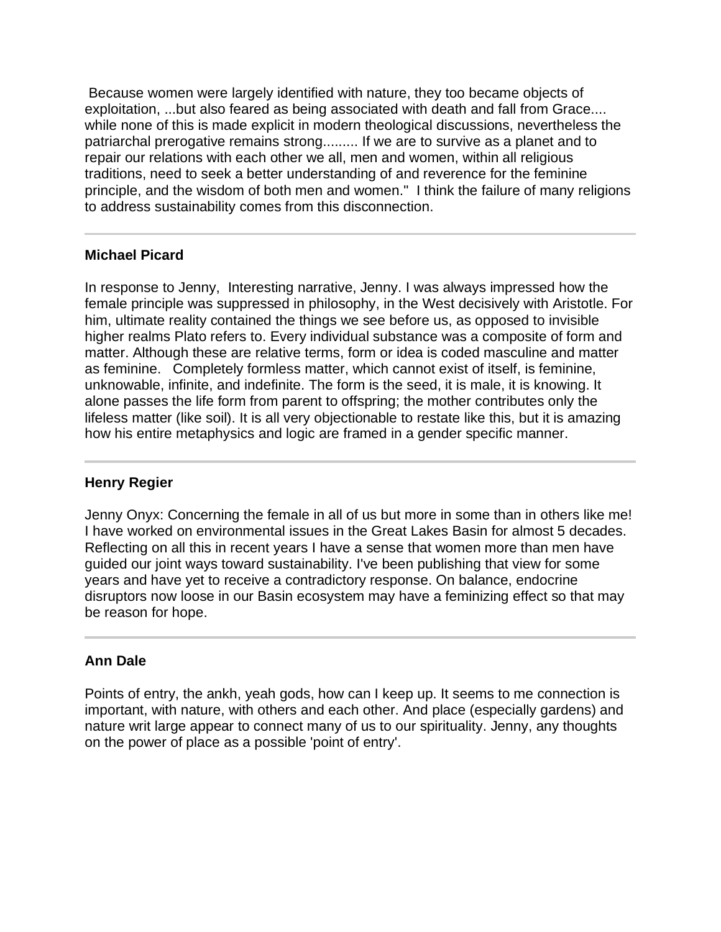Because women were largely identified with nature, they too became objects of exploitation, ...but also feared as being associated with death and fall from Grace.... while none of this is made explicit in modern theological discussions, nevertheless the patriarchal prerogative remains strong......... If we are to survive as a planet and to repair our relations with each other we all, men and women, within all religious traditions, need to seek a better understanding of and reverence for the feminine principle, and the wisdom of both men and women." I think the failure of many religions to address sustainability comes from this disconnection.

## **Michael Picard**

I

I

In response to Jenny, Interesting narrative, Jenny. I was always impressed how the female principle was suppressed in philosophy, in the West decisively with Aristotle. For him, ultimate reality contained the things we see before us, as opposed to invisible higher realms Plato refers to. Every individual substance was a composite of form and matter. Although these are relative terms, form or idea is coded masculine and matter as feminine. Completely formless matter, which cannot exist of itself, is feminine, unknowable, infinite, and indefinite. The form is the seed, it is male, it is knowing. It alone passes the life form from parent to offspring; the mother contributes only the lifeless matter (like soil). It is all very objectionable to restate like this, but it is amazing how his entire metaphysics and logic are framed in a gender specific manner.

#### **Henry Regier**

Jenny Onyx: Concerning the female in all of us but more in some than in others like me! I have worked on environmental issues in the Great Lakes Basin for almost 5 decades. Reflecting on all this in recent years I have a sense that women more than men have guided our joint ways toward sustainability. I've been publishing that view for some years and have yet to receive a contradictory response. On balance, endocrine disruptors now loose in our Basin ecosystem may have a feminizing effect so that may be reason for hope.

## **Ann Dale**

Points of entry, the ankh, yeah gods, how can I keep up. It seems to me connection is important, with nature, with others and each other. And place (especially gardens) and nature writ large appear to connect many of us to our spirituality. Jenny, any thoughts on the power of place as a possible 'point of entry'.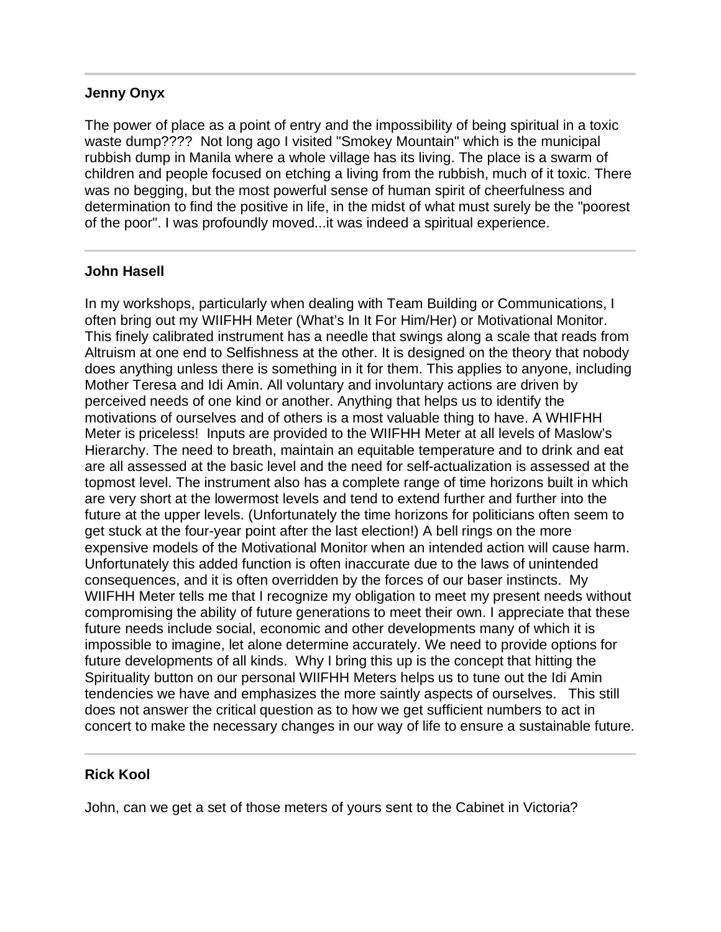#### **Jenny Onyx**

The power of place as a point of entry and the impossibility of being spiritual in a toxic waste dump???? Not long ago I visited "Smokey Mountain" which is the municipal rubbish dump in Manila where a whole village has its living. The place is a swarm of children and people focused on etching a living from the rubbish, much of it toxic. There was no begging, but the most powerful sense of human spirit of cheerfulness and determination to find the positive in life, in the midst of what must surely be the "poorest of the poor". I was profoundly moved...it was indeed a spiritual experience.

## **John Hasell**

I

In my workshops, particularly when dealing with Team Building or Communications, I often bring out my WIIFHH Meter (What's In It For Him/Her) or Motivational Monitor. This finely calibrated instrument has a needle that swings along a scale that reads from Altruism at one end to Selfishness at the other. It is designed on the theory that nobody does anything unless there is something in it for them. This applies to anyone, including Mother Teresa and Idi Amin. All voluntary and involuntary actions are driven by perceived needs of one kind or another. Anything that helps us to identify the motivations of ourselves and of others is a most valuable thing to have. A WHIFHH Meter is priceless! Inputs are provided to the WIIFHH Meter at all levels of Maslow's Hierarchy. The need to breath, maintain an equitable temperature and to drink and eat are all assessed at the basic level and the need for self-actualization is assessed at the topmost level. The instrument also has a complete range of time horizons built in which are very short at the lowermost levels and tend to extend further and further into the future at the upper levels. (Unfortunately the time horizons for politicians often seem to get stuck at the four-year point after the last election!) A bell rings on the more expensive models of the Motivational Monitor when an intended action will cause harm. Unfortunately this added function is often inaccurate due to the laws of unintended consequences, and it is often overridden by the forces of our baser instincts. My WIIFHH Meter tells me that I recognize my obligation to meet my present needs without compromising the ability of future generations to meet their own. I appreciate that these future needs include social, economic and other developments many of which it is impossible to imagine, let alone determine accurately. We need to provide options for future developments of all kinds. Why I bring this up is the concept that hitting the Spirituality button on our personal WIIFHH Meters helps us to tune out the Idi Amin tendencies we have and emphasizes the more saintly aspects of ourselves. This still does not answer the critical question as to how we get sufficient numbers to act in concert to make the necessary changes in our way of life to ensure a sustainable future.

## **Rick Kool**

I

John, can we get a set of those meters of yours sent to the Cabinet in Victoria?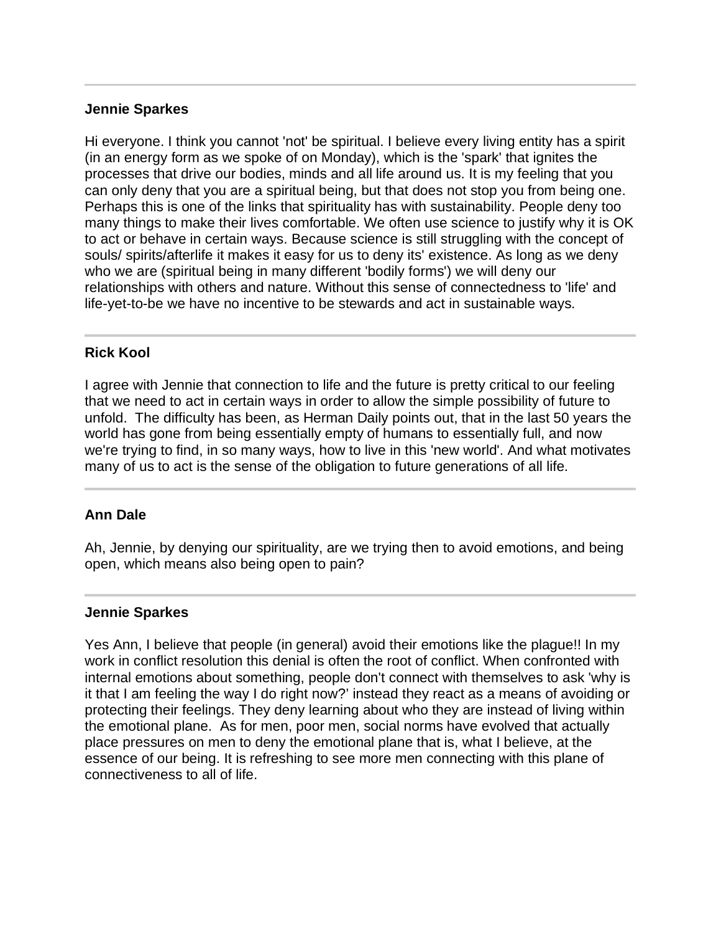#### **Jennie Sparkes**

Hi everyone. I think you cannot 'not' be spiritual. I believe every living entity has a spirit (in an energy form as we spoke of on Monday), which is the 'spark' that ignites the processes that drive our bodies, minds and all life around us. It is my feeling that you can only deny that you are a spiritual being, but that does not stop you from being one. Perhaps this is one of the links that spirituality has with sustainability. People deny too many things to make their lives comfortable. We often use science to justify why it is OK to act or behave in certain ways. Because science is still struggling with the concept of souls/ spirits/afterlife it makes it easy for us to deny its' existence. As long as we deny who we are (spiritual being in many different 'bodily forms') we will deny our relationships with others and nature. Without this sense of connectedness to 'life' and life-yet-to-be we have no incentive to be stewards and act in sustainable ways.

## **Rick Kool**

j

I agree with Jennie that connection to life and the future is pretty critical to our feeling that we need to act in certain ways in order to allow the simple possibility of future to unfold. The difficulty has been, as Herman Daily points out, that in the last 50 years the world has gone from being essentially empty of humans to essentially full, and now we're trying to find, in so many ways, how to live in this 'new world'. And what motivates many of us to act is the sense of the obligation to future generations of all life.

## **Ann Dale**

Ah, Jennie, by denying our spirituality, are we trying then to avoid emotions, and being open, which means also being open to pain?

#### **Jennie Sparkes**

Yes Ann, I believe that people (in general) avoid their emotions like the plague!! In my work in conflict resolution this denial is often the root of conflict. When confronted with internal emotions about something, people don't connect with themselves to ask 'why is it that I am feeling the way I do right now?' instead they react as a means of avoiding or protecting their feelings. They deny learning about who they are instead of living within the emotional plane. As for men, poor men, social norms have evolved that actually place pressures on men to deny the emotional plane that is, what I believe, at the essence of our being. It is refreshing to see more men connecting with this plane of connectiveness to all of life.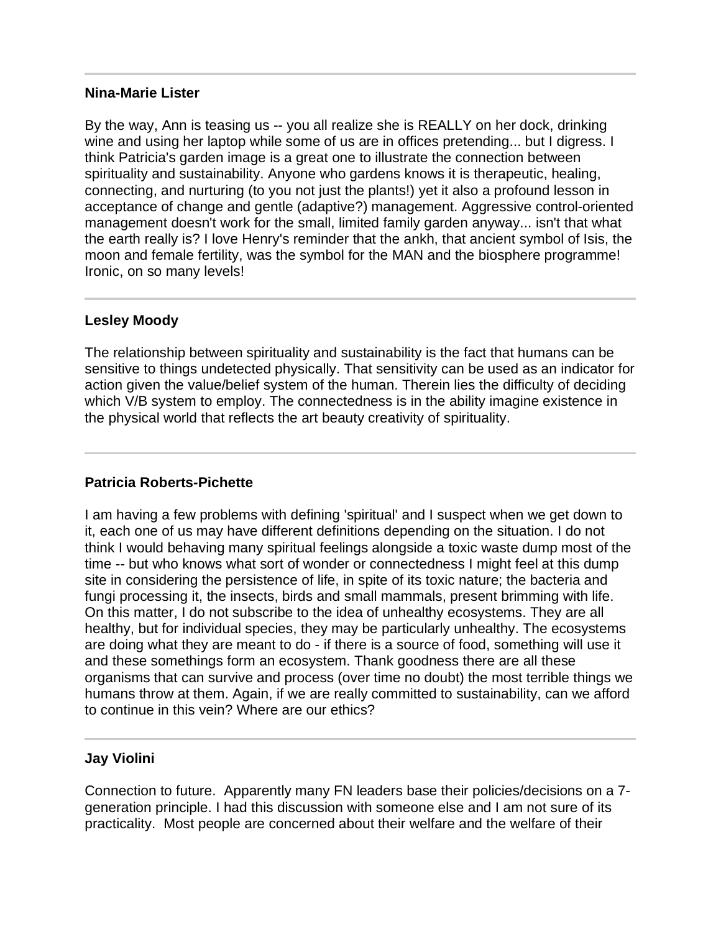#### **Nina-Marie Lister**

By the way, Ann is teasing us -- you all realize she is REALLY on her dock, drinking wine and using her laptop while some of us are in offices pretending... but I digress. I think Patricia's garden image is a great one to illustrate the connection between spirituality and sustainability. Anyone who gardens knows it is therapeutic, healing, connecting, and nurturing (to you not just the plants!) yet it also a profound lesson in acceptance of change and gentle (adaptive?) management. Aggressive control-oriented management doesn't work for the small, limited family garden anyway... isn't that what the earth really is? I love Henry's reminder that the ankh, that ancient symbol of Isis, the moon and female fertility, was the symbol for the MAN and the biosphere programme! Ironic, on so many levels!

## **Lesley Moody**

I

The relationship between spirituality and sustainability is the fact that humans can be sensitive to things undetected physically. That sensitivity can be used as an indicator for action given the value/belief system of the human. Therein lies the difficulty of deciding which V/B system to employ. The connectedness is in the ability imagine existence in the physical world that reflects the art beauty creativity of spirituality.

## **Patricia Roberts-Pichette**

I am having a few problems with defining 'spiritual' and I suspect when we get down to it, each one of us may have different definitions depending on the situation. I do not think I would behaving many spiritual feelings alongside a toxic waste dump most of the time -- but who knows what sort of wonder or connectedness I might feel at this dump site in considering the persistence of life, in spite of its toxic nature; the bacteria and fungi processing it, the insects, birds and small mammals, present brimming with life. On this matter, I do not subscribe to the idea of unhealthy ecosystems. They are all healthy, but for individual species, they may be particularly unhealthy. The ecosystems are doing what they are meant to do - if there is a source of food, something will use it and these somethings form an ecosystem. Thank goodness there are all these organisms that can survive and process (over time no doubt) the most terrible things we humans throw at them. Again, if we are really committed to sustainability, can we afford to continue in this vein? Where are our ethics?

## **Jay Violini**

Connection to future. Apparently many FN leaders base their policies/decisions on a 7 generation principle. I had this discussion with someone else and I am not sure of its practicality. Most people are concerned about their welfare and the welfare of their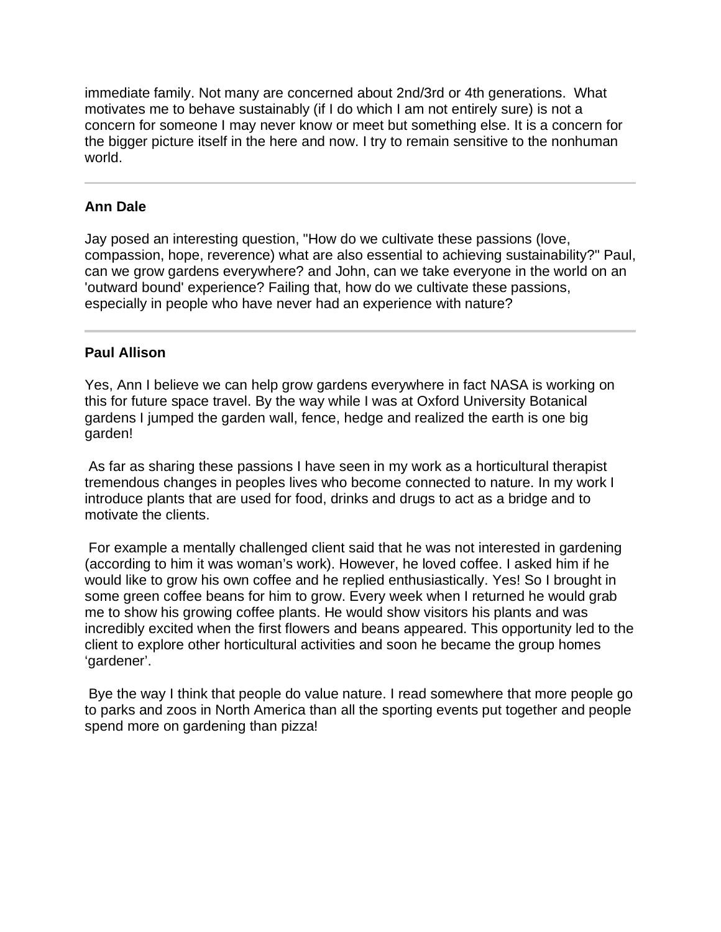immediate family. Not many are concerned about 2nd/3rd or 4th generations. What motivates me to behave sustainably (if I do which I am not entirely sure) is not a concern for someone I may never know or meet but something else. It is a concern for the bigger picture itself in the here and now. I try to remain sensitive to the nonhuman world.

# **Ann Dale**

Jay posed an interesting question, "How do we cultivate these passions (love, compassion, hope, reverence) what are also essential to achieving sustainability?" Paul, can we grow gardens everywhere? and John, can we take everyone in the world on an 'outward bound' experience? Failing that, how do we cultivate these passions, especially in people who have never had an experience with nature?

## **Paul Allison**

Ī

Yes, Ann I believe we can help grow gardens everywhere in fact NASA is working on this for future space travel. By the way while I was at Oxford University Botanical gardens I jumped the garden wall, fence, hedge and realized the earth is one big garden!

 As far as sharing these passions I have seen in my work as a horticultural therapist tremendous changes in peoples lives who become connected to nature. In my work I introduce plants that are used for food, drinks and drugs to act as a bridge and to motivate the clients.

 For example a mentally challenged client said that he was not interested in gardening (according to him it was woman's work). However, he loved coffee. I asked him if he would like to grow his own coffee and he replied enthusiastically. Yes! So I brought in some green coffee beans for him to grow. Every week when I returned he would grab me to show his growing coffee plants. He would show visitors his plants and was incredibly excited when the first flowers and beans appeared. This opportunity led to the client to explore other horticultural activities and soon he became the group homes 'gardener'.

 Bye the way I think that people do value nature. I read somewhere that more people go to parks and zoos in North America than all the sporting events put together and people spend more on gardening than pizza!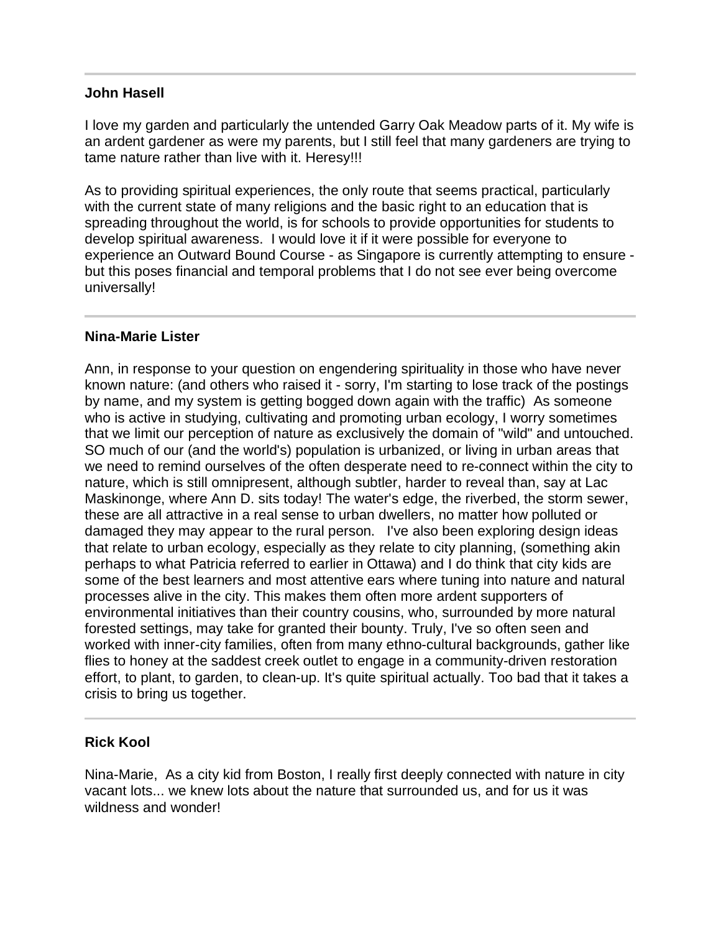## **John Hasell**

I love my garden and particularly the untended Garry Oak Meadow parts of it. My wife is an ardent gardener as were my parents, but I still feel that many gardeners are trying to tame nature rather than live with it. Heresy!!!

As to providing spiritual experiences, the only route that seems practical, particularly with the current state of many religions and the basic right to an education that is spreading throughout the world, is for schools to provide opportunities for students to develop spiritual awareness. I would love it if it were possible for everyone to experience an Outward Bound Course - as Singapore is currently attempting to ensure but this poses financial and temporal problems that I do not see ever being overcome universally!

## **Nina-Marie Lister**

Ann, in response to your question on engendering spirituality in those who have never known nature: (and others who raised it - sorry, I'm starting to lose track of the postings by name, and my system is getting bogged down again with the traffic) As someone who is active in studying, cultivating and promoting urban ecology, I worry sometimes that we limit our perception of nature as exclusively the domain of "wild" and untouched. SO much of our (and the world's) population is urbanized, or living in urban areas that we need to remind ourselves of the often desperate need to re-connect within the city to nature, which is still omnipresent, although subtler, harder to reveal than, say at Lac Maskinonge, where Ann D. sits today! The water's edge, the riverbed, the storm sewer, these are all attractive in a real sense to urban dwellers, no matter how polluted or damaged they may appear to the rural person. I've also been exploring design ideas that relate to urban ecology, especially as they relate to city planning, (something akin perhaps to what Patricia referred to earlier in Ottawa) and I do think that city kids are some of the best learners and most attentive ears where tuning into nature and natural processes alive in the city. This makes them often more ardent supporters of environmental initiatives than their country cousins, who, surrounded by more natural forested settings, may take for granted their bounty. Truly, I've so often seen and worked with inner-city families, often from many ethno-cultural backgrounds, gather like flies to honey at the saddest creek outlet to engage in a community-driven restoration effort, to plant, to garden, to clean-up. It's quite spiritual actually. Too bad that it takes a crisis to bring us together.

## **Rick Kool**

Nina-Marie, As a city kid from Boston, I really first deeply connected with nature in city vacant lots... we knew lots about the nature that surrounded us, and for us it was wildness and wonder!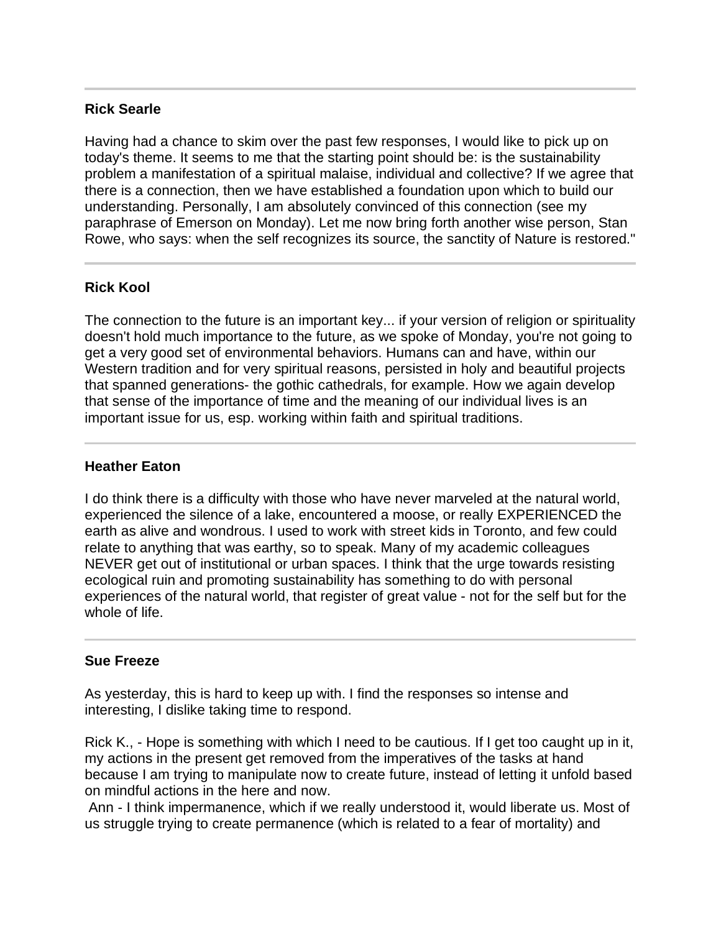## **Rick Searle**

Having had a chance to skim over the past few responses, I would like to pick up on today's theme. It seems to me that the starting point should be: is the sustainability problem a manifestation of a spiritual malaise, individual and collective? If we agree that there is a connection, then we have established a foundation upon which to build our understanding. Personally, I am absolutely convinced of this connection (see my paraphrase of Emerson on Monday). Let me now bring forth another wise person, Stan Rowe, who says: when the self recognizes its source, the sanctity of Nature is restored."

## **Rick Kool**

The connection to the future is an important key... if your version of religion or spirituality doesn't hold much importance to the future, as we spoke of Monday, you're not going to get a very good set of environmental behaviors. Humans can and have, within our Western tradition and for very spiritual reasons, persisted in holy and beautiful projects that spanned generations- the gothic cathedrals, for example. How we again develop that sense of the importance of time and the meaning of our individual lives is an important issue for us, esp. working within faith and spiritual traditions.

#### **Heather Eaton**

I do think there is a difficulty with those who have never marveled at the natural world, experienced the silence of a lake, encountered a moose, or really EXPERIENCED the earth as alive and wondrous. I used to work with street kids in Toronto, and few could relate to anything that was earthy, so to speak. Many of my academic colleagues NEVER get out of institutional or urban spaces. I think that the urge towards resisting ecological ruin and promoting sustainability has something to do with personal experiences of the natural world, that register of great value - not for the self but for the whole of life.

## **Sue Freeze**

Ī

As yesterday, this is hard to keep up with. I find the responses so intense and interesting, I dislike taking time to respond.

Rick K., - Hope is something with which I need to be cautious. If I get too caught up in it, my actions in the present get removed from the imperatives of the tasks at hand because I am trying to manipulate now to create future, instead of letting it unfold based on mindful actions in the here and now.

 Ann - I think impermanence, which if we really understood it, would liberate us. Most of us struggle trying to create permanence (which is related to a fear of mortality) and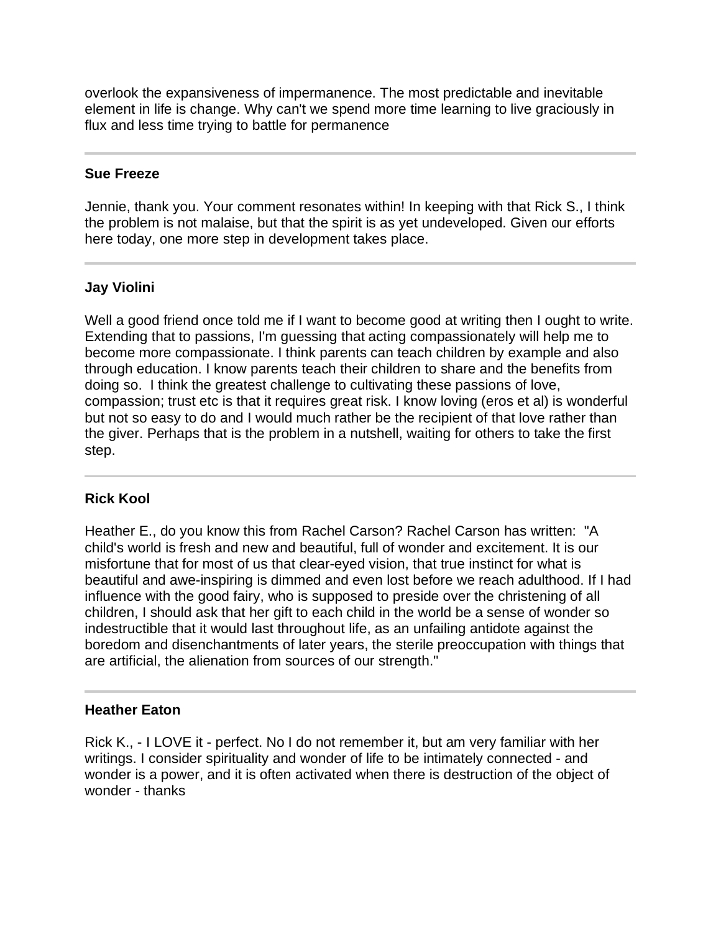overlook the expansiveness of impermanence. The most predictable and inevitable element in life is change. Why can't we spend more time learning to live graciously in flux and less time trying to battle for permanence

## **Sue Freeze**

Jennie, thank you. Your comment resonates within! In keeping with that Rick S., I think the problem is not malaise, but that the spirit is as yet undeveloped. Given our efforts here today, one more step in development takes place.

# **Jay Violini**

Well a good friend once told me if I want to become good at writing then I ought to write. Extending that to passions, I'm guessing that acting compassionately will help me to become more compassionate. I think parents can teach children by example and also through education. I know parents teach their children to share and the benefits from doing so. I think the greatest challenge to cultivating these passions of love, compassion; trust etc is that it requires great risk. I know loving (eros et al) is wonderful but not so easy to do and I would much rather be the recipient of that love rather than the giver. Perhaps that is the problem in a nutshell, waiting for others to take the first step.

#### Ī **Rick Kool**

Heather E., do you know this from Rachel Carson? Rachel Carson has written: "A child's world is fresh and new and beautiful, full of wonder and excitement. It is our misfortune that for most of us that clear-eyed vision, that true instinct for what is beautiful and awe-inspiring is dimmed and even lost before we reach adulthood. If I had influence with the good fairy, who is supposed to preside over the christening of all children, I should ask that her gift to each child in the world be a sense of wonder so indestructible that it would last throughout life, as an unfailing antidote against the boredom and disenchantments of later years, the sterile preoccupation with things that are artificial, the alienation from sources of our strength."

## **Heather Eaton**

Rick K., - I LOVE it - perfect. No I do not remember it, but am very familiar with her writings. I consider spirituality and wonder of life to be intimately connected - and wonder is a power, and it is often activated when there is destruction of the object of wonder - thanks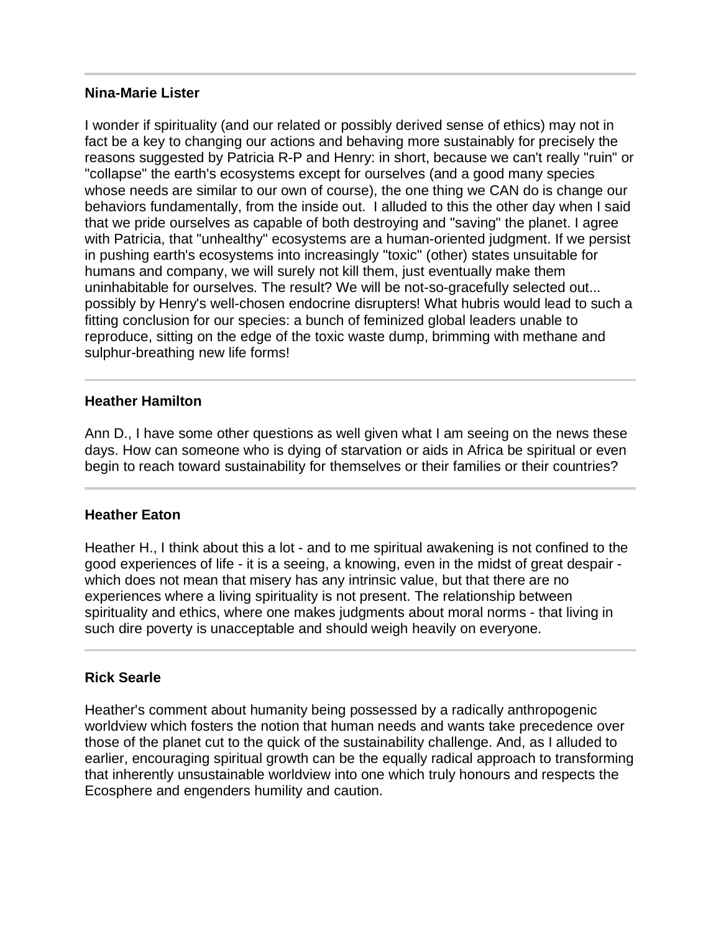#### **Nina-Marie Lister**

I wonder if spirituality (and our related or possibly derived sense of ethics) may not in fact be a key to changing our actions and behaving more sustainably for precisely the reasons suggested by Patricia R-P and Henry: in short, because we can't really "ruin" or "collapse" the earth's ecosystems except for ourselves (and a good many species whose needs are similar to our own of course), the one thing we CAN do is change our behaviors fundamentally, from the inside out. I alluded to this the other day when I said that we pride ourselves as capable of both destroying and "saving" the planet. I agree with Patricia, that "unhealthy" ecosystems are a human-oriented judgment. If we persist in pushing earth's ecosystems into increasingly "toxic" (other) states unsuitable for humans and company, we will surely not kill them, just eventually make them uninhabitable for ourselves. The result? We will be not-so-gracefully selected out... possibly by Henry's well-chosen endocrine disrupters! What hubris would lead to such a fitting conclusion for our species: a bunch of feminized global leaders unable to reproduce, sitting on the edge of the toxic waste dump, brimming with methane and sulphur-breathing new life forms!

## **Heather Hamilton**

Ann D., I have some other questions as well given what I am seeing on the news these days. How can someone who is dying of starvation or aids in Africa be spiritual or even begin to reach toward sustainability for themselves or their families or their countries?

#### **Heather Eaton**

l

Heather H., I think about this a lot - and to me spiritual awakening is not confined to the good experiences of life - it is a seeing, a knowing, even in the midst of great despair which does not mean that misery has any intrinsic value, but that there are no experiences where a living spirituality is not present. The relationship between spirituality and ethics, where one makes judgments about moral norms - that living in such dire poverty is unacceptable and should weigh heavily on everyone.

## **Rick Searle**

Heather's comment about humanity being possessed by a radically anthropogenic worldview which fosters the notion that human needs and wants take precedence over those of the planet cut to the quick of the sustainability challenge. And, as I alluded to earlier, encouraging spiritual growth can be the equally radical approach to transforming that inherently unsustainable worldview into one which truly honours and respects the Ecosphere and engenders humility and caution.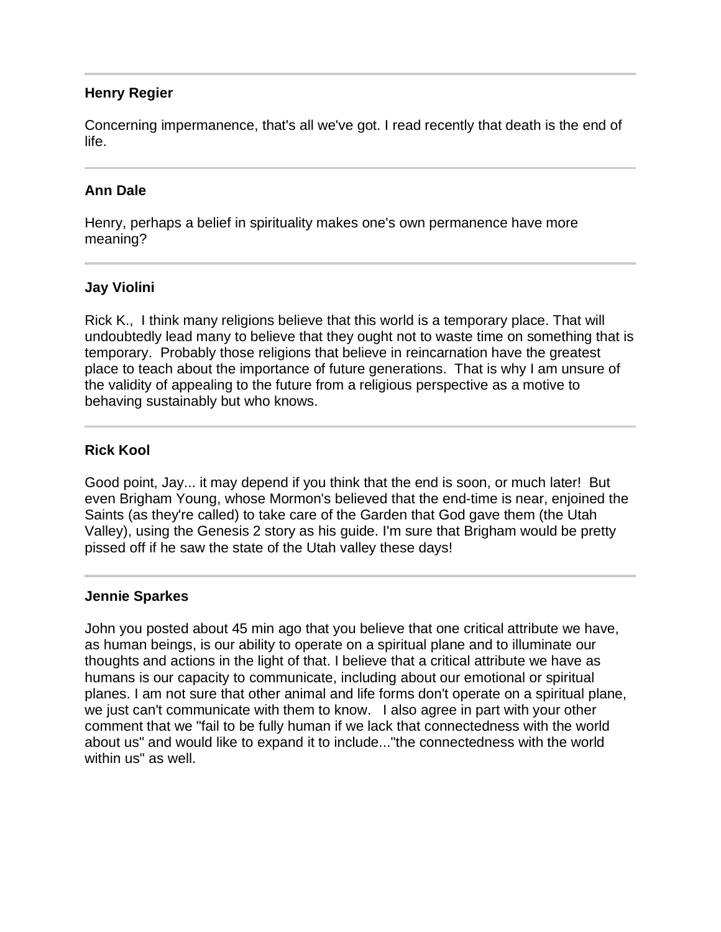## **Henry Regier**

Concerning impermanence, that's all we've got. I read recently that death is the end of life.

# **Ann Dale**

Henry, perhaps a belief in spirituality makes one's own permanence have more meaning?

## **Jay Violini**

Rick K., I think many religions believe that this world is a temporary place. That will undoubtedly lead many to believe that they ought not to waste time on something that is temporary. Probably those religions that believe in reincarnation have the greatest place to teach about the importance of future generations. That is why I am unsure of the validity of appealing to the future from a religious perspective as a motive to behaving sustainably but who knows.

## **Rick Kool**

Good point, Jay... it may depend if you think that the end is soon, or much later! But even Brigham Young, whose Mormon's believed that the end-time is near, enjoined the Saints (as they're called) to take care of the Garden that God gave them (the Utah Valley), using the Genesis 2 story as his guide. I'm sure that Brigham would be pretty pissed off if he saw the state of the Utah valley these days!

## **Jennie Sparkes**

John you posted about 45 min ago that you believe that one critical attribute we have, as human beings, is our ability to operate on a spiritual plane and to illuminate our thoughts and actions in the light of that. I believe that a critical attribute we have as humans is our capacity to communicate, including about our emotional or spiritual planes. I am not sure that other animal and life forms don't operate on a spiritual plane, we just can't communicate with them to know. I also agree in part with your other comment that we "fail to be fully human if we lack that connectedness with the world about us" and would like to expand it to include..."the connectedness with the world within us" as well.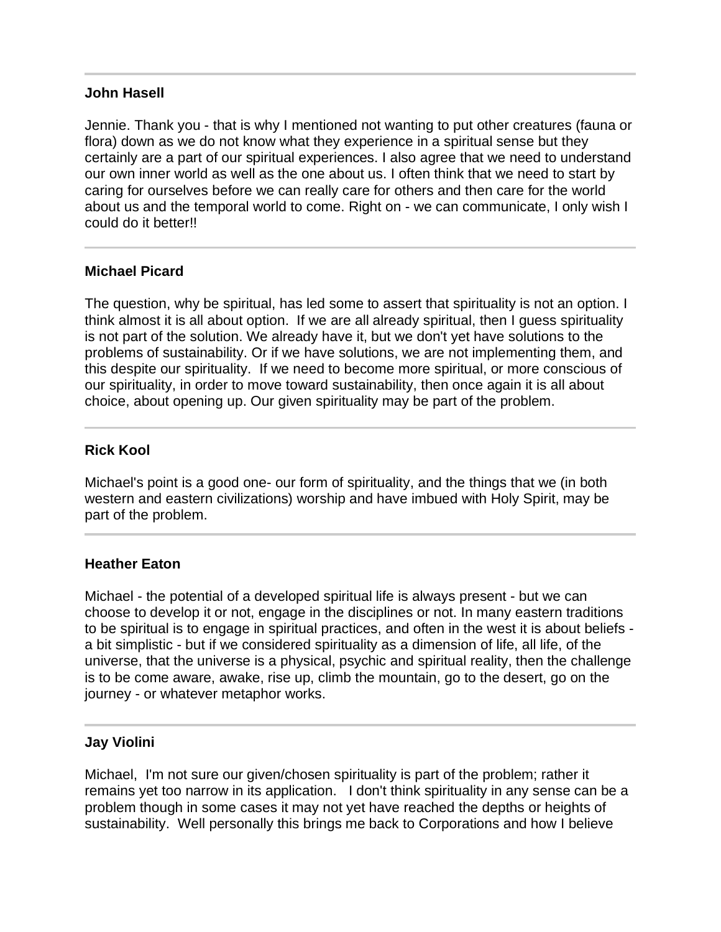#### **John Hasell**

Jennie. Thank you - that is why I mentioned not wanting to put other creatures (fauna or flora) down as we do not know what they experience in a spiritual sense but they certainly are a part of our spiritual experiences. I also agree that we need to understand our own inner world as well as the one about us. I often think that we need to start by caring for ourselves before we can really care for others and then care for the world about us and the temporal world to come. Right on - we can communicate, I only wish I could do it better!!

#### **Michael Picard**

The question, why be spiritual, has led some to assert that spirituality is not an option. I think almost it is all about option. If we are all already spiritual, then I guess spirituality is not part of the solution. We already have it, but we don't yet have solutions to the problems of sustainability. Or if we have solutions, we are not implementing them, and this despite our spirituality. If we need to become more spiritual, or more conscious of our spirituality, in order to move toward sustainability, then once again it is all about choice, about opening up. Our given spirituality may be part of the problem.

## **Rick Kool**

l

Michael's point is a good one- our form of spirituality, and the things that we (in both western and eastern civilizations) worship and have imbued with Holy Spirit, may be part of the problem.

#### **Heather Eaton**

Michael - the potential of a developed spiritual life is always present - but we can choose to develop it or not, engage in the disciplines or not. In many eastern traditions to be spiritual is to engage in spiritual practices, and often in the west it is about beliefs a bit simplistic - but if we considered spirituality as a dimension of life, all life, of the universe, that the universe is a physical, psychic and spiritual reality, then the challenge is to be come aware, awake, rise up, climb the mountain, go to the desert, go on the journey - or whatever metaphor works.

## **Jay Violini**

j

Michael, I'm not sure our given/chosen spirituality is part of the problem; rather it remains yet too narrow in its application. I don't think spirituality in any sense can be a problem though in some cases it may not yet have reached the depths or heights of sustainability. Well personally this brings me back to Corporations and how I believe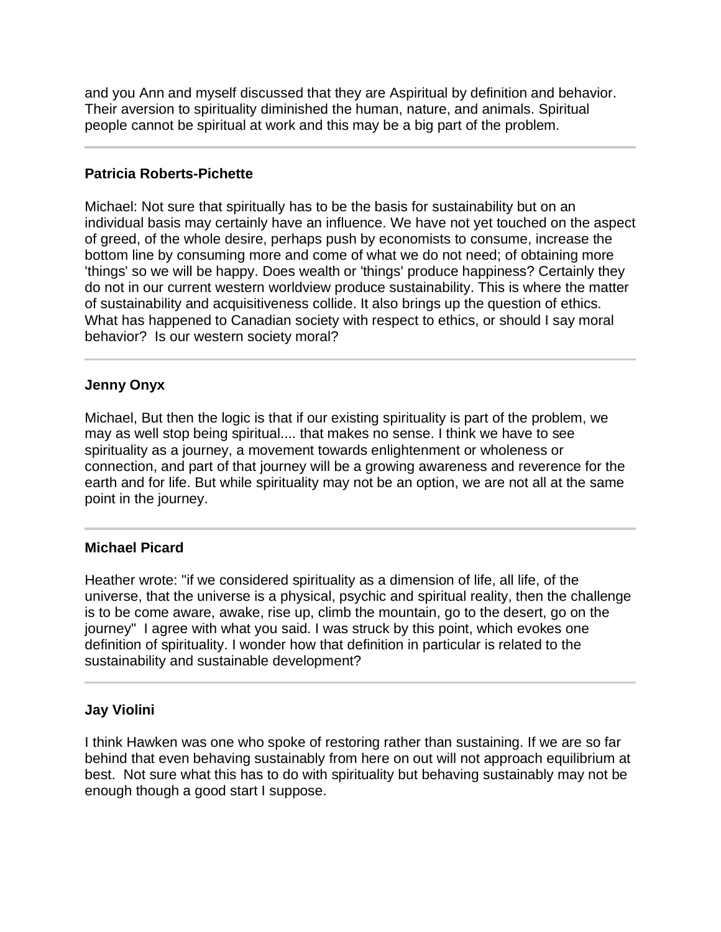and you Ann and myself discussed that they are Aspiritual by definition and behavior. Their aversion to spirituality diminished the human, nature, and animals. Spiritual people cannot be spiritual at work and this may be a big part of the problem.

## **Patricia Roberts-Pichette**

Michael: Not sure that spiritually has to be the basis for sustainability but on an individual basis may certainly have an influence. We have not yet touched on the aspect of greed, of the whole desire, perhaps push by economists to consume, increase the bottom line by consuming more and come of what we do not need; of obtaining more 'things' so we will be happy. Does wealth or 'things' produce happiness? Certainly they do not in our current western worldview produce sustainability. This is where the matter of sustainability and acquisitiveness collide. It also brings up the question of ethics. What has happened to Canadian society with respect to ethics, or should I say moral behavior? Is our western society moral?

## **Jenny Onyx**

l

j

Michael, But then the logic is that if our existing spirituality is part of the problem, we may as well stop being spiritual.... that makes no sense. I think we have to see spirituality as a journey, a movement towards enlightenment or wholeness or connection, and part of that journey will be a growing awareness and reverence for the earth and for life. But while spirituality may not be an option, we are not all at the same point in the journey.

## **Michael Picard**

Heather wrote: "if we considered spirituality as a dimension of life, all life, of the universe, that the universe is a physical, psychic and spiritual reality, then the challenge is to be come aware, awake, rise up, climb the mountain, go to the desert, go on the journey" I agree with what you said. I was struck by this point, which evokes one definition of spirituality. I wonder how that definition in particular is related to the sustainability and sustainable development?

## **Jay Violini**

I think Hawken was one who spoke of restoring rather than sustaining. If we are so far behind that even behaving sustainably from here on out will not approach equilibrium at best. Not sure what this has to do with spirituality but behaving sustainably may not be enough though a good start I suppose.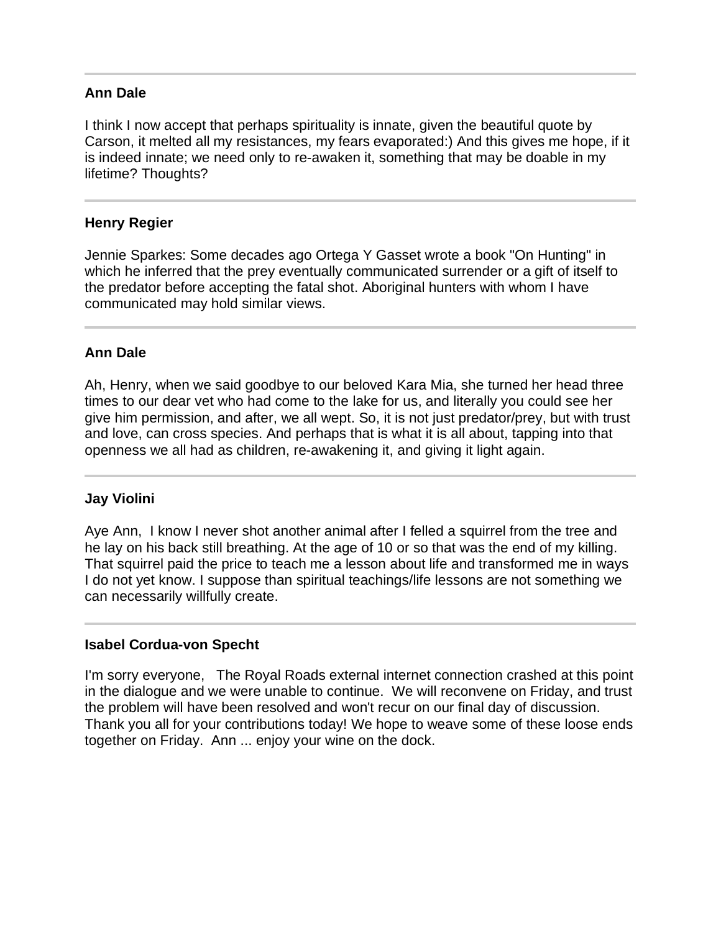## **Ann Dale**

I think I now accept that perhaps spirituality is innate, given the beautiful quote by Carson, it melted all my resistances, my fears evaporated:) And this gives me hope, if it is indeed innate; we need only to re-awaken it, something that may be doable in my lifetime? Thoughts?

#### **Henry Regier**

Jennie Sparkes: Some decades ago Ortega Y Gasset wrote a book "On Hunting" in which he inferred that the prey eventually communicated surrender or a gift of itself to the predator before accepting the fatal shot. Aboriginal hunters with whom I have communicated may hold similar views.

#### **Ann Dale**

Ah, Henry, when we said goodbye to our beloved Kara Mia, she turned her head three times to our dear vet who had come to the lake for us, and literally you could see her give him permission, and after, we all wept. So, it is not just predator/prey, but with trust and love, can cross species. And perhaps that is what it is all about, tapping into that openness we all had as children, re-awakening it, and giving it light again.

#### **Jay Violini**

Ī

Aye Ann, I know I never shot another animal after I felled a squirrel from the tree and he lay on his back still breathing. At the age of 10 or so that was the end of my killing. That squirrel paid the price to teach me a lesson about life and transformed me in ways I do not yet know. I suppose than spiritual teachings/life lessons are not something we can necessarily willfully create.

#### **Isabel Cordua-von Specht**

I'm sorry everyone, The Royal Roads external internet connection crashed at this point in the dialogue and we were unable to continue. We will reconvene on Friday, and trust the problem will have been resolved and won't recur on our final day of discussion. Thank you all for your contributions today! We hope to weave some of these loose ends together on Friday. Ann ... enjoy your wine on the dock.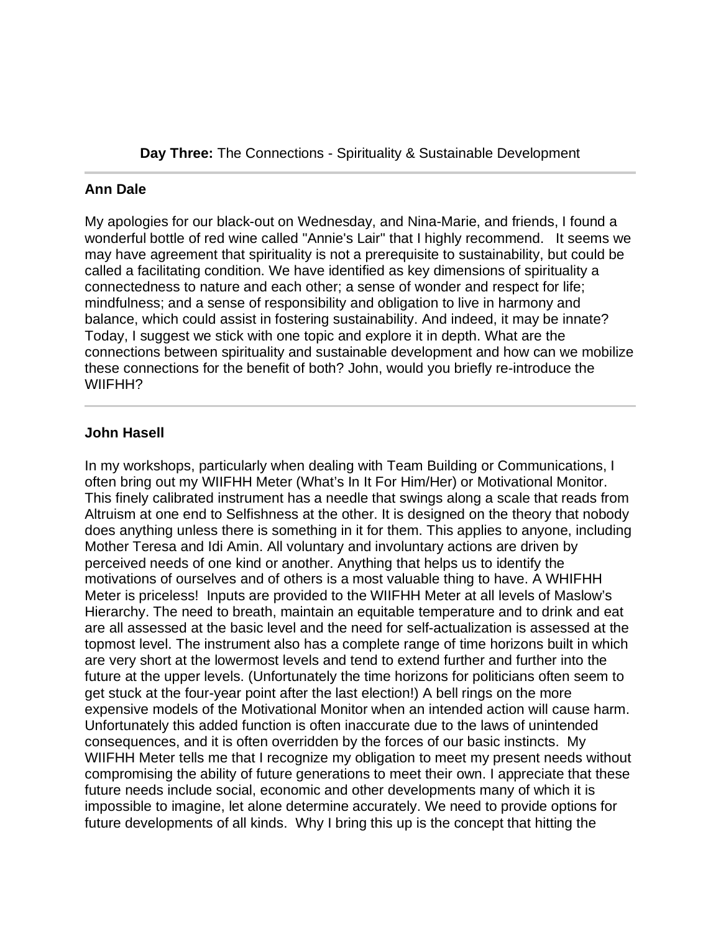**Day Three:** The Connections - Spirituality & Sustainable Development

#### l **Ann Dale**

My apologies for our black-out on Wednesday, and Nina-Marie, and friends, I found a wonderful bottle of red wine called "Annie's Lair" that I highly recommend. It seems we may have agreement that spirituality is not a prerequisite to sustainability, but could be called a facilitating condition. We have identified as key dimensions of spirituality a connectedness to nature and each other; a sense of wonder and respect for life; mindfulness; and a sense of responsibility and obligation to live in harmony and balance, which could assist in fostering sustainability. And indeed, it may be innate? Today, I suggest we stick with one topic and explore it in depth. What are the connections between spirituality and sustainable development and how can we mobilize these connections for the benefit of both? John, would you briefly re-introduce the WIIFHH?

## **John Hasell**

In my workshops, particularly when dealing with Team Building or Communications, I often bring out my WIIFHH Meter (What's In It For Him/Her) or Motivational Monitor. This finely calibrated instrument has a needle that swings along a scale that reads from Altruism at one end to Selfishness at the other. It is designed on the theory that nobody does anything unless there is something in it for them. This applies to anyone, including Mother Teresa and Idi Amin. All voluntary and involuntary actions are driven by perceived needs of one kind or another. Anything that helps us to identify the motivations of ourselves and of others is a most valuable thing to have. A WHIFHH Meter is priceless! Inputs are provided to the WIIFHH Meter at all levels of Maslow's Hierarchy. The need to breath, maintain an equitable temperature and to drink and eat are all assessed at the basic level and the need for self-actualization is assessed at the topmost level. The instrument also has a complete range of time horizons built in which are very short at the lowermost levels and tend to extend further and further into the future at the upper levels. (Unfortunately the time horizons for politicians often seem to get stuck at the four-year point after the last election!) A bell rings on the more expensive models of the Motivational Monitor when an intended action will cause harm. Unfortunately this added function is often inaccurate due to the laws of unintended consequences, and it is often overridden by the forces of our basic instincts. My WIIFHH Meter tells me that I recognize my obligation to meet my present needs without compromising the ability of future generations to meet their own. I appreciate that these future needs include social, economic and other developments many of which it is impossible to imagine, let alone determine accurately. We need to provide options for future developments of all kinds. Why I bring this up is the concept that hitting the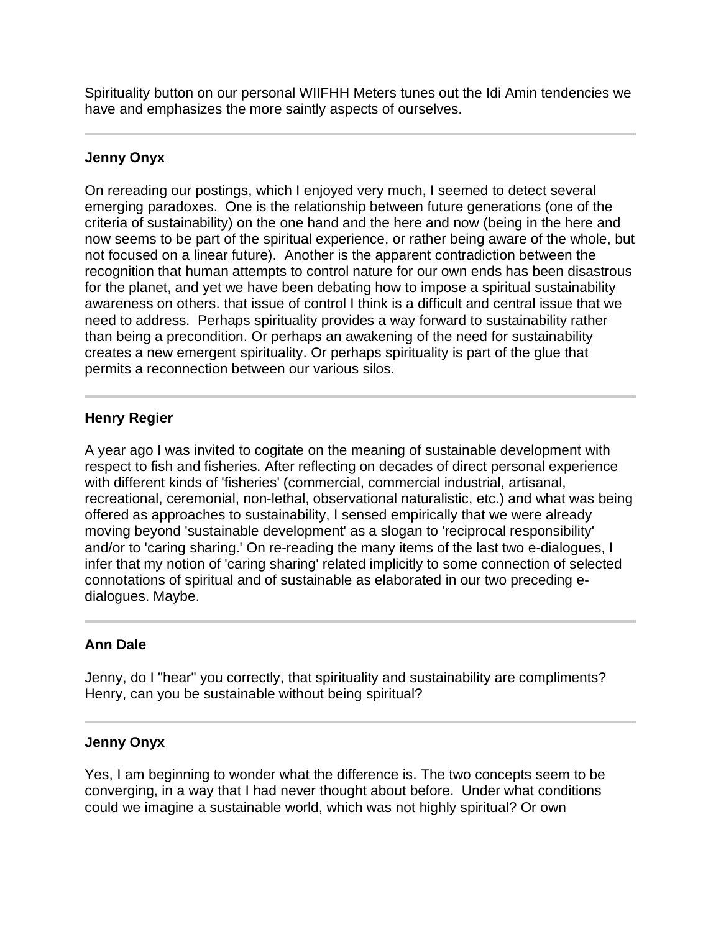Spirituality button on our personal WIIFHH Meters tunes out the Idi Amin tendencies we have and emphasizes the more saintly aspects of ourselves.

## **Jenny Onyx**

On rereading our postings, which I enjoyed very much, I seemed to detect several emerging paradoxes. One is the relationship between future generations (one of the criteria of sustainability) on the one hand and the here and now (being in the here and now seems to be part of the spiritual experience, or rather being aware of the whole, but not focused on a linear future). Another is the apparent contradiction between the recognition that human attempts to control nature for our own ends has been disastrous for the planet, and yet we have been debating how to impose a spiritual sustainability awareness on others. that issue of control I think is a difficult and central issue that we need to address. Perhaps spirituality provides a way forward to sustainability rather than being a precondition. Or perhaps an awakening of the need for sustainability creates a new emergent spirituality. Or perhaps spirituality is part of the glue that permits a reconnection between our various silos.

## **Henry Regier**

I

A year ago I was invited to cogitate on the meaning of sustainable development with respect to fish and fisheries. After reflecting on decades of direct personal experience with different kinds of 'fisheries' (commercial, commercial industrial, artisanal, recreational, ceremonial, non-lethal, observational naturalistic, etc.) and what was being offered as approaches to sustainability, I sensed empirically that we were already moving beyond 'sustainable development' as a slogan to 'reciprocal responsibility' and/or to 'caring sharing.' On re-reading the many items of the last two e-dialogues, I infer that my notion of 'caring sharing' related implicitly to some connection of selected connotations of spiritual and of sustainable as elaborated in our two preceding edialogues. Maybe.

## **Ann Dale**

Jenny, do I "hear" you correctly, that spirituality and sustainability are compliments? Henry, can you be sustainable without being spiritual?

## **Jenny Onyx**

I

Yes, I am beginning to wonder what the difference is. The two concepts seem to be converging, in a way that I had never thought about before. Under what conditions could we imagine a sustainable world, which was not highly spiritual? Or own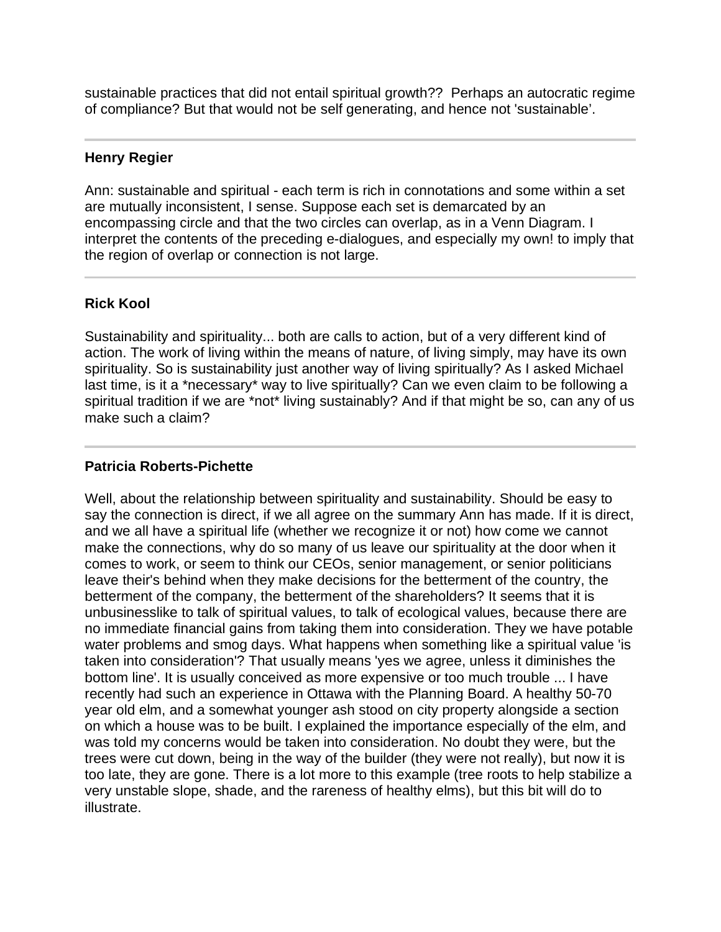sustainable practices that did not entail spiritual growth?? Perhaps an autocratic regime of compliance? But that would not be self generating, and hence not 'sustainable'.

#### **Henry Regier**

Ann: sustainable and spiritual - each term is rich in connotations and some within a set are mutually inconsistent, I sense. Suppose each set is demarcated by an encompassing circle and that the two circles can overlap, as in a Venn Diagram. I interpret the contents of the preceding e-dialogues, and especially my own! to imply that the region of overlap or connection is not large.

## **Rick Kool**

I

Sustainability and spirituality... both are calls to action, but of a very different kind of action. The work of living within the means of nature, of living simply, may have its own spirituality. So is sustainability just another way of living spiritually? As I asked Michael last time, is it a \*necessary\* way to live spiritually? Can we even claim to be following a spiritual tradition if we are \*not\* living sustainably? And if that might be so, can any of us make such a claim?

#### **Patricia Roberts-Pichette**

Well, about the relationship between spirituality and sustainability. Should be easy to say the connection is direct, if we all agree on the summary Ann has made. If it is direct, and we all have a spiritual life (whether we recognize it or not) how come we cannot make the connections, why do so many of us leave our spirituality at the door when it comes to work, or seem to think our CEOs, senior management, or senior politicians leave their's behind when they make decisions for the betterment of the country, the betterment of the company, the betterment of the shareholders? It seems that it is unbusinesslike to talk of spiritual values, to talk of ecological values, because there are no immediate financial gains from taking them into consideration. They we have potable water problems and smog days. What happens when something like a spiritual value 'is taken into consideration'? That usually means 'yes we agree, unless it diminishes the bottom line'. It is usually conceived as more expensive or too much trouble ... I have recently had such an experience in Ottawa with the Planning Board. A healthy 50-70 year old elm, and a somewhat younger ash stood on city property alongside a section on which a house was to be built. I explained the importance especially of the elm, and was told my concerns would be taken into consideration. No doubt they were, but the trees were cut down, being in the way of the builder (they were not really), but now it is too late, they are gone. There is a lot more to this example (tree roots to help stabilize a very unstable slope, shade, and the rareness of healthy elms), but this bit will do to illustrate.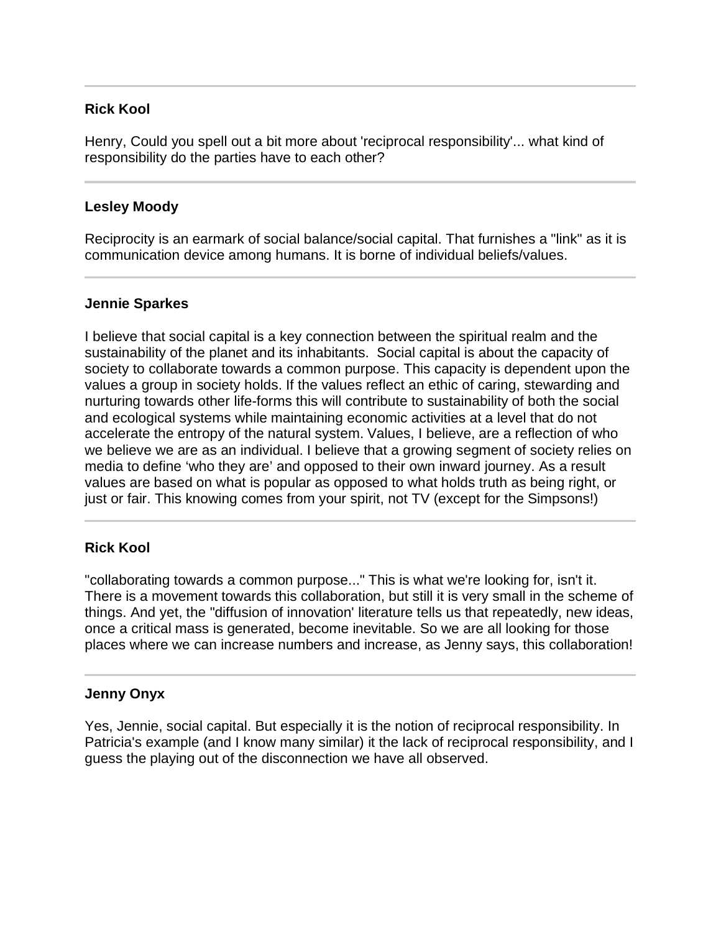## **Rick Kool**

Henry, Could you spell out a bit more about 'reciprocal responsibility'... what kind of responsibility do the parties have to each other?

## **Lesley Moody**

Reciprocity is an earmark of social balance/social capital. That furnishes a "link" as it is communication device among humans. It is borne of individual beliefs/values.

## **Jennie Sparkes**

l

I believe that social capital is a key connection between the spiritual realm and the sustainability of the planet and its inhabitants. Social capital is about the capacity of society to collaborate towards a common purpose. This capacity is dependent upon the values a group in society holds. If the values reflect an ethic of caring, stewarding and nurturing towards other life-forms this will contribute to sustainability of both the social and ecological systems while maintaining economic activities at a level that do not accelerate the entropy of the natural system. Values, I believe, are a reflection of who we believe we are as an individual. I believe that a growing segment of society relies on media to define 'who they are' and opposed to their own inward journey. As a result values are based on what is popular as opposed to what holds truth as being right, or just or fair. This knowing comes from your spirit, not TV (except for the Simpsons!)

## **Rick Kool**

"collaborating towards a common purpose..." This is what we're looking for, isn't it. There is a movement towards this collaboration, but still it is very small in the scheme of things. And yet, the "diffusion of innovation' literature tells us that repeatedly, new ideas, once a critical mass is generated, become inevitable. So we are all looking for those places where we can increase numbers and increase, as Jenny says, this collaboration!

## **Jenny Onyx**

Yes, Jennie, social capital. But especially it is the notion of reciprocal responsibility. In Patricia's example (and I know many similar) it the lack of reciprocal responsibility, and I guess the playing out of the disconnection we have all observed.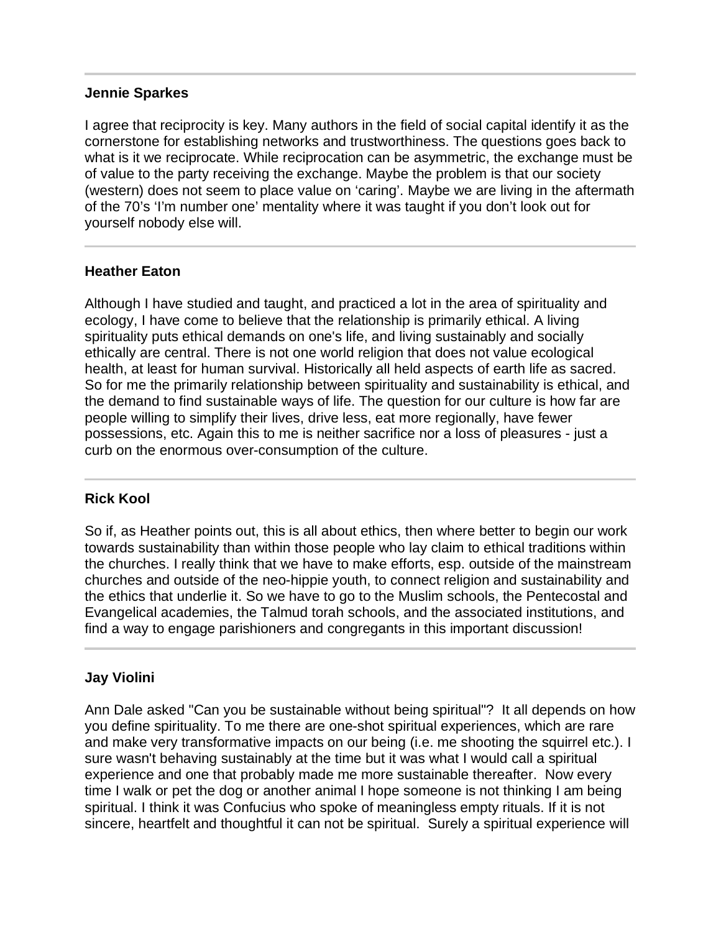#### **Jennie Sparkes**

I agree that reciprocity is key. Many authors in the field of social capital identify it as the cornerstone for establishing networks and trustworthiness. The questions goes back to what is it we reciprocate. While reciprocation can be asymmetric, the exchange must be of value to the party receiving the exchange. Maybe the problem is that our society (western) does not seem to place value on 'caring'. Maybe we are living in the aftermath of the 70's 'I'm number one' mentality where it was taught if you don't look out for yourself nobody else will.

#### **Heather Eaton**

Although I have studied and taught, and practiced a lot in the area of spirituality and ecology, I have come to believe that the relationship is primarily ethical. A living spirituality puts ethical demands on one's life, and living sustainably and socially ethically are central. There is not one world religion that does not value ecological health, at least for human survival. Historically all held aspects of earth life as sacred. So for me the primarily relationship between spirituality and sustainability is ethical, and the demand to find sustainable ways of life. The question for our culture is how far are people willing to simplify their lives, drive less, eat more regionally, have fewer possessions, etc. Again this to me is neither sacrifice nor a loss of pleasures - just a curb on the enormous over-consumption of the culture.

#### **Rick Kool**

So if, as Heather points out, this is all about ethics, then where better to begin our work towards sustainability than within those people who lay claim to ethical traditions within the churches. I really think that we have to make efforts, esp. outside of the mainstream churches and outside of the neo-hippie youth, to connect religion and sustainability and the ethics that underlie it. So we have to go to the Muslim schools, the Pentecostal and Evangelical academies, the Talmud torah schools, and the associated institutions, and find a way to engage parishioners and congregants in this important discussion!

#### **Jay Violini**

Ann Dale asked "Can you be sustainable without being spiritual"? It all depends on how you define spirituality. To me there are one-shot spiritual experiences, which are rare and make very transformative impacts on our being (i.e. me shooting the squirrel etc.). I sure wasn't behaving sustainably at the time but it was what I would call a spiritual experience and one that probably made me more sustainable thereafter. Now every time I walk or pet the dog or another animal I hope someone is not thinking I am being spiritual. I think it was Confucius who spoke of meaningless empty rituals. If it is not sincere, heartfelt and thoughtful it can not be spiritual. Surely a spiritual experience will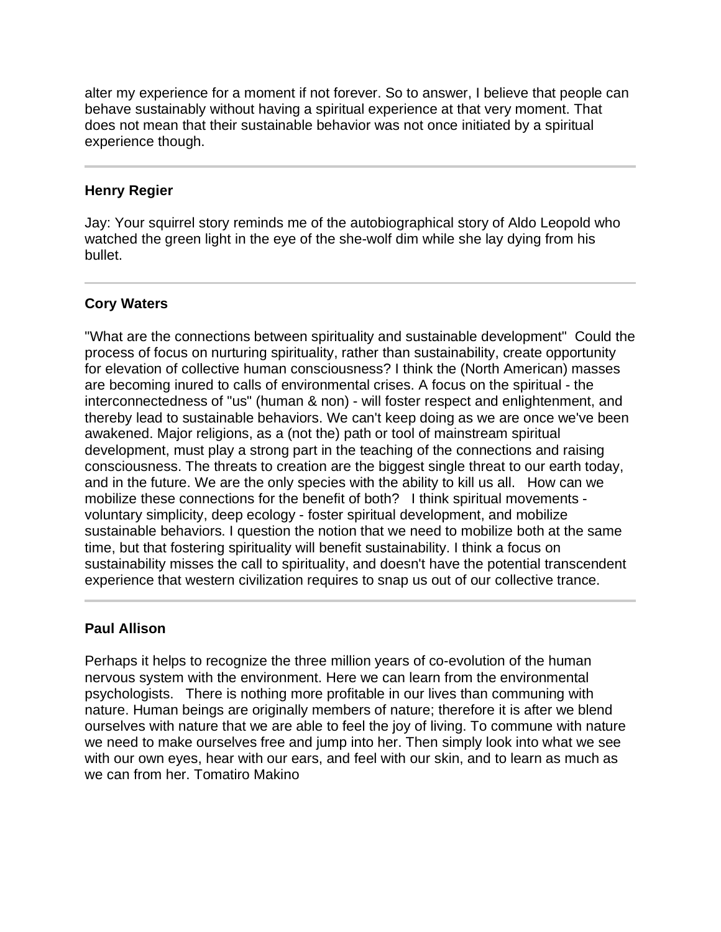alter my experience for a moment if not forever. So to answer, I believe that people can behave sustainably without having a spiritual experience at that very moment. That does not mean that their sustainable behavior was not once initiated by a spiritual experience though.

## **Henry Regier**

Jay: Your squirrel story reminds me of the autobiographical story of Aldo Leopold who watched the green light in the eye of the she-wolf dim while she lay dying from his bullet.

## **Cory Waters**

Ī

"What are the connections between spirituality and sustainable development" Could the process of focus on nurturing spirituality, rather than sustainability, create opportunity for elevation of collective human consciousness? I think the (North American) masses are becoming inured to calls of environmental crises. A focus on the spiritual - the interconnectedness of "us" (human & non) - will foster respect and enlightenment, and thereby lead to sustainable behaviors. We can't keep doing as we are once we've been awakened. Major religions, as a (not the) path or tool of mainstream spiritual development, must play a strong part in the teaching of the connections and raising consciousness. The threats to creation are the biggest single threat to our earth today, and in the future. We are the only species with the ability to kill us all. How can we mobilize these connections for the benefit of both? I think spiritual movements voluntary simplicity, deep ecology - foster spiritual development, and mobilize sustainable behaviors. I question the notion that we need to mobilize both at the same time, but that fostering spirituality will benefit sustainability. I think a focus on sustainability misses the call to spirituality, and doesn't have the potential transcendent experience that western civilization requires to snap us out of our collective trance.

## **Paul Allison**

l

Perhaps it helps to recognize the three million years of co-evolution of the human nervous system with the environment. Here we can learn from the environmental psychologists. There is nothing more profitable in our lives than communing with nature. Human beings are originally members of nature; therefore it is after we blend ourselves with nature that we are able to feel the joy of living. To commune with nature we need to make ourselves free and jump into her. Then simply look into what we see with our own eyes, hear with our ears, and feel with our skin, and to learn as much as we can from her. Tomatiro Makino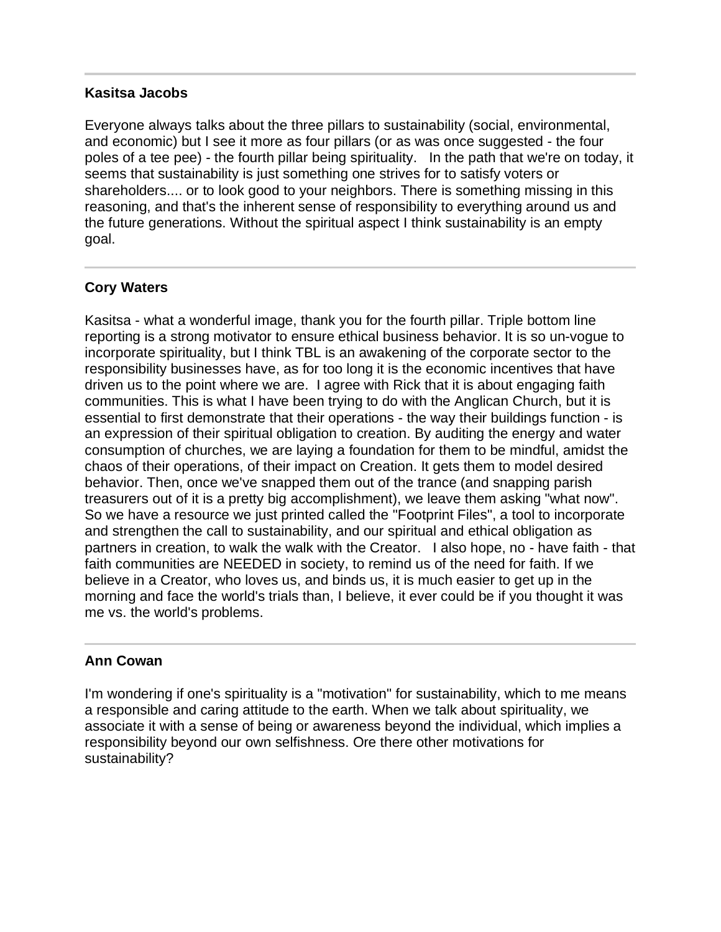#### **Kasitsa Jacobs**

Everyone always talks about the three pillars to sustainability (social, environmental, and economic) but I see it more as four pillars (or as was once suggested - the four poles of a tee pee) - the fourth pillar being spirituality. In the path that we're on today, it seems that sustainability is just something one strives for to satisfy voters or shareholders.... or to look good to your neighbors. There is something missing in this reasoning, and that's the inherent sense of responsibility to everything around us and the future generations. Without the spiritual aspect I think sustainability is an empty goal.

## **Cory Waters**

I

Kasitsa - what a wonderful image, thank you for the fourth pillar. Triple bottom line reporting is a strong motivator to ensure ethical business behavior. It is so un-vogue to incorporate spirituality, but I think TBL is an awakening of the corporate sector to the responsibility businesses have, as for too long it is the economic incentives that have driven us to the point where we are. I agree with Rick that it is about engaging faith communities. This is what I have been trying to do with the Anglican Church, but it is essential to first demonstrate that their operations - the way their buildings function - is an expression of their spiritual obligation to creation. By auditing the energy and water consumption of churches, we are laying a foundation for them to be mindful, amidst the chaos of their operations, of their impact on Creation. It gets them to model desired behavior. Then, once we've snapped them out of the trance (and snapping parish treasurers out of it is a pretty big accomplishment), we leave them asking "what now". So we have a resource we just printed called the "Footprint Files", a tool to incorporate and strengthen the call to sustainability, and our spiritual and ethical obligation as partners in creation, to walk the walk with the Creator. I also hope, no - have faith - that faith communities are NEEDED in society, to remind us of the need for faith. If we believe in a Creator, who loves us, and binds us, it is much easier to get up in the morning and face the world's trials than, I believe, it ever could be if you thought it was me vs. the world's problems.

## **Ann Cowan**

i

I'm wondering if one's spirituality is a "motivation" for sustainability, which to me means a responsible and caring attitude to the earth. When we talk about spirituality, we associate it with a sense of being or awareness beyond the individual, which implies a responsibility beyond our own selfishness. Ore there other motivations for sustainability?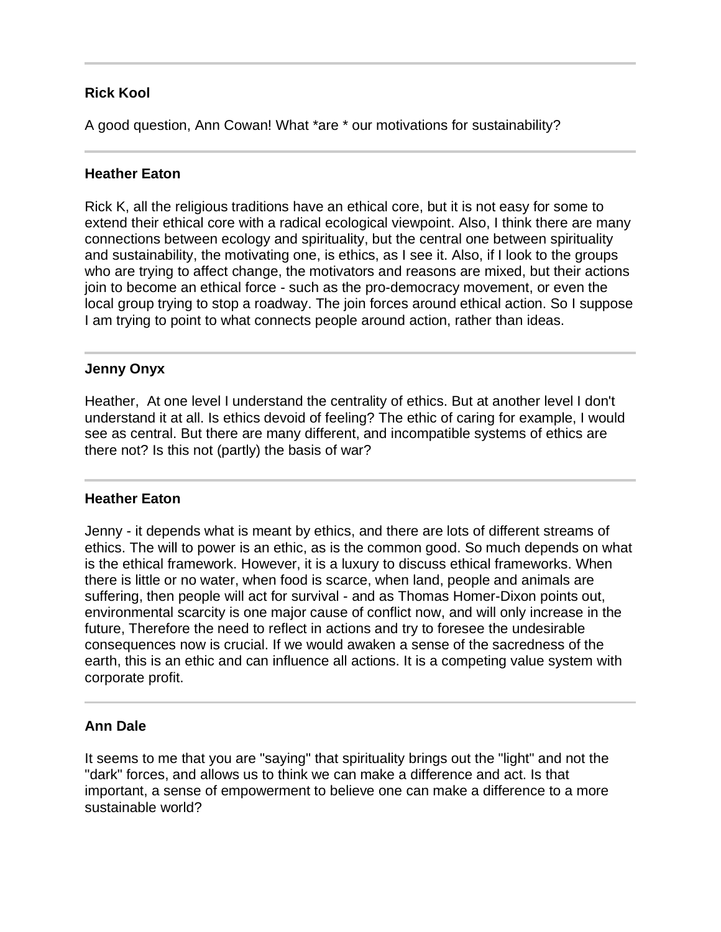## **Rick Kool**

A good question, Ann Cowan! What \*are \* our motivations for sustainability?

## **Heather Eaton**

Rick K, all the religious traditions have an ethical core, but it is not easy for some to extend their ethical core with a radical ecological viewpoint. Also, I think there are many connections between ecology and spirituality, but the central one between spirituality and sustainability, the motivating one, is ethics, as I see it. Also, if I look to the groups who are trying to affect change, the motivators and reasons are mixed, but their actions join to become an ethical force - such as the pro-democracy movement, or even the local group trying to stop a roadway. The join forces around ethical action. So I suppose I am trying to point to what connects people around action, rather than ideas.

#### $\overline{a}$ **Jenny Onyx**

Heather, At one level I understand the centrality of ethics. But at another level I don't understand it at all. Is ethics devoid of feeling? The ethic of caring for example, I would see as central. But there are many different, and incompatible systems of ethics are there not? Is this not (partly) the basis of war?

#### j **Heather Eaton**

Jenny - it depends what is meant by ethics, and there are lots of different streams of ethics. The will to power is an ethic, as is the common good. So much depends on what is the ethical framework. However, it is a luxury to discuss ethical frameworks. When there is little or no water, when food is scarce, when land, people and animals are suffering, then people will act for survival - and as Thomas Homer-Dixon points out, environmental scarcity is one major cause of conflict now, and will only increase in the future, Therefore the need to reflect in actions and try to foresee the undesirable consequences now is crucial. If we would awaken a sense of the sacredness of the earth, this is an ethic and can influence all actions. It is a competing value system with corporate profit.

## **Ann Dale**

It seems to me that you are "saying" that spirituality brings out the "light" and not the "dark" forces, and allows us to think we can make a difference and act. Is that important, a sense of empowerment to believe one can make a difference to a more sustainable world?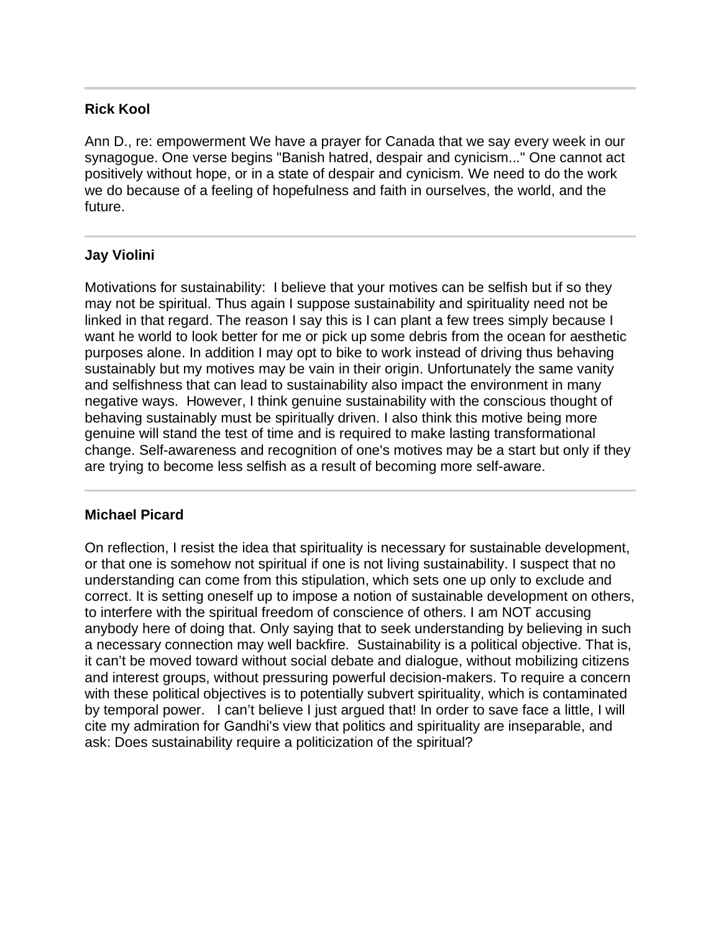## **Rick Kool**

Ann D., re: empowerment We have a prayer for Canada that we say every week in our synagogue. One verse begins "Banish hatred, despair and cynicism..." One cannot act positively without hope, or in a state of despair and cynicism. We need to do the work we do because of a feeling of hopefulness and faith in ourselves, the world, and the future.

## **Jay Violini**

Motivations for sustainability: I believe that your motives can be selfish but if so they may not be spiritual. Thus again I suppose sustainability and spirituality need not be linked in that regard. The reason I say this is I can plant a few trees simply because I want he world to look better for me or pick up some debris from the ocean for aesthetic purposes alone. In addition I may opt to bike to work instead of driving thus behaving sustainably but my motives may be vain in their origin. Unfortunately the same vanity and selfishness that can lead to sustainability also impact the environment in many negative ways. However, I think genuine sustainability with the conscious thought of behaving sustainably must be spiritually driven. I also think this motive being more genuine will stand the test of time and is required to make lasting transformational change. Self-awareness and recognition of one's motives may be a start but only if they are trying to become less selfish as a result of becoming more self-aware.

## **Michael Picard**

On reflection, I resist the idea that spirituality is necessary for sustainable development, or that one is somehow not spiritual if one is not living sustainability. I suspect that no understanding can come from this stipulation, which sets one up only to exclude and correct. It is setting oneself up to impose a notion of sustainable development on others, to interfere with the spiritual freedom of conscience of others. I am NOT accusing anybody here of doing that. Only saying that to seek understanding by believing in such a necessary connection may well backfire. Sustainability is a political objective. That is, it can't be moved toward without social debate and dialogue, without mobilizing citizens and interest groups, without pressuring powerful decision-makers. To require a concern with these political objectives is to potentially subvert spirituality, which is contaminated by temporal power. I can't believe I just argued that! In order to save face a little, I will cite my admiration for Gandhi's view that politics and spirituality are inseparable, and ask: Does sustainability require a politicization of the spiritual?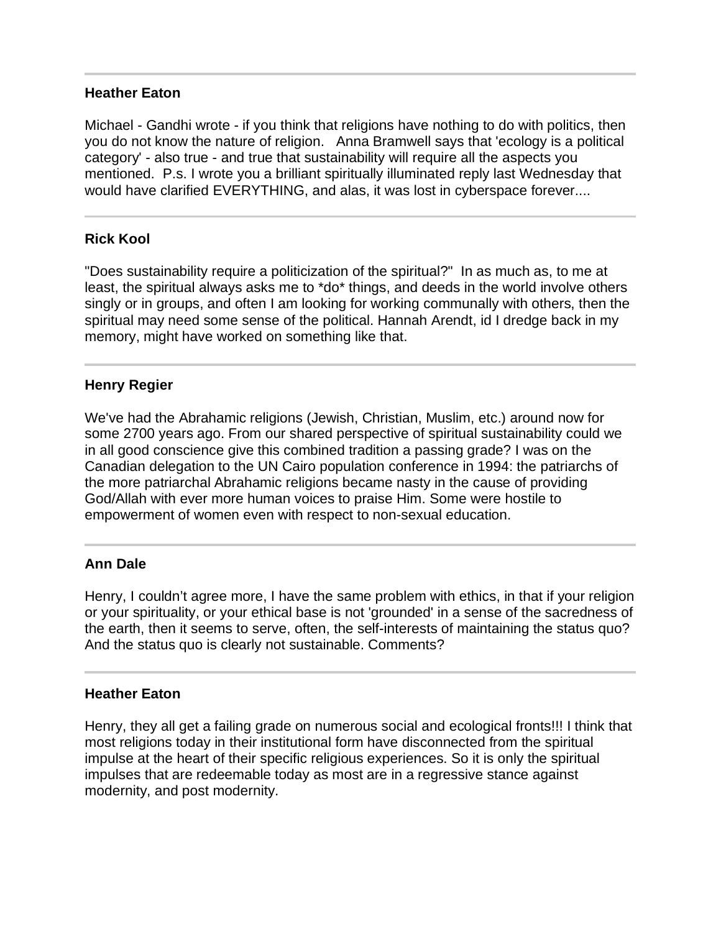#### **Heather Eaton**

Michael - Gandhi wrote - if you think that religions have nothing to do with politics, then you do not know the nature of religion. Anna Bramwell says that 'ecology is a political category' - also true - and true that sustainability will require all the aspects you mentioned. P.s. I wrote you a brilliant spiritually illuminated reply last Wednesday that would have clarified EVERYTHING, and alas, it was lost in cyberspace forever....

## **Rick Kool**

"Does sustainability require a politicization of the spiritual?" In as much as, to me at least, the spiritual always asks me to \*do\* things, and deeds in the world involve others singly or in groups, and often I am looking for working communally with others, then the spiritual may need some sense of the political. Hannah Arendt, id I dredge back in my memory, might have worked on something like that.

#### **Henry Regier**

We've had the Abrahamic religions (Jewish, Christian, Muslim, etc.) around now for some 2700 years ago. From our shared perspective of spiritual sustainability could we in all good conscience give this combined tradition a passing grade? I was on the Canadian delegation to the UN Cairo population conference in 1994: the patriarchs of the more patriarchal Abrahamic religions became nasty in the cause of providing God/Allah with ever more human voices to praise Him. Some were hostile to empowerment of women even with respect to non-sexual education.

#### **Ann Dale**

Henry, I couldn't agree more, I have the same problem with ethics, in that if your religion or your spirituality, or your ethical base is not 'grounded' in a sense of the sacredness of the earth, then it seems to serve, often, the self-interests of maintaining the status quo? And the status quo is clearly not sustainable. Comments?

#### **Heather Eaton**

Ī

Henry, they all get a failing grade on numerous social and ecological fronts!!! I think that most religions today in their institutional form have disconnected from the spiritual impulse at the heart of their specific religious experiences. So it is only the spiritual impulses that are redeemable today as most are in a regressive stance against modernity, and post modernity.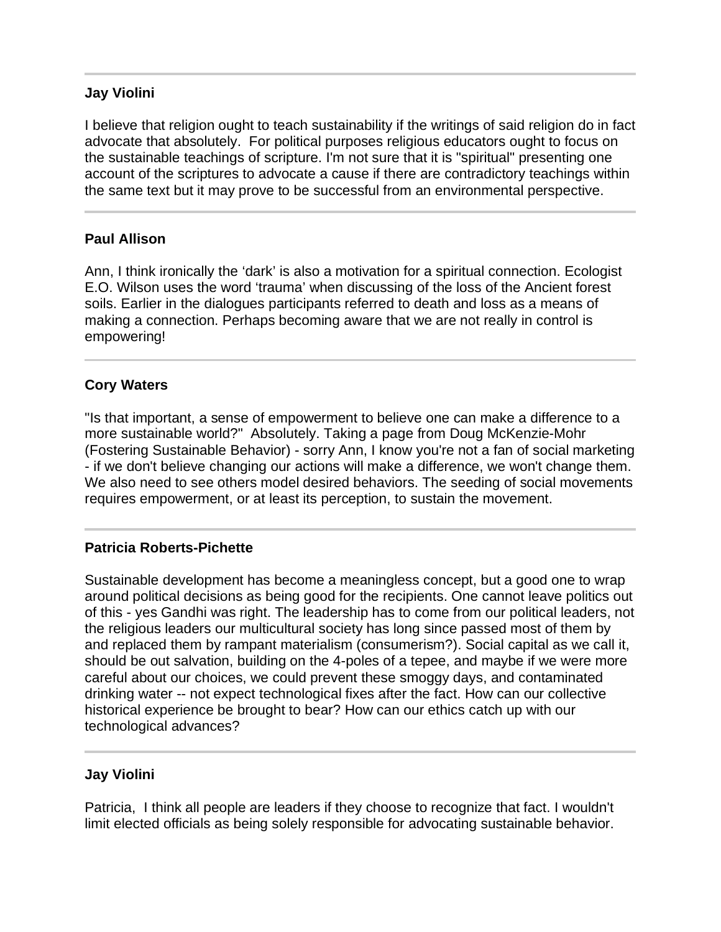## **Jay Violini**

I believe that religion ought to teach sustainability if the writings of said religion do in fact advocate that absolutely. For political purposes religious educators ought to focus on the sustainable teachings of scripture. I'm not sure that it is "spiritual" presenting one account of the scriptures to advocate a cause if there are contradictory teachings within the same text but it may prove to be successful from an environmental perspective.

## **Paul Allison**

l

Ann, I think ironically the 'dark' is also a motivation for a spiritual connection. Ecologist E.O. Wilson uses the word 'trauma' when discussing of the loss of the Ancient forest soils. Earlier in the dialogues participants referred to death and loss as a means of making a connection. Perhaps becoming aware that we are not really in control is empowering!

## **Cory Waters**

"Is that important, a sense of empowerment to believe one can make a difference to a more sustainable world?" Absolutely. Taking a page from Doug McKenzie-Mohr (Fostering Sustainable Behavior) - sorry Ann, I know you're not a fan of social marketing - if we don't believe changing our actions will make a difference, we won't change them. We also need to see others model desired behaviors. The seeding of social movements requires empowerment, or at least its perception, to sustain the movement.

## **Patricia Roberts-Pichette**

Sustainable development has become a meaningless concept, but a good one to wrap around political decisions as being good for the recipients. One cannot leave politics out of this - yes Gandhi was right. The leadership has to come from our political leaders, not the religious leaders our multicultural society has long since passed most of them by and replaced them by rampant materialism (consumerism?). Social capital as we call it, should be out salvation, building on the 4-poles of a tepee, and maybe if we were more careful about our choices, we could prevent these smoggy days, and contaminated drinking water -- not expect technological fixes after the fact. How can our collective historical experience be brought to bear? How can our ethics catch up with our technological advances?

## **Jay Violini**

Patricia, I think all people are leaders if they choose to recognize that fact. I wouldn't limit elected officials as being solely responsible for advocating sustainable behavior.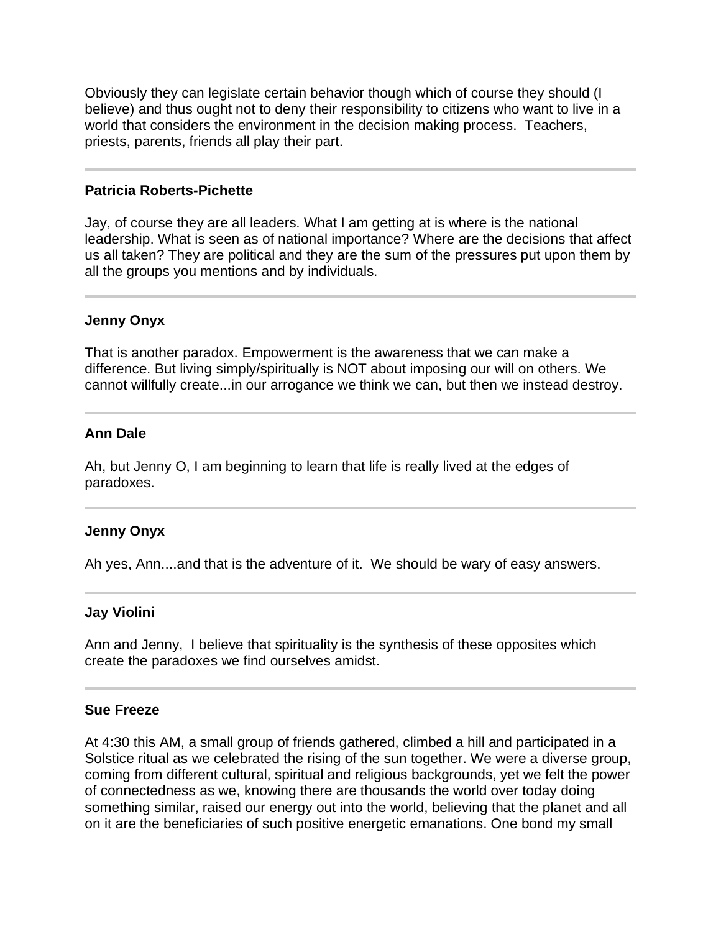Obviously they can legislate certain behavior though which of course they should (I believe) and thus ought not to deny their responsibility to citizens who want to live in a world that considers the environment in the decision making process. Teachers, priests, parents, friends all play their part.

#### **Patricia Roberts-Pichette**

Jay, of course they are all leaders. What I am getting at is where is the national leadership. What is seen as of national importance? Where are the decisions that affect us all taken? They are political and they are the sum of the pressures put upon them by all the groups you mentions and by individuals.

#### **Jenny Onyx**

I

That is another paradox. Empowerment is the awareness that we can make a difference. But living simply/spiritually is NOT about imposing our will on others. We cannot willfully create...in our arrogance we think we can, but then we instead destroy.

#### **Ann Dale**

Ī

j

Ah, but Jenny O, I am beginning to learn that life is really lived at the edges of paradoxes.

#### **Jenny Onyx**

Ah yes, Ann....and that is the adventure of it. We should be wary of easy answers.

#### **Jay Violini**

Ann and Jenny, I believe that spirituality is the synthesis of these opposites which create the paradoxes we find ourselves amidst.

#### **Sue Freeze**

At 4:30 this AM, a small group of friends gathered, climbed a hill and participated in a Solstice ritual as we celebrated the rising of the sun together. We were a diverse group, coming from different cultural, spiritual and religious backgrounds, yet we felt the power of connectedness as we, knowing there are thousands the world over today doing something similar, raised our energy out into the world, believing that the planet and all on it are the beneficiaries of such positive energetic emanations. One bond my small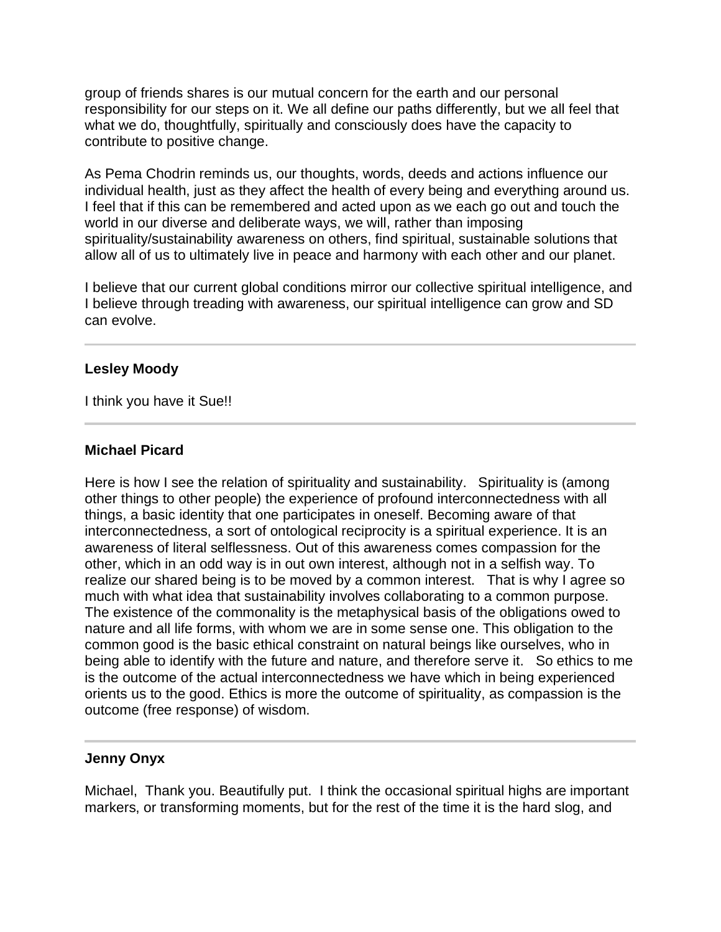group of friends shares is our mutual concern for the earth and our personal responsibility for our steps on it. We all define our paths differently, but we all feel that what we do, thoughtfully, spiritually and consciously does have the capacity to contribute to positive change.

As Pema Chodrin reminds us, our thoughts, words, deeds and actions influence our individual health, just as they affect the health of every being and everything around us. I feel that if this can be remembered and acted upon as we each go out and touch the world in our diverse and deliberate ways, we will, rather than imposing spirituality/sustainability awareness on others, find spiritual, sustainable solutions that allow all of us to ultimately live in peace and harmony with each other and our planet.

I believe that our current global conditions mirror our collective spiritual intelligence, and I believe through treading with awareness, our spiritual intelligence can grow and SD can evolve.

## **Lesley Moody**

I think you have it Sue!!

## **Michael Picard**

Here is how I see the relation of spirituality and sustainability. Spirituality is (among other things to other people) the experience of profound interconnectedness with all things, a basic identity that one participates in oneself. Becoming aware of that interconnectedness, a sort of ontological reciprocity is a spiritual experience. It is an awareness of literal selflessness. Out of this awareness comes compassion for the other, which in an odd way is in out own interest, although not in a selfish way. To realize our shared being is to be moved by a common interest. That is why I agree so much with what idea that sustainability involves collaborating to a common purpose. The existence of the commonality is the metaphysical basis of the obligations owed to nature and all life forms, with whom we are in some sense one. This obligation to the common good is the basic ethical constraint on natural beings like ourselves, who in being able to identify with the future and nature, and therefore serve it. So ethics to me is the outcome of the actual interconnectedness we have which in being experienced orients us to the good. Ethics is more the outcome of spirituality, as compassion is the outcome (free response) of wisdom.

## **Jenny Onyx**

j

Michael, Thank you. Beautifully put. I think the occasional spiritual highs are important markers, or transforming moments, but for the rest of the time it is the hard slog, and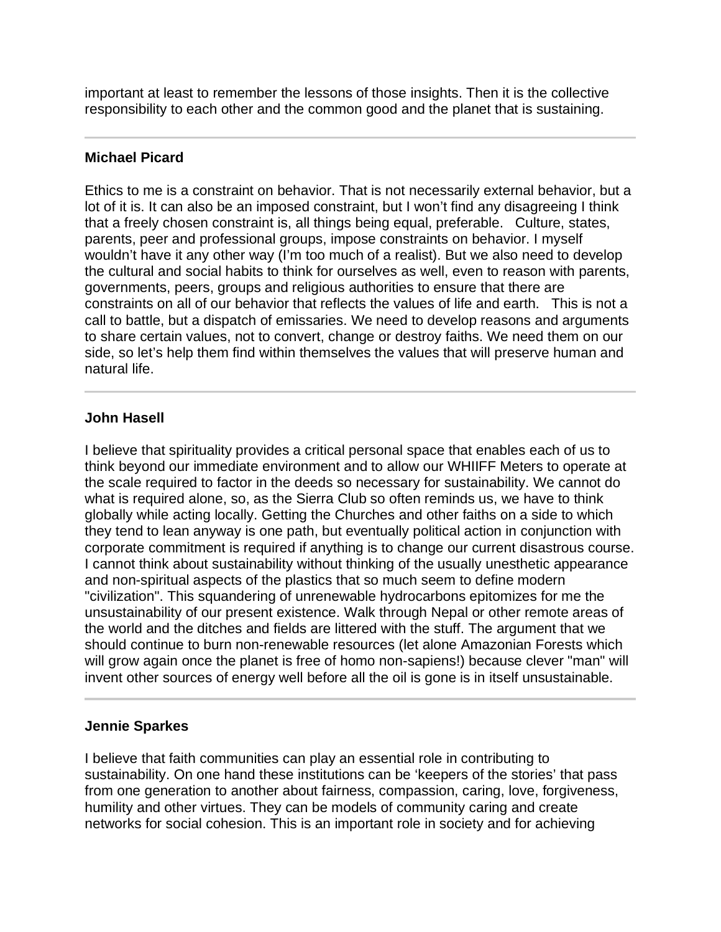important at least to remember the lessons of those insights. Then it is the collective responsibility to each other and the common good and the planet that is sustaining.

## **Michael Picard**

Ethics to me is a constraint on behavior. That is not necessarily external behavior, but a lot of it is. It can also be an imposed constraint, but I won't find any disagreeing I think that a freely chosen constraint is, all things being equal, preferable. Culture, states, parents, peer and professional groups, impose constraints on behavior. I myself wouldn't have it any other way (I'm too much of a realist). But we also need to develop the cultural and social habits to think for ourselves as well, even to reason with parents, governments, peers, groups and religious authorities to ensure that there are constraints on all of our behavior that reflects the values of life and earth. This is not a call to battle, but a dispatch of emissaries. We need to develop reasons and arguments to share certain values, not to convert, change or destroy faiths. We need them on our side, so let's help them find within themselves the values that will preserve human and natural life.

## **John Hasell**

I believe that spirituality provides a critical personal space that enables each of us to think beyond our immediate environment and to allow our WHIIFF Meters to operate at the scale required to factor in the deeds so necessary for sustainability. We cannot do what is required alone, so, as the Sierra Club so often reminds us, we have to think globally while acting locally. Getting the Churches and other faiths on a side to which they tend to lean anyway is one path, but eventually political action in conjunction with corporate commitment is required if anything is to change our current disastrous course. I cannot think about sustainability without thinking of the usually unesthetic appearance and non-spiritual aspects of the plastics that so much seem to define modern "civilization". This squandering of unrenewable hydrocarbons epitomizes for me the unsustainability of our present existence. Walk through Nepal or other remote areas of the world and the ditches and fields are littered with the stuff. The argument that we should continue to burn non-renewable resources (let alone Amazonian Forests which will grow again once the planet is free of homo non-sapiens!) because clever "man" will invent other sources of energy well before all the oil is gone is in itself unsustainable.

## **Jennie Sparkes**

l

I believe that faith communities can play an essential role in contributing to sustainability. On one hand these institutions can be 'keepers of the stories' that pass from one generation to another about fairness, compassion, caring, love, forgiveness, humility and other virtues. They can be models of community caring and create networks for social cohesion. This is an important role in society and for achieving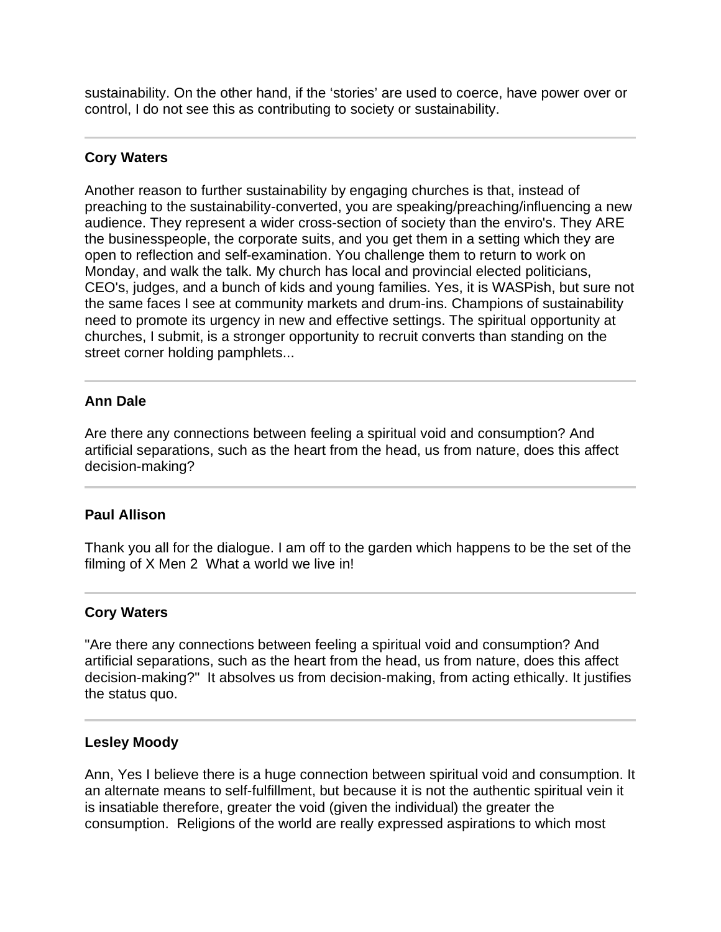sustainability. On the other hand, if the 'stories' are used to coerce, have power over or control, I do not see this as contributing to society or sustainability.

## **Cory Waters**

I

Another reason to further sustainability by engaging churches is that, instead of preaching to the sustainability-converted, you are speaking/preaching/influencing a new audience. They represent a wider cross-section of society than the enviro's. They ARE the businesspeople, the corporate suits, and you get them in a setting which they are open to reflection and self-examination. You challenge them to return to work on Monday, and walk the talk. My church has local and provincial elected politicians, CEO's, judges, and a bunch of kids and young families. Yes, it is WASPish, but sure not the same faces I see at community markets and drum-ins. Champions of sustainability need to promote its urgency in new and effective settings. The spiritual opportunity at churches, I submit, is a stronger opportunity to recruit converts than standing on the street corner holding pamphlets...

#### I **Ann Dale**

Are there any connections between feeling a spiritual void and consumption? And artificial separations, such as the heart from the head, us from nature, does this affect decision-making?

## **Paul Allison**

Thank you all for the dialogue. I am off to the garden which happens to be the set of the filming of X Men 2 What a world we live in!

## **Cory Waters**

"Are there any connections between feeling a spiritual void and consumption? And artificial separations, such as the heart from the head, us from nature, does this affect decision-making?" It absolves us from decision-making, from acting ethically. It justifies the status quo.

## **Lesley Moody**

Ī

Ann, Yes I believe there is a huge connection between spiritual void and consumption. It an alternate means to self-fulfillment, but because it is not the authentic spiritual vein it is insatiable therefore, greater the void (given the individual) the greater the consumption. Religions of the world are really expressed aspirations to which most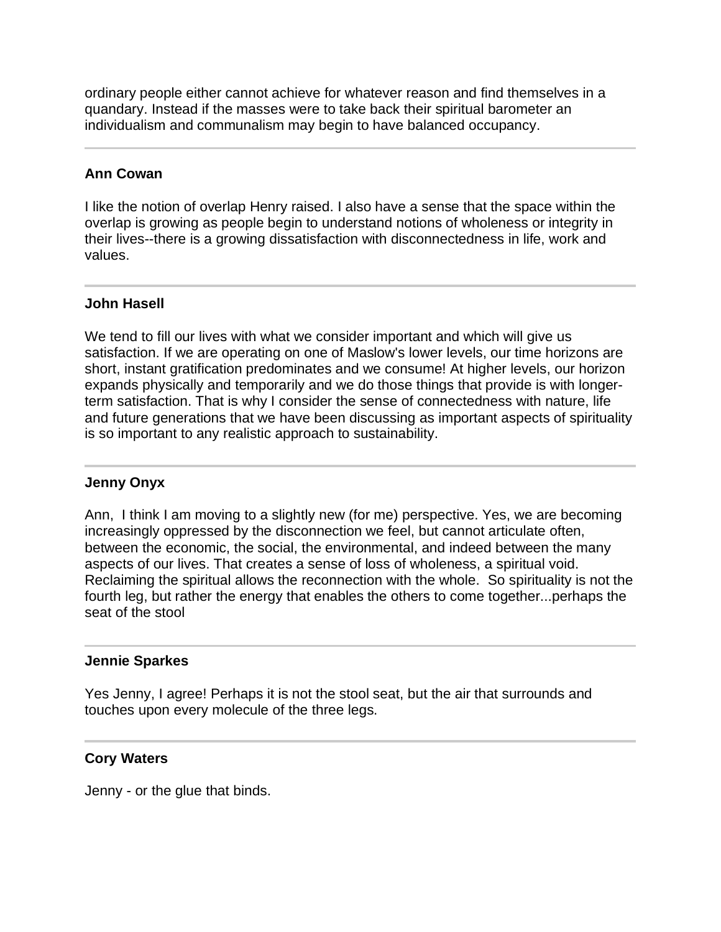ordinary people either cannot achieve for whatever reason and find themselves in a quandary. Instead if the masses were to take back their spiritual barometer an individualism and communalism may begin to have balanced occupancy.

## **Ann Cowan**

l

j

I like the notion of overlap Henry raised. I also have a sense that the space within the overlap is growing as people begin to understand notions of wholeness or integrity in their lives--there is a growing dissatisfaction with disconnectedness in life, work and values.

## **John Hasell**

We tend to fill our lives with what we consider important and which will give us satisfaction. If we are operating on one of Maslow's lower levels, our time horizons are short, instant gratification predominates and we consume! At higher levels, our horizon expands physically and temporarily and we do those things that provide is with longerterm satisfaction. That is why I consider the sense of connectedness with nature, life and future generations that we have been discussing as important aspects of spirituality is so important to any realistic approach to sustainability.

## **Jenny Onyx**

Ann, I think I am moving to a slightly new (for me) perspective. Yes, we are becoming increasingly oppressed by the disconnection we feel, but cannot articulate often, between the economic, the social, the environmental, and indeed between the many aspects of our lives. That creates a sense of loss of wholeness, a spiritual void. Reclaiming the spiritual allows the reconnection with the whole. So spirituality is not the fourth leg, but rather the energy that enables the others to come together...perhaps the seat of the stool

## **Jennie Sparkes**

Yes Jenny, I agree! Perhaps it is not the stool seat, but the air that surrounds and touches upon every molecule of the three legs.

## **Cory Waters**

Jenny - or the glue that binds.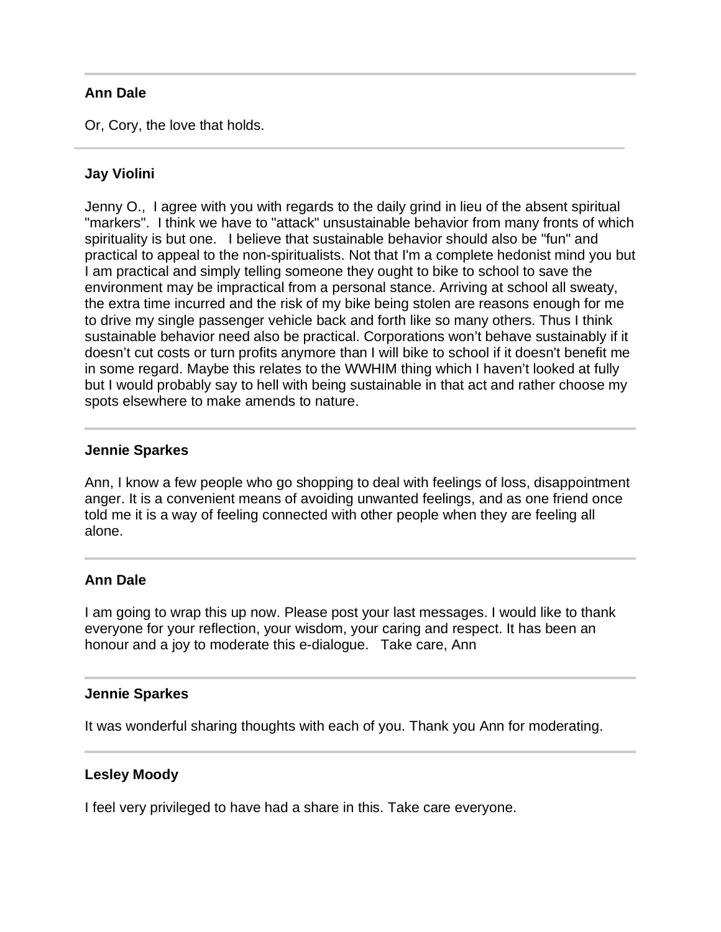#### **Ann Dale**

Or, Cory, the love that holds.

#### **Jay Violini**

Jenny O., I agree with you with regards to the daily grind in lieu of the absent spiritual "markers". I think we have to "attack" unsustainable behavior from many fronts of which spirituality is but one. I believe that sustainable behavior should also be "fun" and practical to appeal to the non-spiritualists. Not that I'm a complete hedonist mind you but I am practical and simply telling someone they ought to bike to school to save the environment may be impractical from a personal stance. Arriving at school all sweaty, the extra time incurred and the risk of my bike being stolen are reasons enough for me to drive my single passenger vehicle back and forth like so many others. Thus I think sustainable behavior need also be practical. Corporations won't behave sustainably if it doesn't cut costs or turn profits anymore than I will bike to school if it doesn't benefit me in some regard. Maybe this relates to the WWHIM thing which I haven't looked at fully but I would probably say to hell with being sustainable in that act and rather choose my spots elsewhere to make amends to nature.

#### **Jennie Sparkes**

Ī

Ann, I know a few people who go shopping to deal with feelings of loss, disappointment anger. It is a convenient means of avoiding unwanted feelings, and as one friend once told me it is a way of feeling connected with other people when they are feeling all alone.

#### **Ann Dale**

I am going to wrap this up now. Please post your last messages. I would like to thank everyone for your reflection, your wisdom, your caring and respect. It has been an honour and a joy to moderate this e-dialogue. Take care, Ann

#### **Jennie Sparkes**

It was wonderful sharing thoughts with each of you. Thank you Ann for moderating.

#### **Lesley Moody**

I feel very privileged to have had a share in this. Take care everyone.